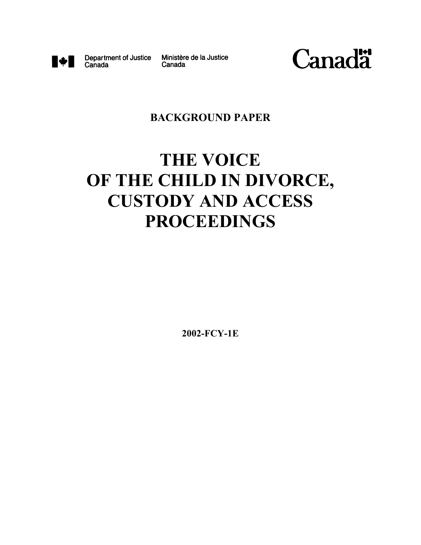

Canada

Department of Justice Ministère de la Justice Canada



## **BACKGROUND PAPER**

# **THE VOICE OF THE CHILD IN DIVORCE, CUSTODY AND ACCESS PROCEEDINGS**

**2002-FCY-1E**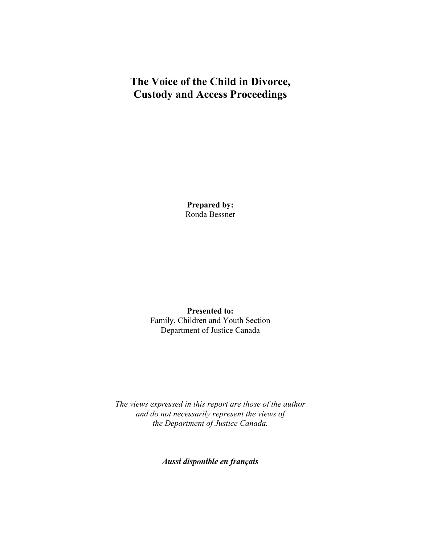# **The Voice of the Child in Divorce, Custody and Access Proceedings**

**Prepared by:** Ronda Bessner

**Presented to:** Family, Children and Youth Section Department of Justice Canada

*The views expressed in this report are those of the author and do not necessarily represent the views of the Department of Justice Canada.*

*Aussi disponible en français*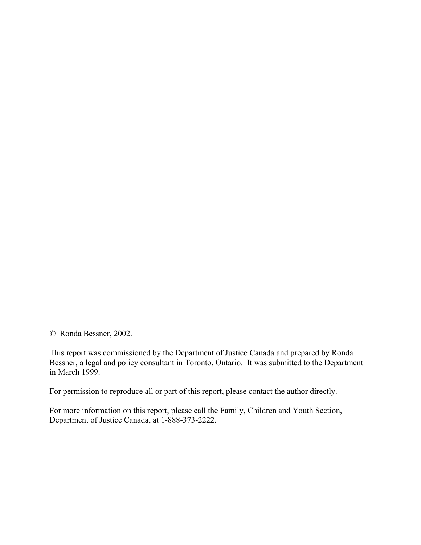© Ronda Bessner, 2002.

This report was commissioned by the Department of Justice Canada and prepared by Ronda Bessner, a legal and policy consultant in Toronto, Ontario. It was submitted to the Department in March 1999.

For permission to reproduce all or part of this report, please contact the author directly.

For more information on this report, please call the Family, Children and Youth Section, Department of Justice Canada, at 1-888-373-2222.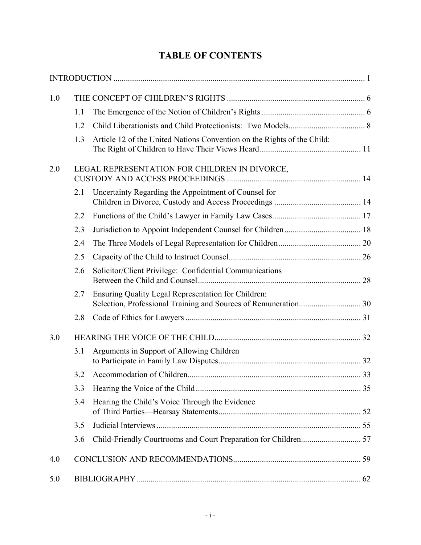# **TABLE OF CONTENTS**

| 1.0 |                                               |                                                                         |  |
|-----|-----------------------------------------------|-------------------------------------------------------------------------|--|
|     | 1.1                                           |                                                                         |  |
|     | 1.2                                           |                                                                         |  |
|     | 1.3                                           | Article 12 of the United Nations Convention on the Rights of the Child: |  |
| 2.0 | LEGAL REPRESENTATION FOR CHILDREN IN DIVORCE, |                                                                         |  |
|     | 2.1                                           | Uncertainty Regarding the Appointment of Counsel for                    |  |
|     | 2.2                                           |                                                                         |  |
|     | 2.3                                           |                                                                         |  |
|     | 2.4                                           |                                                                         |  |
|     | 2.5                                           |                                                                         |  |
|     | 2.6                                           | Solicitor/Client Privilege: Confidential Communications                 |  |
|     | 2.7                                           | Ensuring Quality Legal Representation for Children:                     |  |
|     | 2.8                                           |                                                                         |  |
| 3.0 |                                               |                                                                         |  |
|     | 3.1                                           | Arguments in Support of Allowing Children                               |  |
|     | 3.2                                           |                                                                         |  |
|     | 3.3                                           |                                                                         |  |
|     | 3.4                                           | Hearing the Child's Voice Through the Evidence                          |  |
|     | 3.5                                           |                                                                         |  |
|     | 3.6                                           |                                                                         |  |
| 4.0 |                                               |                                                                         |  |
| 5.0 |                                               |                                                                         |  |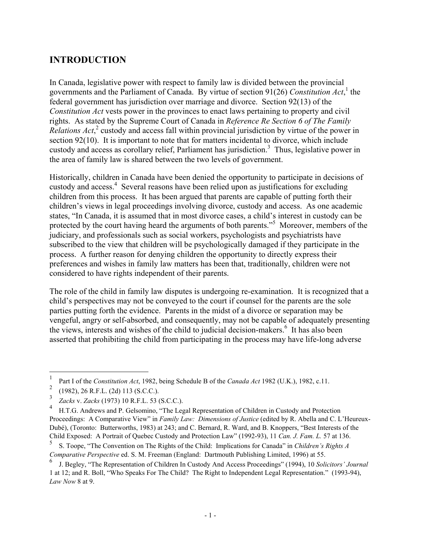## **INTRODUCTION**

In Canada, legislative power with respect to family law is divided between the provincial governments and the Parliament of Canada. By virtue of section 91(26) Constitution Act,<sup>1</sup> the federal government has jurisdiction over marriage and divorce. Section 92(13) of the *Constitution Act* vests power in the provinces to enact laws pertaining to property and civil rights. As stated by the Supreme Court of Canada in *Reference Re Section 6 of The Family* Relations Act,<sup>2</sup> custody and access fall within provincial jurisdiction by virtue of the power in section 92(10). It is important to note that for matters incidental to divorce, which include custody and access as corollary relief, Parliament has jurisdiction.<sup>3</sup> Thus, legislative power in the area of family law is shared between the two levels of government.

Historically, children in Canada have been denied the opportunity to participate in decisions of custody and access.<sup>4</sup> Several reasons have been relied upon as justifications for excluding children from this process. It has been argued that parents are capable of putting forth their children's views in legal proceedings involving divorce, custody and access. As one academic states, "In Canada, it is assumed that in most divorce cases, a child's interest in custody can be protected by the court having heard the arguments of both parents."<sup>5</sup> Moreover, members of the judiciary, and professionals such as social workers, psychologists and psychiatrists have subscribed to the view that children will be psychologically damaged if they participate in the process. A further reason for denying children the opportunity to directly express their preferences and wishes in family law matters has been that, traditionally, children were not considered to have rights independent of their parents.

The role of the child in family law disputes is undergoing re-examination. It is recognized that a child's perspectives may not be conveyed to the court if counsel for the parents are the sole parties putting forth the evidence. Parents in the midst of a divorce or separation may be vengeful, angry or self-absorbed, and consequently, may not be capable of adequately presenting the views, interests and wishes of the child to judicial decision-makers.<sup>6</sup> It has also been asserted that prohibiting the child from participating in the process may have life-long adverse

 $\mathbf{1}$ <sup>1</sup> Part I of the *Constitution Act*, 1982, being Schedule B of the *Canada Act* 1982 (U.K.), 1982, c.11.

<sup>&</sup>lt;sup>2</sup> (1982), 26 R.F.L. (2d) 113 (S.C.C.).

<sup>3</sup> *Zacks* v. *Zacks* (1973) 10 R.F.L. 53 (S.C.C.).

<sup>4</sup> H.T.G. Andrews and P. Gelsomino, "The Legal Representation of Children in Custody and Protection Proceedings: A Comparative View" in *Family Law: Dimensions of Justice* (edited by R. Abella and C. L'Heureux-Dubé), (Toronto: Butterworths, 1983) at 243; and C. Bernard, R. Ward, and B. Knoppers, "Best Interests of the Child Exposed: A Portrait of Quebec Custody and Protection Law" (1992-93), 11 *Can. J. Fam. L.* 57 at 136.

<sup>5</sup> S. Toope, "The Convention on The Rights of the Child: Implications for Canada" in *Children's Rights A Comparative Perspective* ed. S. M. Freeman (England: Dartmouth Publishing Limited, 1996) at 55.

<sup>6</sup> J. Begley, "The Representation of Children In Custody And Access Proceedings" (1994), 10 *Solicitors' Journal* 1 at 12; and R. Boll, "Who Speaks For The Child? The Right to Independent Legal Representation." (1993-94), *Law Now* 8 at 9.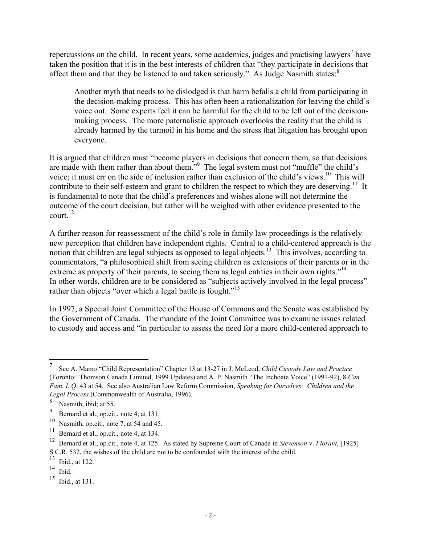repercussions on the child. In recent years, some academics, judges and practising lawyers<sup>7</sup> have taken the position that it is in the best interests of children that "they participate in decisions that affect them and that they be listened to and taken seriously." As Judge Nasmith states: $8$ 

Another myth that needs to be dislodged is that harm befalls a child from participating in the decision-making process. This has often been a rationalization for leaving the child's voice out. Some experts feel it can be harmful for the child to be left out of the decisionmaking process. The more paternalistic approach overlooks the reality that the child is already harmed by the turmoil in his home and the stress that litigation has brought upon everyone.

It is argued that children must "become players in decisions that concern them, so that decisions are made with them rather than about them."<sup>9</sup> The legal system must not "muffle" the child's voice; it must err on the side of inclusion rather than exclusion of the child's views.<sup>10</sup> This will contribute to their self-esteem and grant to children the respect to which they are deserving.<sup>11</sup> It is fundamental to note that the child's preferences and wishes alone will not determine the outcome of the court decision, but rather will be weighed with other evidence presented to the court. $^{12}$ 

A further reason for reassessment of the child's role in family law proceedings is the relatively new perception that children have independent rights. Central to a child-centered approach is the notion that children are legal subjects as opposed to legal objects.<sup>13</sup> This involves, according to commentators, "a philosophical shift from seeing children as extensions of their parents or in the extreme as property of their parents, to seeing them as legal entities in their own rights."<sup>14</sup> In other words, children are to be considered as "subjects actively involved in the legal process" rather than objects "over which a legal battle is fought."<sup>15</sup>

In 1997, a Special Joint Committee of the House of Commons and the Senate was established by the Government of Canada. The mandate of the Joint Committee was to examine issues related to custody and access and "in particular to assess the need for a more child-centered approach to

<sup>7</sup> See A. Mamo "Child Representation" Chapter 13 at 13-27 in J. McLeod, *Child Custody Law and Practice* (Toronto: Thomson Canada Limited, 1999 Updates) and A. P. Nasmith "The Inchoate Voice" (1991-92), 8 *Can. Fam. L.Q.* 43 at 54. See also Australian Law Reform Commission, *Speaking for Ourselves: Children and the Legal Process* (Commonwealth of Australia, 1996).

 $\frac{8}{9}$  Nasmith, ibid; at 55.

<sup>9</sup> Bernard et al., op.cit., note 4, at 131.

<sup>&</sup>lt;sup>10</sup> Nasmith, op.cit., note 7, at 54 and 45.<br><sup>11</sup> Parmard at al. an ait, note 4, at 124.

<sup>&</sup>lt;sup>11</sup> Bernard et al., op.cit., note 4, at 134.<br><sup>12</sup> Bernard et al., op.cit., note 4, at 125.

<sup>12</sup> Bernard et al., op.cit., note 4, at 125. As stated by Supreme Court of Canada in *Stevenson* v. *Florant*, [1925] S.C.R. 532, the wishes of the child are not to be confounded with the interest of the child.

 $\frac{13}{14}$  Ibid., at 122.

Ibid.

 $15$  Ibid., at 131.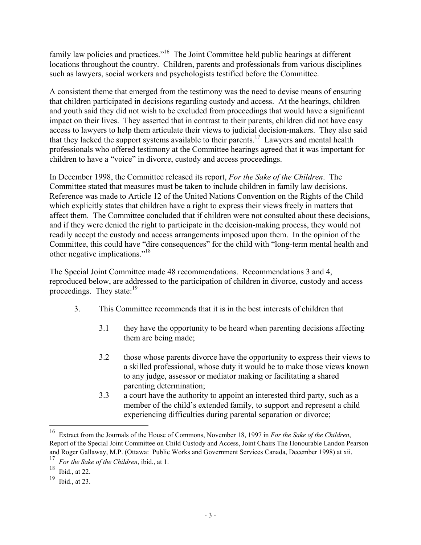family law policies and practices."<sup>16</sup> The Joint Committee held public hearings at different locations throughout the country. Children, parents and professionals from various disciplines such as lawyers, social workers and psychologists testified before the Committee.

A consistent theme that emerged from the testimony was the need to devise means of ensuring that children participated in decisions regarding custody and access. At the hearings, children and youth said they did not wish to be excluded from proceedings that would have a significant impact on their lives. They asserted that in contrast to their parents, children did not have easy access to lawyers to help them articulate their views to judicial decision-makers. They also said that they lacked the support systems available to their parents.17 Lawyers and mental health professionals who offered testimony at the Committee hearings agreed that it was important for children to have a "voice" in divorce, custody and access proceedings.

In December 1998, the Committee released its report, *For the Sake of the Children*. The Committee stated that measures must be taken to include children in family law decisions. Reference was made to Article 12 of the United Nations Convention on the Rights of the Child which explicitly states that children have a right to express their views freely in matters that affect them. The Committee concluded that if children were not consulted about these decisions, and if they were denied the right to participate in the decision-making process, they would not readily accept the custody and access arrangements imposed upon them. In the opinion of the Committee, this could have "dire consequences" for the child with "long-term mental health and other negative implications."18

The Special Joint Committee made 48 recommendations. Recommendations 3 and 4, reproduced below, are addressed to the participation of children in divorce, custody and access proceedings. They state: $19$ 

- 3. This Committee recommends that it is in the best interests of children that
	- 3.1 they have the opportunity to be heard when parenting decisions affecting them are being made;
	- 3.2 those whose parents divorce have the opportunity to express their views to a skilled professional, whose duty it would be to make those views known to any judge, assessor or mediator making or facilitating a shared parenting determination;
	- 3.3 a court have the authority to appoint an interested third party, such as a member of the child's extended family, to support and represent a child experiencing difficulties during parental separation or divorce;

<sup>16</sup> Extract from the Journals of the House of Commons, November 18, 1997 in *For the Sake of the Children*, Report of the Special Joint Committee on Child Custody and Access, Joint Chairs The Honourable Landon Pearson and Roger Gallaway, M.P. (Ottawa: Public Works and Government Services Canada, December 1998) at xii.

<sup>&</sup>lt;sup>17</sup> *For the Sake of the Children*, ibid., at 1.<br><sup>18</sup> Ibid., at 22

Ibid., at  $22$ .

<sup>19</sup> Ibid., at 23.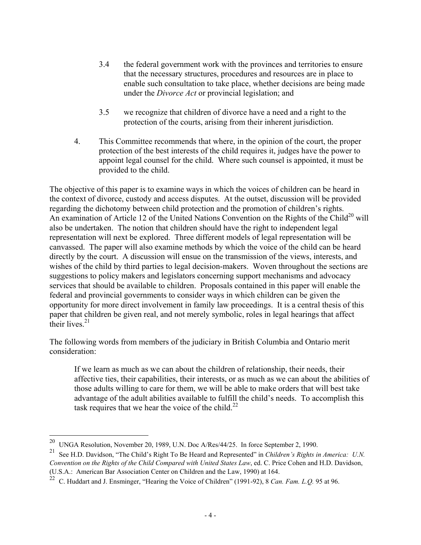- 3.4 the federal government work with the provinces and territories to ensure that the necessary structures, procedures and resources are in place to enable such consultation to take place, whether decisions are being made under the *Divorce Act* or provincial legislation; and
- 3.5 we recognize that children of divorce have a need and a right to the protection of the courts, arising from their inherent jurisdiction.
- 4. This Committee recommends that where, in the opinion of the court, the proper protection of the best interests of the child requires it, judges have the power to appoint legal counsel for the child. Where such counsel is appointed, it must be provided to the child.

The objective of this paper is to examine ways in which the voices of children can be heard in the context of divorce, custody and access disputes. At the outset, discussion will be provided regarding the dichotomy between child protection and the promotion of children's rights. An examination of Article 12 of the United Nations Convention on the Rights of the Child<sup>20</sup> will also be undertaken. The notion that children should have the right to independent legal representation will next be explored. Three different models of legal representation will be canvassed. The paper will also examine methods by which the voice of the child can be heard directly by the court. A discussion will ensue on the transmission of the views, interests, and wishes of the child by third parties to legal decision-makers. Woven throughout the sections are suggestions to policy makers and legislators concerning support mechanisms and advocacy services that should be available to children. Proposals contained in this paper will enable the federal and provincial governments to consider ways in which children can be given the opportunity for more direct involvement in family law proceedings. It is a central thesis of this paper that children be given real, and not merely symbolic, roles in legal hearings that affect their lives $21$ 

The following words from members of the judiciary in British Columbia and Ontario merit consideration:

If we learn as much as we can about the children of relationship, their needs, their affective ties, their capabilities, their interests, or as much as we can about the abilities of those adults willing to care for them, we will be able to make orders that will best take advantage of the adult abilities available to fulfill the child's needs. To accomplish this task requires that we hear the voice of the child.<sup>22</sup>

<sup>&</sup>lt;sup>20</sup> UNGA Resolution, November 20, 1989, U.N. Doc A/Res/44/25. In force September 2, 1990.

<sup>21</sup> See H.D. Davidson, "The Child's Right To Be Heard and Represented" in *Children's Rights in America: U.N. Convention on the Rights of the Child Compared with United States Law*, ed. C. Price Cohen and H.D. Davidson, (U.S.A.: American Bar Association Center on Children and the Law, 1990) at 164.

<sup>22</sup> C. Huddart and J. Ensminger, "Hearing the Voice of Children" (1991-92), 8 *Can. Fam. L.Q.* 95 at 96.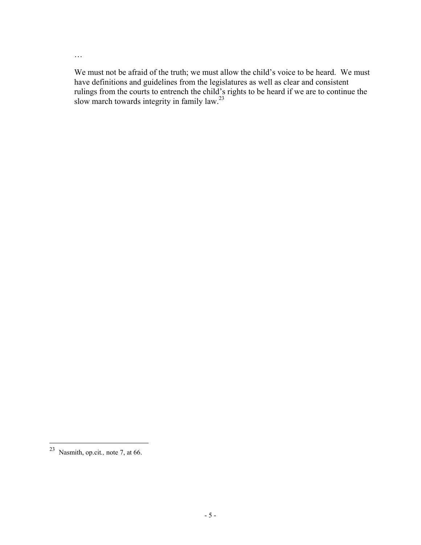…

We must not be afraid of the truth; we must allow the child's voice to be heard. We must have definitions and guidelines from the legislatures as well as clear and consistent rulings from the courts to entrench the child's rights to be heard if we are to continue the slow march towards integrity in family law.<sup>23</sup>

<sup>23</sup> Nasmith, op.cit*.,* note 7, at 66.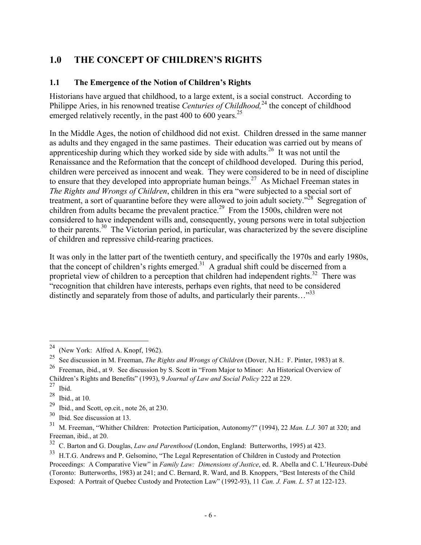# **1.0 THE CONCEPT OF CHILDREN'S RIGHTS**

#### **1.1 The Emergence of the Notion of Children's Rights**

Historians have argued that childhood, to a large extent, is a social construct. According to Philippe Aries, in his renowned treatise *Centuries of Childhood*<sup>24</sup>, the concept of childhood emerged relatively recently, in the past  $400$  to  $600$  years.<sup>25</sup>

In the Middle Ages, the notion of childhood did not exist. Children dressed in the same manner as adults and they engaged in the same pastimes. Their education was carried out by means of apprenticeship during which they worked side by side with adults.26 It was not until the Renaissance and the Reformation that the concept of childhood developed. During this period, children were perceived as innocent and weak. They were considered to be in need of discipline to ensure that they developed into appropriate human beings.<sup>27</sup> As Michael Freeman states in *The Rights and Wrongs of Children*, children in this era "were subjected to a special sort of treatment, a sort of quarantine before they were allowed to join adult society."<sup>28</sup> Segregation of children from adults became the prevalent practice.<sup>29</sup> From the 1500s, children were not considered to have independent wills and, consequently, young persons were in total subjection to their parents.<sup>30</sup> The Victorian period, in particular, was characterized by the severe discipline of children and repressive child-rearing practices.

It was only in the latter part of the twentieth century, and specifically the 1970s and early 1980s, that the concept of children's rights emerged.<sup>31</sup> A gradual shift could be discerned from a proprietal view of children to a perception that children had independent rights.<sup>32</sup> There was "recognition that children have interests, perhaps even rights, that need to be considered distinctly and separately from those of adults, and particularly their parents..." $33$ 

<sup>&</sup>lt;sup>24</sup> (New York: Alfred A. Knopf, 1962).

<sup>25</sup> See discussion in M. Freeman, *The Rights and Wrongs of Children* (Dover, N.H.: F. Pinter, 1983) at 8.

<sup>26</sup> Freeman, ibid., at 9. See discussion by S. Scott in "From Major to Minor: An Historical Overview of Children's Rights and Benefits" (1993), 9 *Journal of Law and Social Policy* 222 at 229.

 $27$  Ibid.

 $28$  Ibid., at 10.

<sup>29</sup> Ibid., and Scott, op.cit*.*, note 26, at 230.

 $30$  Ibid. See discussion at 13.

<sup>31</sup> M. Freeman, "Whither Children: Protection Participation, Autonomy?" (1994), 22 *Man. L.J.* 307 at 320; and Freeman, ibid., at 20.

<sup>&</sup>lt;sup>32</sup> C. Barton and G. Douglas, *Law and Parenthood* (London, England: Butterworths, 1995) at 423.<br><sup>33</sup> H.T.G. Andrews and P. Gelsomino. "The Legal Representation of Children in Custody and Prote

<sup>33</sup> H.T.G. Andrews and P. Gelsomino, "The Legal Representation of Children in Custody and Protection Proceedings: A Comparative View" in *Family Law: Dimensions of Justice*, ed. R. Abella and C. L'Heureux-Dubé (Toronto: Butterworths, 1983) at 241; and C. Bernard, R. Ward, and B. Knoppers, "Best Interests of the Child Exposed: A Portrait of Quebec Custody and Protection Law" (1992-93), 11 *Can. J. Fam. L.* 57 at 122-123.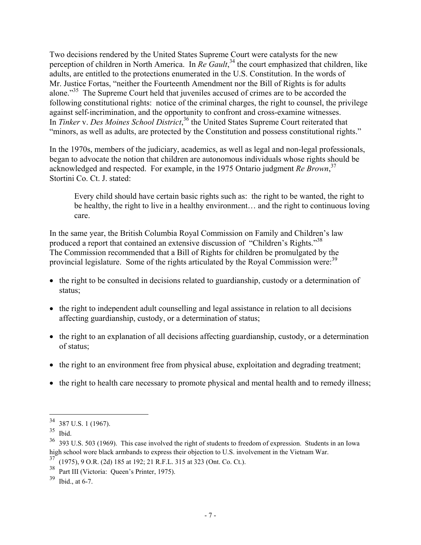Two decisions rendered by the United States Supreme Court were catalysts for the new perception of children in North America. In *Re Gault*, 34 the court emphasized that children, like adults, are entitled to the protections enumerated in the U.S. Constitution. In the words of Mr. Justice Fortas, "neither the Fourteenth Amendment nor the Bill of Rights is for adults alone."<sup>35</sup> The Supreme Court held that juveniles accused of crimes are to be accorded the following constitutional rights: notice of the criminal charges, the right to counsel, the privilege against self-incrimination, and the opportunity to confront and cross-examine witnesses. In *Tinker* v. *Des Moines School District*, 36 the United States Supreme Court reiterated that "minors, as well as adults, are protected by the Constitution and possess constitutional rights."

In the 1970s, members of the judiciary, academics, as well as legal and non-legal professionals, began to advocate the notion that children are autonomous individuals whose rights should be acknowledged and respected. For example, in the 1975 Ontario judgment *Re Brown*, 37 Stortini Co. Ct. J. stated:

Every child should have certain basic rights such as: the right to be wanted, the right to be healthy, the right to live in a healthy environment… and the right to continuous loving care.

In the same year, the British Columbia Royal Commission on Family and Children's law produced a report that contained an extensive discussion of"Children's Rights."<sup>38</sup> The Commission recommended that a Bill of Rights for children be promulgated by the provincial legislature. Some of the rights articulated by the Royal Commission were:<sup>39</sup>

- the right to be consulted in decisions related to guardianship, custody or a determination of status;
- the right to independent adult counselling and legal assistance in relation to all decisions affecting guardianship, custody, or a determination of status;
- the right to an explanation of all decisions affecting guardianship, custody, or a determination of status;
- the right to an environment free from physical abuse, exploitation and degrading treatment;
- the right to health care necessary to promote physical and mental health and to remedy illness;

 $34\,$  $\frac{34}{35}$  387 U.S. 1 (1967).

Ibid.

<sup>36</sup> 393 U.S. 503 (1969). This case involved the right of students to freedom of expression. Students in an Iowa high school wore black armbands to express their objection to U.S. involvement in the Vietnam War.

<sup>37</sup> (1975), 9 O.R. (2d) 185 at 192; 21 R.F.L. 315 at 323 (Ont. Co. Ct.).

<sup>&</sup>lt;sup>38</sup> Part III (Victoria: Queen's Printer, 1975).

<sup>39</sup> Ibid., at 6-7.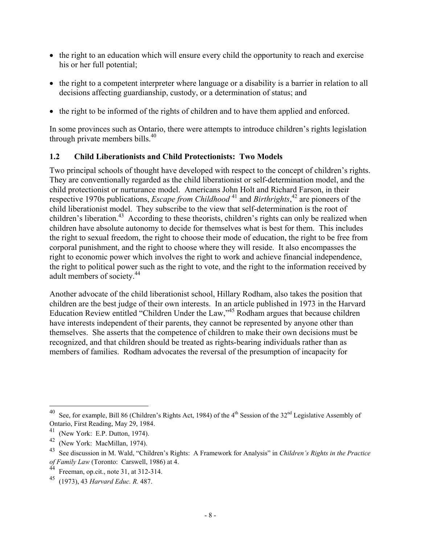- the right to an education which will ensure every child the opportunity to reach and exercise his or her full potential;
- the right to a competent interpreter where language or a disability is a barrier in relation to all decisions affecting guardianship, custody, or a determination of status; and
- the right to be informed of the rights of children and to have them applied and enforced.

In some provinces such as Ontario, there were attempts to introduce children's rights legislation through private members bills.40

#### **1.2 Child Liberationists and Child Protectionists: Two Models**

Two principal schools of thought have developed with respect to the concept of children's rights. They are conventionally regarded as the child liberationist or self-determination model, and the child protectionist or nurturance model. Americans John Holt and Richard Farson, in their respective 1970s publications, *Escape from Childhood* 41 and *Birthrights*, 42 are pioneers of the child liberationist model. They subscribe to the view that self-determination is the root of children's liberation.<sup>43</sup> According to these theorists, children's rights can only be realized when children have absolute autonomy to decide for themselves what is best for them. This includes the right to sexual freedom, the right to choose their mode of education, the right to be free from corporal punishment, and the right to choose where they will reside. It also encompasses the right to economic power which involves the right to work and achieve financial independence, the right to political power such as the right to vote, and the right to the information received by adult members of society.<sup>44</sup>

Another advocate of the child liberationist school, Hillary Rodham, also takes the position that children are the best judge of their own interests. In an article published in 1973 in the Harvard Education Review entitled "Children Under the Law,"45 Rodham argues that because children have interests independent of their parents, they cannot be represented by anyone other than themselves. She asserts that the competence of children to make their own decisions must be recognized, and that children should be treated as rights-bearing individuals rather than as members of families. Rodham advocates the reversal of the presumption of incapacity for

See, for example, Bill 86 (Children's Rights Act, 1984) of the 4<sup>th</sup> Session of the 32<sup>nd</sup> Legislative Assembly of Ontario, First Reading, May 29, 1984.

 $^{41}$  (New York: E.P. Dutton, 1974).

<sup>(</sup>New York: MacMillan, 1974).

<sup>43</sup> See discussion in M. Wald, "Children's Rights: A Framework for Analysis" in *Children's Rights in the Practice of Family Law* (Toronto: Carswell, 1986) at 4.

Freeman, op.cit., note 31, at  $312-314$ .

<sup>45</sup> (1973), 43 *Harvard Educ. R.* 487.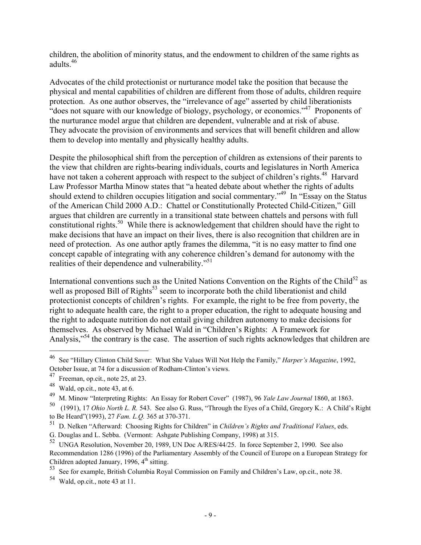children, the abolition of minority status, and the endowment to children of the same rights as adults.46

Advocates of the child protectionist or nurturance model take the position that because the physical and mental capabilities of children are different from those of adults, children require protection. As one author observes, the "irrelevance of age" asserted by child liberationists "does not square with our knowledge of biology, psychology, or economics."47 Proponents of the nurturance model argue that children are dependent, vulnerable and at risk of abuse. They advocate the provision of environments and services that will benefit children and allow them to develop into mentally and physically healthy adults.

Despite the philosophical shift from the perception of children as extensions of their parents to the view that children are rights-bearing individuals, courts and legislatures in North America have not taken a coherent approach with respect to the subject of children's rights.<sup>48</sup> Harvard Law Professor Martha Minow states that "a heated debate about whether the rights of adults should extend to children occupies litigation and social commentary."<sup>49</sup> In "Essay on the Status" of the American Child 2000 A.D.: Chattel or Constitutionally Protected Child-Citizen," Gill argues that children are currently in a transitional state between chattels and persons with full constitutional rights.<sup>50</sup> While there is acknowledgement that children should have the right to make decisions that have an impact on their lives, there is also recognition that children are in need of protection. As one author aptly frames the dilemma, "it is no easy matter to find one concept capable of integrating with any coherence children's demand for autonomy with the realities of their dependence and vulnerability."<sup>51</sup>

International conventions such as the United Nations Convention on the Rights of the Child<sup>52</sup> as well as proposed Bill of Rights<sup>53</sup> seem to incorporate both the child liberationist and child protectionist concepts of children's rights. For example, the right to be free from poverty, the right to adequate health care, the right to a proper education, the right to adequate housing and the right to adequate nutrition do not entail giving children autonomy to make decisions for themselves. As observed by Michael Wald in "Children's Rights: A Framework for Analysis,"<sup>54</sup> the contrary is the case. The assertion of such rights acknowledges that children are

1

<sup>46</sup> See "Hillary Clinton Child Saver: What She Values Will Not Help the Family," *Harper's Magazine*, 1992, October Issue, at 74 for a discussion of Rodham-Clinton's views.

Freeman, op.cit., note 25, at 23.

 $^{48}$  Wald, op.cit., note 43, at 6.

<sup>49</sup> M. Minow "Interpreting Rights: An Essay for Robert Cover" (1987), 96 *Yale Law Journal* 1860, at 1863.

<sup>50 (1991), 17</sup> *Ohio North L. R.* 543. See also G. Russ, "Through the Eyes of a Child, Gregory K.: A Child's Right to Be Heard"(1993), 27 *Fam. L.Q.* 365 at 370-371.

<sup>51</sup> D. Nelken "Afterward: Choosing Rights for Children" in *Children's Rights and Traditional Values*, eds.

G. Douglas and L. Sebba. (Vermont: Ashgate Publishing Company, 1998) at 315.

<sup>52</sup> UNGA Resolution, November 20, 1989, UN Doc A/RES/44/25. In force September 2, 1990. See also Recommendation 1286 (1996) of the Parliamentary Assembly of the Council of Europe on a European Strategy for Children adopted January, 1996,  $4<sup>th</sup>$  sitting.

<sup>53</sup> See for example, British Columbia Royal Commission on Family and Children's Law, op.cit., note 38.

<sup>54</sup> Wald, op.cit., note 43 at 11.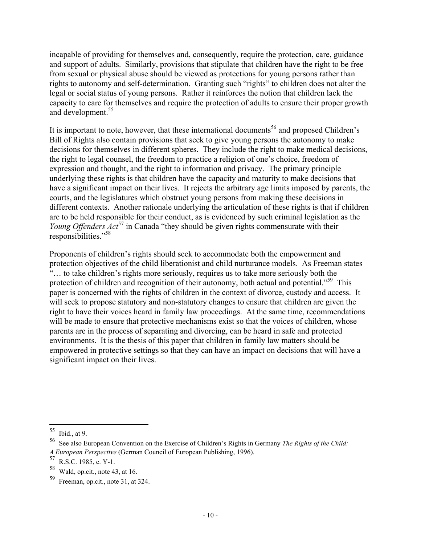incapable of providing for themselves and, consequently, require the protection, care, guidance and support of adults. Similarly, provisions that stipulate that children have the right to be free from sexual or physical abuse should be viewed as protections for young persons rather than rights to autonomy and self-determination. Granting such "rights" to children does not alter the legal or social status of young persons. Rather it reinforces the notion that children lack the capacity to care for themselves and require the protection of adults to ensure their proper growth and development.<sup>55</sup>

It is important to note, however, that these international documents<sup>56</sup> and proposed Children's Bill of Rights also contain provisions that seek to give young persons the autonomy to make decisions for themselves in different spheres. They include the right to make medical decisions, the right to legal counsel, the freedom to practice a religion of one's choice, freedom of expression and thought, and the right to information and privacy. The primary principle underlying these rights is that children have the capacity and maturity to make decisions that have a significant impact on their lives. It rejects the arbitrary age limits imposed by parents, the courts, and the legislatures which obstruct young persons from making these decisions in different contexts. Another rationale underlying the articulation of these rights is that if children are to be held responsible for their conduct, as is evidenced by such criminal legislation as the *Young Offenders Act*<sup>57</sup> in Canada "they should be given rights commensurate with their responsibilities."58

Proponents of children's rights should seek to accommodate both the empowerment and protection objectives of the child liberationist and child nurturance models. As Freeman states "… to take children's rights more seriously, requires us to take more seriously both the protection of children and recognition of their autonomy, both actual and potential."<sup>59</sup> This paper is concerned with the rights of children in the context of divorce, custody and access. It will seek to propose statutory and non-statutory changes to ensure that children are given the right to have their voices heard in family law proceedings. At the same time, recommendations will be made to ensure that protective mechanisms exist so that the voices of children, whose parents are in the process of separating and divorcing, can be heard in safe and protected environments. It is the thesis of this paper that children in family law matters should be empowered in protective settings so that they can have an impact on decisions that will have a significant impact on their lives.

<sup>55</sup>  $\frac{55}{56}$  Ibid., at 9.

<sup>56</sup> See also European Convention on the Exercise of Children's Rights in Germany *The Rights of the Child: A European Perspective* (German Council of European Publishing, 1996).

 $^{57}$  R.S.C. 1985, c. Y-1.<br><sup>58</sup> Wald, on cit, note 43

Wald, op.cit., note 43, at 16.

<sup>59</sup> Freeman, op.cit., note 31, at 324.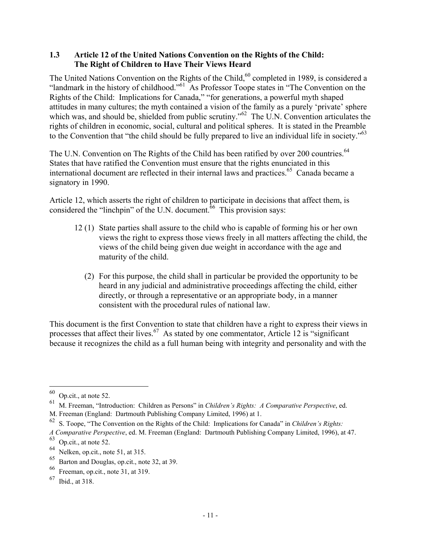#### **1.3 Article 12 of the United Nations Convention on the Rights of the Child: The Right of Children to Have Their Views Heard**

The United Nations Convention on the Rights of the Child,<sup>60</sup> completed in 1989, is considered a "landmark in the history of childhood."<sup>61</sup> As Professor Toope states in "The Convention on the Rights of the Child: Implications for Canada," "for generations, a powerful myth shaped attitudes in many cultures; the myth contained a vision of the family as a purely 'private' sphere which was, and should be, shielded from public scrutiny."<sup>62</sup> The U.N. Convention articulates the rights of children in economic, social, cultural and political spheres. It is stated in the Preamble to the Convention that "the child should be fully prepared to live an individual life in society."63

The U.N. Convention on The Rights of the Child has been ratified by over 200 countries.<sup>64</sup> States that have ratified the Convention must ensure that the rights enunciated in this international document are reflected in their internal laws and practices.<sup>65</sup> Canada became a signatory in 1990.

Article 12, which asserts the right of children to participate in decisions that affect them, is considered the "linchpin" of the U.N. document.<sup> $66$ </sup> This provision says:

- 12 (1) State parties shall assure to the child who is capable of forming his or her own views the right to express those views freely in all matters affecting the child, the views of the child being given due weight in accordance with the age and maturity of the child.
	- (2) For this purpose, the child shall in particular be provided the opportunity to be heard in any judicial and administrative proceedings affecting the child, either directly, or through a representative or an appropriate body, in a manner consistent with the procedural rules of national law.

This document is the first Convention to state that children have a right to express their views in processes that affect their lives.<sup>67</sup> As stated by one commentator, Article 12 is "significant" because it recognizes the child as a full human being with integrity and personality and with the

 $60$  Op.cit., at note 52.

<sup>61</sup> M. Freeman, "Introduction: Children as Persons" in *Children's Rights: A Comparative Perspective*, ed.

M. Freeman (England: Dartmouth Publishing Company Limited, 1996) at 1.

<sup>62</sup> S. Toope, "The Convention on the Rights of the Child: Implications for Canada" in *Children's Rights:*

*A Comparative Perspective*, ed. M. Freeman (England: Dartmouth Publishing Company Limited, 1996), at 47.

<sup>63</sup> Op.cit., at note 52.

<sup>64</sup> Nelken, op.cit., note 51, at 315.

<sup>65</sup> Barton and Douglas, op.cit., note 32, at 39.

<sup>66</sup> Freeman, op.cit., note 31, at 319.

<sup>67</sup> Ibid., at 318.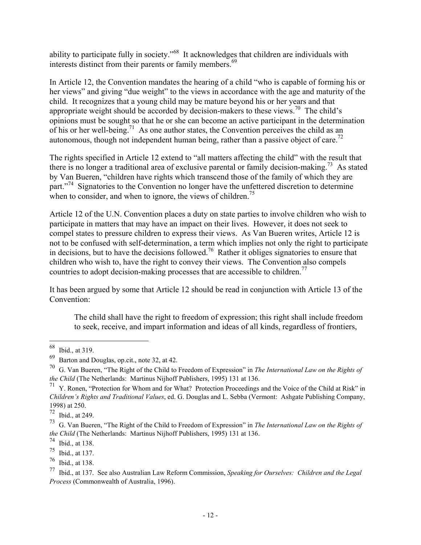ability to participate fully in society."<sup>68</sup> It acknowledges that children are individuals with interests distinct from their parents or family members.<sup>69</sup>

In Article 12, the Convention mandates the hearing of a child "who is capable of forming his or her views" and giving "due weight" to the views in accordance with the age and maturity of the child. It recognizes that a young child may be mature beyond his or her years and that appropriate weight should be accorded by decision-makers to these views.<sup>70</sup> The child's opinions must be sought so that he or she can become an active participant in the determination of his or her well-being.<sup>71</sup> As one author states, the Convention perceives the child as an autonomous, though not independent human being, rather than a passive object of care.<sup>72</sup>

The rights specified in Article 12 extend to "all matters affecting the child" with the result that there is no longer a traditional area of exclusive parental or family decision-making.<sup>73</sup> As stated by Van Bueren, "children have rights which transcend those of the family of which they are part."<sup>74</sup> Signatories to the Convention no longer have the unfettered discretion to determine when to consider, and when to ignore, the views of children.<sup>75</sup>

Article 12 of the U.N. Convention places a duty on state parties to involve children who wish to participate in matters that may have an impact on their lives. However, it does not seek to compel states to pressure children to express their views. As Van Bueren writes, Article 12 is not to be confused with self-determination, a term which implies not only the right to participate in decisions, but to have the decisions followed.<sup>76</sup> Rather it obliges signatories to ensure that children who wish to, have the right to convey their views. The Convention also compels countries to adopt decision-making processes that are accessible to children.<sup>77</sup>

It has been argued by some that Article 12 should be read in conjunction with Article 13 of the Convention:

The child shall have the right to freedom of expression; this right shall include freedom to seek, receive, and impart information and ideas of all kinds, regardless of frontiers,

 $68$  Ibid., at 319.

<sup>69</sup> Barton and Douglas, op.cit., note 32, at 42.

<sup>70</sup> G. Van Bueren, "The Right of the Child to Freedom of Expression" in *The International Law on the Rights of the Child* (The Netherlands: Martinus Nijhoff Publishers, 1995) 131 at 136.

<sup>&</sup>lt;sup>71</sup> Y. Ronen, "Protection for Whom and for What? Protection Proceedings and the Voice of the Child at Risk" in *Children's Rights and Traditional Values*, ed. G. Douglas and L. Sebba (Vermont: Ashgate Publishing Company, 1998) at 250.

<sup>72</sup> Ibid., at 249.

<sup>73</sup> G. Van Bueren, "The Right of the Child to Freedom of Expression" in *The International Law on the Rights of the Child* (The Netherlands: Martinus Nijhoff Publishers, 1995) 131 at 136.

 $^{74}$  Ibid., at 138.<br> $^{75}$  Ibid. at 137

Ibid., at 137.

<sup>76</sup> Ibid., at 138.

<sup>77</sup> Ibid., at 137. See also Australian Law Reform Commission, *Speaking for Ourselves: Children and the Legal Process* (Commonwealth of Australia, 1996).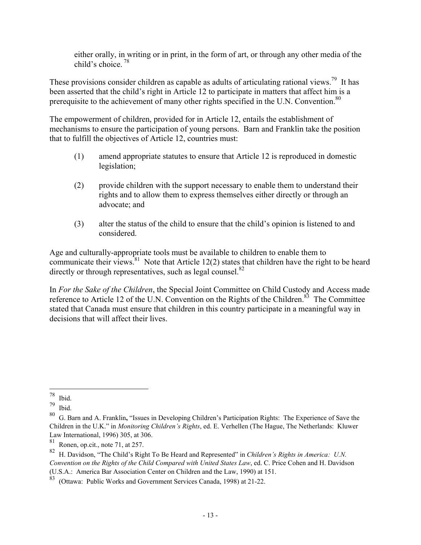either orally, in writing or in print, in the form of art, or through any other media of the child's choice.  $78$ 

These provisions consider children as capable as adults of articulating rational views.<sup>79</sup> It has been asserted that the child's right in Article 12 to participate in matters that affect him is a prerequisite to the achievement of many other rights specified in the U.N. Convention.<sup>80</sup>

The empowerment of children, provided for in Article 12, entails the establishment of mechanisms to ensure the participation of young persons. Barn and Franklin take the position that to fulfill the objectives of Article 12, countries must:

- (1) amend appropriate statutes to ensure that Article 12 is reproduced in domestic legislation;
- (2) provide children with the support necessary to enable them to understand their rights and to allow them to express themselves either directly or through an advocate; and
- (3) alter the status of the child to ensure that the child's opinion is listened to and considered.

Age and culturally-appropriate tools must be available to children to enable them to communicate their views.<sup>81</sup> Note that Article 12(2) states that children have the right to be heard directly or through representatives, such as legal counsel. $82$ 

In *For the Sake of the Children*, the Special Joint Committee on Child Custody and Access made reference to Article 12 of the U.N. Convention on the Rights of the Children.<sup>83</sup> The Committee stated that Canada must ensure that children in this country participate in a meaningful way in decisions that will affect their lives.

 $\overline{a}$  $78$  Ibid.

 $79$  Ibid.

<sup>80</sup> G. Barn and A. Franklin**,** "Issues in Developing Children's Participation Rights: The Experience of Save the Children in the U.K." in *Monitoring Children's Rights*, ed. E. Verhellen (The Hague, The Netherlands: Kluwer Law International, 1996) 305, at 306.

<sup>81</sup> Ronen, op.cit., note 71, at 257.

<sup>82</sup> H. Davidson, "The Child's Right To Be Heard and Represented" in *Children's Rights in America: U.N. Convention on the Rights of the Child Compared with United States Law*, ed. C. Price Cohen and H. Davidson (U.S.A.: America Bar Association Center on Children and the Law, 1990) at 151.

<sup>83</sup> (Ottawa: Public Works and Government Services Canada, 1998) at 21-22.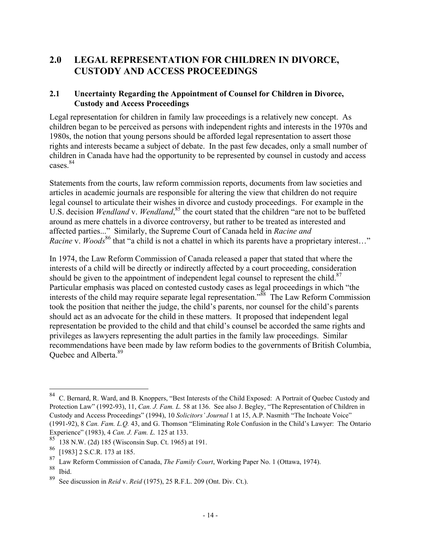### **2.0 LEGAL REPRESENTATION FOR CHILDREN IN DIVORCE, CUSTODY AND ACCESS PROCEEDINGS**

#### **2.1 Uncertainty Regarding the Appointment of Counsel for Children in Divorce, Custody and Access Proceedings**

Legal representation for children in family law proceedings is a relatively new concept. As children began to be perceived as persons with independent rights and interests in the 1970s and 1980s, the notion that young persons should be afforded legal representation to assert those rights and interests became a subject of debate. In the past few decades, only a small number of children in Canada have had the opportunity to be represented by counsel in custody and access cases<sup>84</sup>

Statements from the courts, law reform commission reports, documents from law societies and articles in academic journals are responsible for altering the view that children do not require legal counsel to articulate their wishes in divorce and custody proceedings. For example in the U.S. decision *Wendland* v. *Wendland*<sup>85</sup>, the court stated that the children "are not to be buffeted around as mere chattels in a divorce controversy, but rather to be treated as interested and affected parties..." Similarly, the Supreme Court of Canada held in *Racine and Racine v. Woods*<sup>86</sup> that "a child is not a chattel in which its parents have a proprietary interest..."

In 1974, the Law Reform Commission of Canada released a paper that stated that where the interests of a child will be directly or indirectly affected by a court proceeding, consideration should be given to the appointment of independent legal counsel to represent the child.<sup>87</sup> Particular emphasis was placed on contested custody cases as legal proceedings in which "the interests of the child may require separate legal representation.<sup>388</sup> The Law Reform Commission took the position that neither the judge, the child's parents, nor counsel for the child's parents should act as an advocate for the child in these matters. It proposed that independent legal representation be provided to the child and that child's counsel be accorded the same rights and privileges as lawyers representing the adult parties in the family law proceedings. Similar recommendations have been made by law reform bodies to the governments of British Columbia, Quebec and Alberta.<sup>89</sup>

<sup>&</sup>lt;sup>84</sup> C. Bernard, R. Ward, and B. Knoppers, "Best Interests of the Child Exposed: A Portrait of Quebec Custody and Protection Law" (1992-93), 11, *Can. J. Fam. L.* 58 at 136. See also J. Begley, "The Representation of Children in Custody and Access Proceedings" (1994), 10 *Solicitors' Journal* 1 at 15, A.P. Nasmith "The Inchoate Voice" (1991-92), 8 *Can. Fam. L.Q.* 43, and G. Thomson "Eliminating Role Confusion in the Child's Lawyer: The Ontario Experience" (1983), 4 *Can. J. Fam. L.* 125 at 133.

<sup>85</sup> 138 N.W. (2d) 185 (Wisconsin Sup. Ct. 1965) at 191.

<sup>86</sup> [1983] 2 S.C.R. 173 at 185.

<sup>87</sup> Law Reform Commission of Canada, *The Family Court*, Working Paper No. 1 (Ottawa, 1974).

Ibid.

<sup>89</sup> See discussion in *Reid* v. *Reid* (1975), 25 R.F.L. 209 (Ont. Div. Ct.).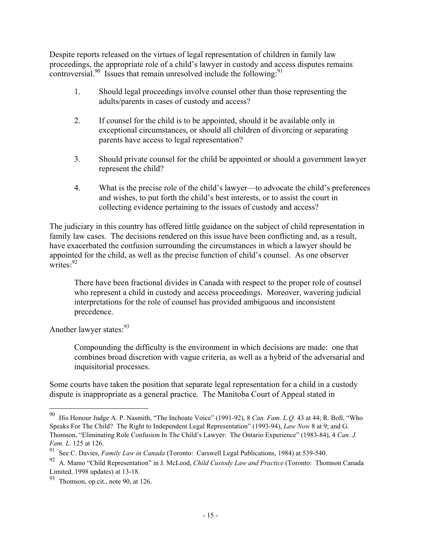Despite reports released on the virtues of legal representation of children in family law proceedings, the appropriate role of a child's lawyer in custody and access disputes remains controversial.<sup>90</sup> Issues that remain unresolved include the following:<sup>91</sup>

- 1. Should legal proceedings involve counsel other than those representing the adults/parents in cases of custody and access?
- 2. If counsel for the child is to be appointed, should it be available only in exceptional circumstances, or should all children of divorcing or separating parents have access to legal representation?
- 3. Should private counsel for the child be appointed or should a government lawyer represent the child?
- 4. What is the precise role of the child's lawyer—to advocate the child's preferences and wishes, to put forth the child's best interests, or to assist the court in collecting evidence pertaining to the issues of custody and access?

The judiciary in this country has offered little guidance on the subject of child representation in family law cases. The decisions rendered on this issue have been conflicting and, as a result, have exacerbated the confusion surrounding the circumstances in which a lawyer should be appointed for the child, as well as the precise function of child's counsel. As one observer writes: $92$ 

There have been fractional divides in Canada with respect to the proper role of counsel who represent a child in custody and access proceedings. Moreover, wavering judicial interpretations for the role of counsel has provided ambiguous and inconsistent precedence.

Another lawyer states:<sup>93</sup>

 $\overline{a}$ 

Compounding the difficulty is the environment in which decisions are made: one that combines broad discretion with vague criteria, as well as a hybrid of the adversarial and inquisitorial processes.

Some courts have taken the position that separate legal representation for a child in a custody dispute is inappropriate as a general practice. The Manitoba Court of Appeal stated in

<sup>90</sup> His Honour Judge A. P. Nasmith, "The Inchoate Voice" (1991-92), 8 *Can. Fam. L.Q.* 43 at 44; R. Boll, "Who Speaks For The Child? The Right to Independent Legal Representation" (1993-94), *Law Now* 8 at 9; and G. Thomson, "Eliminating Role Confusion In The Child's Lawyer: The Ontario Experience" (1983-84), 4 *Can. J. Fam. L.* 125 at 126.

<sup>91</sup> See C. Davies, *Family Law in Canada* (Toronto: Carswell Legal Publications, 1984) at 539-540.

<sup>92</sup> A. Mamo "Child Representation" in J. McLeod, *Child Custody Law and Practice* (Toronto: Thomson Canada Limited, 1998 updates) at 13-18.

<sup>93</sup> Thomson, op.cit., note 90, at 126.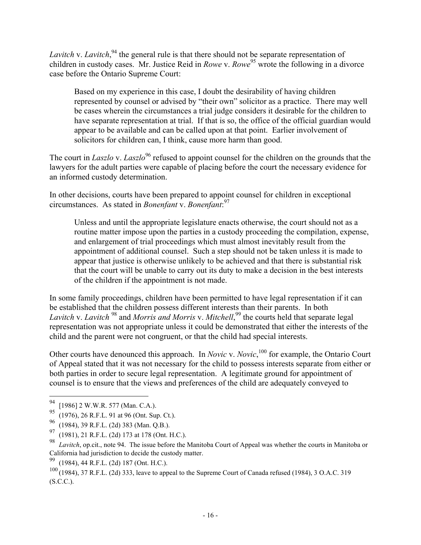Lavitch v. Lavitch,<sup>94</sup> the general rule is that there should not be separate representation of children in custody cases. Mr. Justice Reid in *Rowe* v. *Rowe*<sup>95</sup> wrote the following in a divorce case before the Ontario Supreme Court:

Based on my experience in this case, I doubt the desirability of having children represented by counsel or advised by "their own" solicitor as a practice. There may well be cases wherein the circumstances a trial judge considers it desirable for the children to have separate representation at trial. If that is so, the office of the official guardian would appear to be available and can be called upon at that point. Earlier involvement of solicitors for children can, I think, cause more harm than good.

The court in *Laszlo* v. *Laszlo*<sup>96</sup> refused to appoint counsel for the children on the grounds that the lawyers for the adult parties were capable of placing before the court the necessary evidence for an informed custody determination.

In other decisions, courts have been prepared to appoint counsel for children in exceptional circumstances. As stated in *Bonenfant* v. *Bonenfant*: 97

Unless and until the appropriate legislature enacts otherwise, the court should not as a routine matter impose upon the parties in a custody proceeding the compilation, expense, and enlargement of trial proceedings which must almost inevitably result from the appointment of additional counsel. Such a step should not be taken unless it is made to appear that justice is otherwise unlikely to be achieved and that there is substantial risk that the court will be unable to carry out its duty to make a decision in the best interests of the children if the appointment is not made.

In some family proceedings, children have been permitted to have legal representation if it can be established that the children possess different interests than their parents. In both *Lavitch* v. *Lavitch* 98 and *Morris and Morris* v. *Mitchell*, 99 the courts held that separate legal representation was not appropriate unless it could be demonstrated that either the interests of the child and the parent were not congruent, or that the child had special interests.

Other courts have denounced this approach. In *Novic* v. *Novic*,<sup>100</sup> for example, the Ontario Court of Appeal stated that it was not necessary for the child to possess interests separate from either or both parties in order to secure legal representation. A legitimate ground for appointment of counsel is to ensure that the views and preferences of the child are adequately conveyed to

<sup>&</sup>lt;sup>94</sup> [1986] 2 W.W.R. 577 (Man. C.A.).

 $95$  (1976), 26 R.F.L. 91 at 96 (Ont. Sup. Ct.).

<sup>96</sup> (1984), 39 R.F.L. (2d) 383 (Man. Q.B.).

 $^{97}$  (1981), 21 R.F.L. (2d) 173 at 178 (Ont. H.C.).

<sup>98</sup> *Lavitch*, op.cit., note 94. The issue before the Manitoba Court of Appeal was whether the courts in Manitoba or California had jurisdiction to decide the custody matter.

<sup>99</sup> (1984), 44 R.F.L. (2d) 187 (Ont. H.C.).

<sup>100 (1984), 37</sup> R.F.L. (2d) 333, leave to appeal to the Supreme Court of Canada refused (1984), 3 O.A.C. 319  $(S.C.C.).$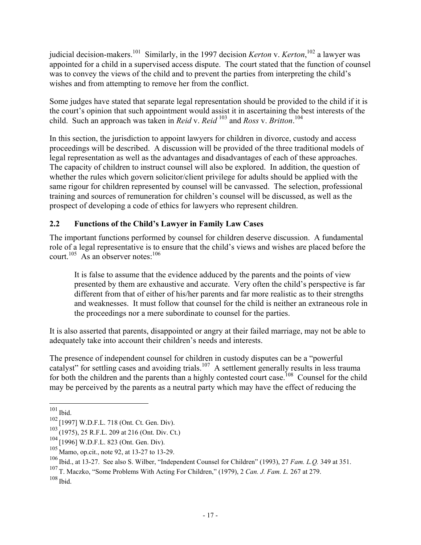judicial decision-makers.<sup>101</sup> Similarly, in the 1997 decision *Kerton* v. *Kerton*,<sup>102</sup> a lawyer was appointed for a child in a supervised access dispute. The court stated that the function of counsel was to convey the views of the child and to prevent the parties from interpreting the child's wishes and from attempting to remove her from the conflict.

Some judges have stated that separate legal representation should be provided to the child if it is the court's opinion that such appointment would assist it in ascertaining the best interests of the child. Such an approach was taken in *Reid* v. *Reid* 103 and *Ross* v. *Britton*. 104

In this section, the jurisdiction to appoint lawyers for children in divorce, custody and access proceedings will be described. A discussion will be provided of the three traditional models of legal representation as well as the advantages and disadvantages of each of these approaches. The capacity of children to instruct counsel will also be explored. In addition, the question of whether the rules which govern solicitor/client privilege for adults should be applied with the same rigour for children represented by counsel will be canvassed. The selection, professional training and sources of remuneration for children's counsel will be discussed, as well as the prospect of developing a code of ethics for lawyers who represent children.

#### **2.2 Functions of the Child's Lawyer in Family Law Cases**

The important functions performed by counsel for children deserve discussion. A fundamental role of a legal representative is to ensure that the child's views and wishes are placed before the court.<sup>105</sup> As an observer notes:<sup>106</sup>

It is false to assume that the evidence adduced by the parents and the points of view presented by them are exhaustive and accurate. Very often the child's perspective is far different from that of either of his/her parents and far more realistic as to their strengths and weaknesses. It must follow that counsel for the child is neither an extraneous role in the proceedings nor a mere subordinate to counsel for the parties.

It is also asserted that parents, disappointed or angry at their failed marriage, may not be able to adequately take into account their children's needs and interests.

The presence of independent counsel for children in custody disputes can be a "powerful catalyst" for settling cases and avoiding trials.<sup>107</sup> A settlement generally results in less trauma for both the children and the parents than a highly contested court case.<sup>108</sup> Counsel for the child may be perceived by the parents as a neutral party which may have the effect of reducing the

 $\overline{a}$  $101$  Ibid.

<sup>102</sup> [1997] W.D.F.L. 718 (Ont. Ct. Gen. Div).

 $103$  (1975), 25 R.F.L. 209 at 216 (Ont. Div. Ct.)

<sup>104</sup> [1996] W.D.F.L. 823 (Ont. Gen. Div).

<sup>105</sup> Mamo, op.cit., note 92, at 13-27 to 13-29.

<sup>106</sup> Ibid., at 13-27. See also S. Wilber, "Independent Counsel for Children" (1993), 27 *Fam. L.Q.* 349 at 351.

<sup>107</sup> T. Maczko, "Some Problems With Acting For Children," (1979), 2 *Can. J. Fam. L.* 267 at 279.

<sup>108</sup> Ibid.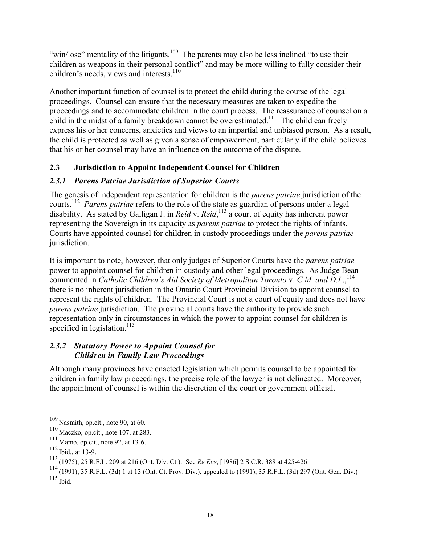"win/lose" mentality of the litigants.<sup>109</sup> The parents may also be less inclined "to use their children as weapons in their personal conflict" and may be more willing to fully consider their children's needs, views and interests. $110$ 

Another important function of counsel is to protect the child during the course of the legal proceedings. Counsel can ensure that the necessary measures are taken to expedite the proceedings and to accommodate children in the court process. The reassurance of counsel on a child in the midst of a family breakdown cannot be overestimated.<sup>111</sup> The child can freely express his or her concerns, anxieties and views to an impartial and unbiased person. As a result, the child is protected as well as given a sense of empowerment, particularly if the child believes that his or her counsel may have an influence on the outcome of the dispute.

#### **2.3 Jurisdiction to Appoint Independent Counsel for Children**

#### *2.3.1 Parens Patriae Jurisdiction of Superior Courts*

The genesis of independent representation for children is the *parens patriae* jurisdiction of the courts.112 *Parens patriae* refers to the role of the state as guardian of persons under a legal disability. As stated by Galligan J. in *Reid* v. *Reid*, 113 a court of equity has inherent power representing the Sovereign in its capacity as *parens patriae* to protect the rights of infants. Courts have appointed counsel for children in custody proceedings under the *parens patriae* jurisdiction.

It is important to note, however, that only judges of Superior Courts have the *parens patriae* power to appoint counsel for children in custody and other legal proceedings. As Judge Bean commented in *Catholic Children's Aid Society of Metropolitan Toronto v. C.M. and D.L.*,<sup>114</sup> there is no inherent jurisdiction in the Ontario Court Provincial Division to appoint counsel to represent the rights of children. The Provincial Court is not a court of equity and does not have *parens patriae* jurisdiction. The provincial courts have the authority to provide such representation only in circumstances in which the power to appoint counsel for children is specified in legislation.<sup>115</sup>

#### *2.3.2 Statutory Power to Appoint Counsel for Children in Family Law Proceedings*

Although many provinces have enacted legislation which permits counsel to be appointed for children in family law proceedings, the precise role of the lawyer is not delineated. Moreover, the appointment of counsel is within the discretion of the court or government official.

 $109$  Nasmith, op.cit., note 90, at 60.

 $110$  Maczko, op.cit., note 107, at 283.

 $111$  Mamo, op.cit., note 92, at 13-6.

 $112$  Ibid., at 13-9.

<sup>113</sup> (1975), 25 R.F.L. 209 at 216 (Ont. Div. Ct.). See *Re Eve*, [1986] 2 S.C.R. 388 at 425-426.

<sup>114</sup> (1991), 35 R.F.L. (3d) 1 at 13 (Ont. Ct. Prov. Div.), appealed to (1991), 35 R.F.L. (3d) 297 (Ont. Gen. Div.)  $115$  Ibid.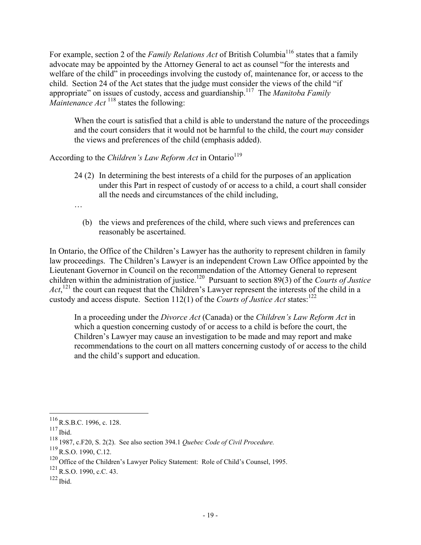For example, section 2 of the *Family Relations Act* of British Columbia<sup>116</sup> states that a family advocate may be appointed by the Attorney General to act as counsel "for the interests and welfare of the child" in proceedings involving the custody of, maintenance for, or access to the child. Section 24 of the Act states that the judge must consider the views of the child "if appropriate" on issues of custody, access and guardianship.117 The *Manitoba Family Maintenance Act* 118 states the following:

When the court is satisfied that a child is able to understand the nature of the proceedings and the court considers that it would not be harmful to the child, the court *may* consider the views and preferences of the child (emphasis added).

According to the *Children's Law Reform Act* in Ontario<sup>119</sup>

- 24 (2) In determining the best interests of a child for the purposes of an application under this Part in respect of custody of or access to a child, a court shall consider all the needs and circumstances of the child including,
- …
	- (b) the views and preferences of the child, where such views and preferences can reasonably be ascertained.

In Ontario, the Office of the Children's Lawyer has the authority to represent children in family law proceedings. The Children's Lawyer is an independent Crown Law Office appointed by the Lieutenant Governor in Council on the recommendation of the Attorney General to represent children within the administration of justice.120 Pursuant to section 89(3) of the *Courts of Justice* Act,<sup>121</sup> the court can request that the Children's Lawyer represent the interests of the child in a custody and access dispute. Section  $112(1)$  of the *Courts of Justice Act* states:<sup>122</sup>

In a proceeding under the *Divorce Act* (Canada) or the *Children's Law Reform Act* in which a question concerning custody of or access to a child is before the court, the Children's Lawyer may cause an investigation to be made and may report and make recommendations to the court on all matters concerning custody of or access to the child and the child's support and education.

<u>.</u>

 $^{116}$  R.S.B.C. 1996, c. 128.

 $117$  Ibid.

<sup>118</sup> 1987, c.F20, S. 2(2). See also section 394.1 *Quebec Code of Civil Procedure.*

<sup>119</sup>R.S.O. 1990, C.12.

<sup>&</sup>lt;sup>120</sup> Office of the Children's Lawyer Policy Statement: Role of Child's Counsel, 1995.

 $^{121}$  R.S.O. 1990, c.C. 43.

 $122$  Ibid.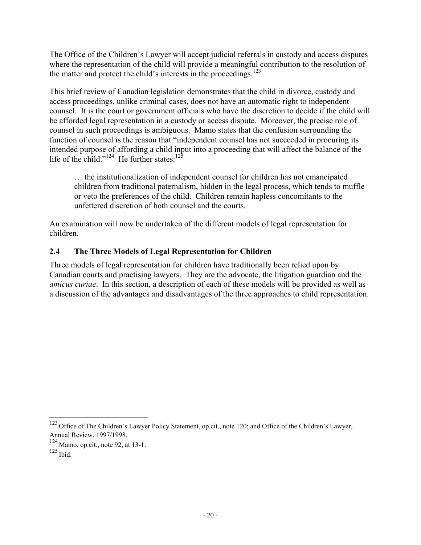The Office of the Children's Lawyer will accept judicial referrals in custody and access disputes where the representation of the child will provide a meaningful contribution to the resolution of the matter and protect the child's interests in the proceedings.<sup>123</sup>

This brief review of Canadian legislation demonstrates that the child in divorce, custody and access proceedings, unlike criminal cases, does not have an automatic right to independent counsel. It is the court or government officials who have the discretion to decide if the child will be afforded legal representation in a custody or access dispute. Moreover, the precise role of counsel in such proceedings is ambiguous. Mamo states that the confusion surrounding the function of counsel is the reason that "independent counsel has not succeeded in procuring its intended purpose of affording a child input into a proceeding that will affect the balance of the life of the child."<sup>124</sup> He further states:<sup>125</sup>

… the institutionalization of independent counsel for children has not emancipated children from traditional paternalism, hidden in the legal process, which tends to muffle or veto the preferences of the child. Children remain hapless concomitants to the unfettered discretion of both counsel and the courts.

An examination will now be undertaken of the different models of legal representation for children.

#### **2.4 The Three Models of Legal Representation for Children**

Three models of legal representation for children have traditionally been relied upon by Canadian courts and practising lawyers. They are the advocate, the litigation guardian and the *amicus curiae*. In this section, a description of each of these models will be provided as well as a discussion of the advantages and disadvantages of the three approaches to child representation.

<sup>&</sup>lt;sup>123</sup> Office of The Children's Lawyer Policy Statement, op.cit., note 120; and Office of the Children's Lawyer, Annual Review, 1997/1998.

<sup>124</sup> Mamo, op.cit., note 92, at 13-1.

 $125$  Ibid.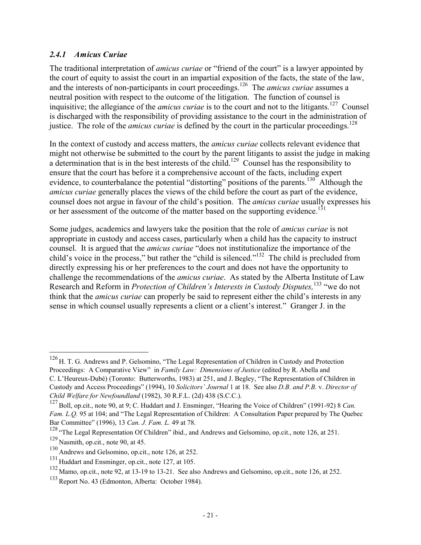#### *2.4.1 Amicus Curiae*

The traditional interpretation of *amicus curiae* or "friend of the court" is a lawyer appointed by the court of equity to assist the court in an impartial exposition of the facts, the state of the law, and the interests of non-participants in court proceedings.<sup>126</sup> The *amicus curiae* assumes a neutral position with respect to the outcome of the litigation. The function of counsel is inquisitive; the allegiance of the *amicus curiae* is to the court and not to the litigants.<sup>127</sup> Counsel is discharged with the responsibility of providing assistance to the court in the administration of justice. The role of the *amicus curiae* is defined by the court in the particular proceedings.<sup>128</sup>

In the context of custody and access matters, the *amicus curiae* collects relevant evidence that might not otherwise be submitted to the court by the parent litigants to assist the judge in making a determination that is in the best interests of the child.<sup>129</sup> Counsel has the responsibility to ensure that the court has before it a comprehensive account of the facts, including expert evidence, to counterbalance the potential "distorting" positions of the parents.<sup>130</sup> Although the *amicus curiae* generally places the views of the child before the court as part of the evidence, counsel does not argue in favour of the child's position. The *amicus curiae* usually expresses his or her assessment of the outcome of the matter based on the supporting evidence.<sup>131</sup>

Some judges, academics and lawyers take the position that the role of *amicus curiae* is not appropriate in custody and access cases, particularly when a child has the capacity to instruct counsel. It is argued that the *amicus curiae* "does not institutionalize the importance of the child's voice in the process," but rather the "child is silenced."132 The child is precluded from directly expressing his or her preferences to the court and does not have the opportunity to challenge the recommendations of the *amicus curiae*. As stated by the Alberta Institute of Law Research and Reform in *Protection of Children's Interests in Custody Disputes,*133 "we do not think that the *amicus curiae* can properly be said to represent either the child's interests in any sense in which counsel usually represents a client or a client's interest." Granger J. in the

<sup>&</sup>lt;sup>126</sup> H. T. G. Andrews and P. Gelsomino, "The Legal Representation of Children in Custody and Protection Proceedings: A Comparative View" in *Family Law: Dimensions of Justice* (edited by R. Abella and

C. L'Heureux-Dubé) (Toronto: Butterworths, 1983) at 251, and J. Begley, "The Representation of Children in Custody and Access Proceedings" (1994), 10 *Solicitors' Journal* 1 at 18. See also *D.B. and P.B.* v. *Director of Child Welfare for Newfoundland* (1982), 30 R.F.L. (2d) 438 (S.C.C.).

<sup>127</sup>Boll, op.cit., note 90, at 9; C. Huddart and J. Ensminger, "Hearing the Voice of Children" (1991-92) 8 *Can. Fam. L.O.* 95 at 104; and "The Legal Representation of Children: A Consultation Paper prepared by The Ouebec Bar Committee" (1996), 13 *Can. J. Fam. L.* 49 at 78.

<sup>&</sup>lt;sup>128</sup> "The Legal Representation Of Children" ibid., and Andrews and Gelsomino, op.cit., note 126, at 251. <sup>129</sup> Nasmith, op.cit., note 90, at 45.

<sup>130</sup> Andrews and Gelsomino, op.cit., note 126, at 252.

<sup>&</sup>lt;sup>131</sup> Huddart and Ensminger, op.cit., note 127, at 105.

<sup>&</sup>lt;sup>132</sup> Mamo, op.cit., note 92, at 13-19 to 13-21. See also Andrews and Gelsomino, op.cit., note 126, at 252.

<sup>&</sup>lt;sup>133</sup> Report No. 43 (Edmonton, Alberta: October 1984).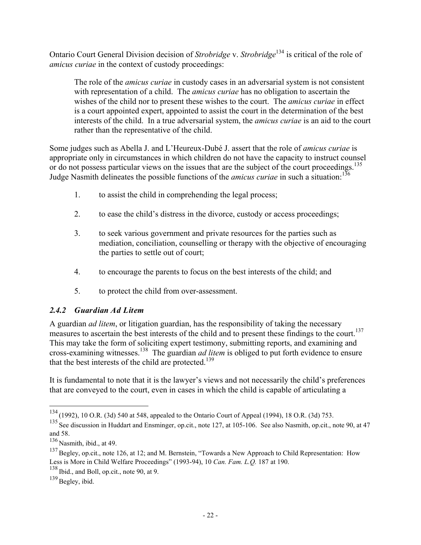Ontario Court General Division decision of *Strobridge* v. *Strobridge*134 is critical of the role of *amicus curiae* in the context of custody proceedings:

The role of the *amicus curiae* in custody cases in an adversarial system is not consistent with representation of a child. The *amicus curiae* has no obligation to ascertain the wishes of the child nor to present these wishes to the court. The *amicus curiae* in effect is a court appointed expert, appointed to assist the court in the determination of the best interests of the child. In a true adversarial system, the *amicus curiae* is an aid to the court rather than the representative of the child.

Some judges such as Abella J. and L'Heureux-Dubé J. assert that the role of *amicus curiae* is appropriate only in circumstances in which children do not have the capacity to instruct counsel or do not possess particular views on the issues that are the subject of the court proceedings.<sup>135</sup> Judge Nasmith delineates the possible functions of the *amicus curiae* in such a situation:<sup>136</sup>

- 1. to assist the child in comprehending the legal process;
- 2. to ease the child's distress in the divorce, custody or access proceedings;
- 3. to seek various government and private resources for the parties such as mediation, conciliation, counselling or therapy with the objective of encouraging the parties to settle out of court;
- 4. to encourage the parents to focus on the best interests of the child; and
- 5. to protect the child from over-assessment.

#### *2.4.2 Guardian Ad Litem*

A guardian *ad litem*, or litigation guardian, has the responsibility of taking the necessary measures to ascertain the best interests of the child and to present these findings to the court.<sup>137</sup> This may take the form of soliciting expert testimony, submitting reports, and examining and cross-examining witnesses.138 The guardian *ad litem* is obliged to put forth evidence to ensure that the best interests of the child are protected.<sup>139</sup>

It is fundamental to note that it is the lawyer's views and not necessarily the child's preferences that are conveyed to the court, even in cases in which the child is capable of articulating a

<sup>134</sup> (1992), 10 O.R. (3d) 540 at 548, appealed to the Ontario Court of Appeal (1994), 18 O.R. (3d) 753.

 $^{135}$  See discussion in Huddart and Ensminger, op.cit., note 127, at 105-106. See also Nasmith, op.cit., note 90, at 47 and 58.

<sup>136</sup> Nasmith, ibid., at 49.

<sup>&</sup>lt;sup>137</sup> Begley, op.cit., note 126, at 12; and M. Bernstein, "Towards a New Approach to Child Representation: How Less is More in Child Welfare Proceedings" (1993-94), 10 *Can. Fam. L.Q.* 187 at 190.

<sup>138</sup> Ibid., and Boll, op.cit., note 90, at 9.

 $139$  Begley, ibid.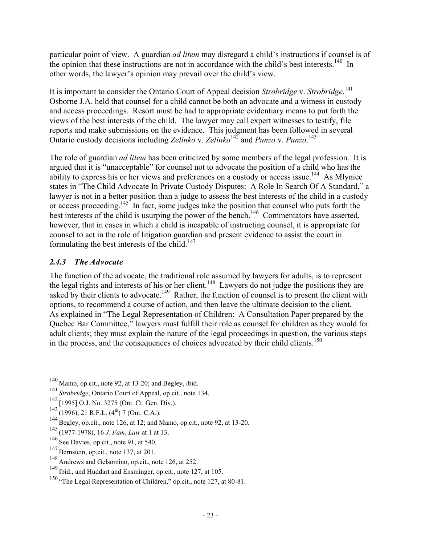particular point of view. A guardian *ad litem* may disregard a child's instructions if counsel is of the opinion that these instructions are not in accordance with the child's best interests.<sup>140</sup> In other words, the lawyer's opinion may prevail over the child's view.

It is important to consider the Ontario Court of Appeal decision *Strobridge* v. *Strobridge*. 141 Osborne J.A. held that counsel for a child cannot be both an advocate and a witness in custody and access proceedings. Resort must be had to appropriate evidentiary means to put forth the views of the best interests of the child. The lawyer may call expert witnesses to testify, file reports and make submissions on the evidence. This judgment has been followed in several Ontario custody decisions including *Zelinko* v. *Zelinko*142 and *Punzo* v. *Punzo*. 143

The role of guardian *ad litem* has been criticized by some members of the legal profession. It is argued that it is "unacceptable" for counsel not to advocate the position of a child who has the ability to express his or her views and preferences on a custody or access issue.<sup>144</sup> As Mlyniec states in "The Child Advocate In Private Custody Disputes: A Role In Search Of A Standard," a lawyer is not in a better position than a judge to assess the best interests of the child in a custody or access proceeding.<sup>145</sup> In fact, some judges take the position that counsel who puts forth the best interests of the child is usurping the power of the bench.<sup>146</sup> Commentators have asserted, however, that in cases in which a child is incapable of instructing counsel, it is appropriate for counsel to act in the role of litigation guardian and present evidence to assist the court in formulating the best interests of the child. $147$ 

#### *2.4.3 The Advocate*

 $\overline{a}$ 

The function of the advocate, the traditional role assumed by lawyers for adults, is to represent the legal rights and interests of his or her client.<sup>148</sup> Lawyers do not judge the positions they are asked by their clients to advocate.<sup>149</sup> Rather, the function of counsel is to present the client with options, to recommend a course of action, and then leave the ultimate decision to the client. As explained in "The Legal Representation of Children: A Consultation Paper prepared by the Quebec Bar Committee," lawyers must fulfill their role as counsel for children as they would for adult clients; they must explain the nature of the legal proceedings in question, the various steps in the process, and the consequences of choices advocated by their child clients.<sup>150</sup>

 $140$  Mamo, op.cit., note 92, at 13-20; and Begley, ibid.

<sup>141</sup> *Strobridge*, Ontario Court of Appeal, op.cit., note 134.

<sup>142</sup> [1995] O.J. No. 3275 (Ont. Ct. Gen. Div.).

 $^{143}$  (1996), 21 R.F.L. (4<sup>th</sup>) 7 (Ont. C.A.).

 $144$  Begley, op.cit., note 126, at 12; and Mamo, op.cit., note 92, at 13-20.

<sup>145</sup> (1977-1978), 16 *J. Fam. Law* at 1 at 13.

<sup>146</sup> See Davies, op.cit., note 91, at 540.

<sup>&</sup>lt;sup>147</sup> Bernstein, op.cit., note 137, at 201.

<sup>148</sup> Andrews and Gelsomino, op.cit., note 126, at 252.

<sup>149</sup> Ibid., and Huddart and Ensminger, op.cit., note 127, at 105.

<sup>&</sup>lt;sup>150</sup> "The Legal Representation of Children," op.cit., note 127, at 80-81.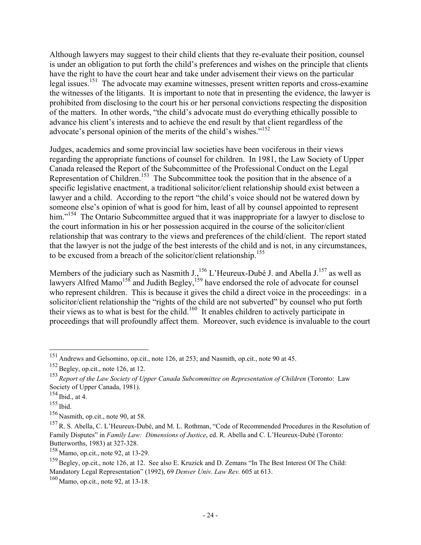Although lawyers may suggest to their child clients that they re-evaluate their position, counsel is under an obligation to put forth the child's preferences and wishes on the principle that clients have the right to have the court hear and take under advisement their views on the particular legal issues.<sup>151</sup> The advocate may examine witnesses, present written reports and cross-examine the witnesses of the litigants. It is important to note that in presenting the evidence, the lawyer is prohibited from disclosing to the court his or her personal convictions respecting the disposition of the matters. In other words, "the child's advocate must do everything ethically possible to advance his client's interests and to achieve the end result by that client regardless of the advocate's personal opinion of the merits of the child's wishes."<sup>152</sup>

Judges, academics and some provincial law societies have been vociferous in their views regarding the appropriate functions of counsel for children. In 1981, the Law Society of Upper Canada released the Report of the Subcommittee of the Professional Conduct on the Legal Representation of Children.<sup>153</sup> The Subcommittee took the position that in the absence of a specific legislative enactment, a traditional solicitor/client relationship should exist between a lawyer and a child. According to the report "the child's voice should not be watered down by someone else's opinion of what is good for him, least of all by counsel appointed to represent him."<sup>154</sup> The Ontario Subcommittee argued that it was inappropriate for a lawyer to disclose to the court information in his or her possession acquired in the course of the solicitor/client relationship that was contrary to the views and preferences of the child/client. The report stated that the lawyer is not the judge of the best interests of the child and is not, in any circumstances, to be excused from a breach of the solicitor/client relationship.<sup>155</sup>

Members of the judiciary such as Nasmith J.,<sup>156</sup> L'Heureux-Dubé J. and Abella J.<sup>157</sup> as well as lawyers Alfred Mamo<sup>158</sup> and Judith Begley,<sup>159</sup> have endorsed the role of advocate for counsel who represent children. This is because it gives the child a direct voice in the proceedings: in a solicitor/client relationship the "rights of the child are not subverted" by counsel who put forth their views as to what is best for the child.160 It enables children to actively participate in proceedings that will profoundly affect them. Moreover, such evidence is invaluable to the court

<sup>&</sup>lt;sup>151</sup> Andrews and Gelsomino, op.cit., note 126, at 253; and Nasmith, op.cit., note 90 at 45.

 $152$  Begley, op.cit., note 126, at 12.

<sup>153</sup> *Report of the Law Society of Upper Canada Subcommittee on Representation of Children* (Toronto: Law Society of Upper Canada, 1981).

 $154$  Ibid., at 4.

<sup>155</sup> Ibid.

<sup>156</sup> Nasmith, op.cit., note 90, at 58.

<sup>157</sup>R. S. Abella, C. L'Heureux-Dubé, and M. L. Rothman, "Code of Recommended Procedures in the Resolution of Family Disputes" in *Family Law: Dimensions of Justice*, ed. R. Abella and C. L'Heureux-Dubé (Toronto: Butterworths, 1983) at 327-328.

<sup>158</sup> Mamo, op.cit., note 92, at 13-29.

<sup>&</sup>lt;sup>159</sup> Begley, op.cit., note 126, at 12. See also E. Kruzick and D. Zemans "In The Best Interest Of The Child: Mandatory Legal Representation" (1992), 69 *Denver Univ. Law Rev.* 605 at 613.

<sup>160</sup> Mamo, op.cit., note 92, at 13-18.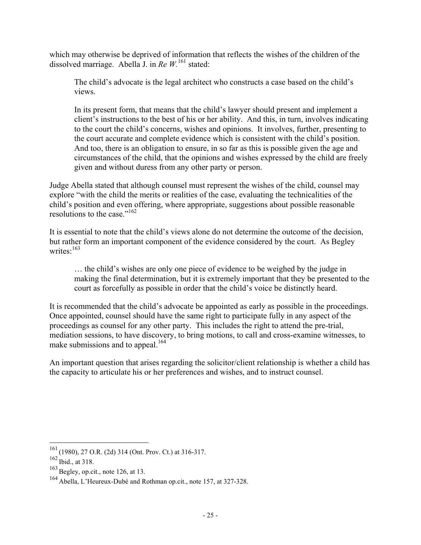which may otherwise be deprived of information that reflects the wishes of the children of the dissolved marriage. Abella J. in *Re W.*161 stated:

The child's advocate is the legal architect who constructs a case based on the child's views.

In its present form, that means that the child's lawyer should present and implement a client's instructions to the best of his or her ability. And this, in turn, involves indicating to the court the child's concerns, wishes and opinions. It involves, further, presenting to the court accurate and complete evidence which is consistent with the child's position. And too, there is an obligation to ensure, in so far as this is possible given the age and circumstances of the child, that the opinions and wishes expressed by the child are freely given and without duress from any other party or person.

Judge Abella stated that although counsel must represent the wishes of the child, counsel may explore "with the child the merits or realities of the case, evaluating the technicalities of the child's position and even offering, where appropriate, suggestions about possible reasonable resolutions to the case."<sup>162</sup>

It is essential to note that the child's views alone do not determine the outcome of the decision, but rather form an important component of the evidence considered by the court. As Begley writes<sup>.163</sup>

… the child's wishes are only one piece of evidence to be weighed by the judge in making the final determination, but it is extremely important that they be presented to the court as forcefully as possible in order that the child's voice be distinctly heard.

It is recommended that the child's advocate be appointed as early as possible in the proceedings. Once appointed, counsel should have the same right to participate fully in any aspect of the proceedings as counsel for any other party. This includes the right to attend the pre-trial, mediation sessions, to have discovery, to bring motions, to call and cross-examine witnesses, to make submissions and to appeal.<sup>164</sup>

An important question that arises regarding the solicitor/client relationship is whether a child has the capacity to articulate his or her preferences and wishes, and to instruct counsel.

 $161$  (1980), 27 O.R. (2d) 314 (Ont. Prov. Ct.) at 316-317.

 $162$  Ibid., at 318.

 $163$  Begley, op.cit., note 126, at 13.

<sup>164</sup> Abella, L'Heureux-Dubé and Rothman op.cit., note 157, at 327-328.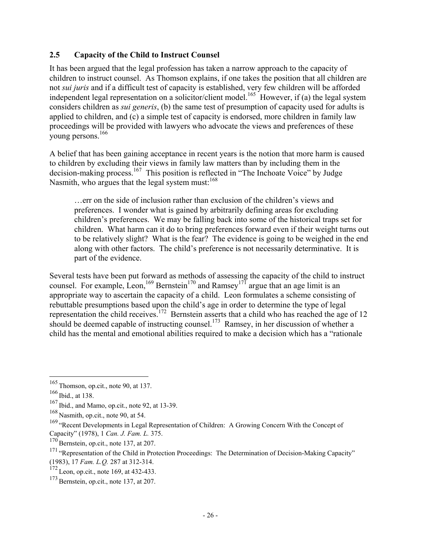#### **2.5 Capacity of the Child to Instruct Counsel**

It has been argued that the legal profession has taken a narrow approach to the capacity of children to instruct counsel. As Thomson explains, if one takes the position that all children are not *sui juris* and if a difficult test of capacity is established, very few children will be afforded independent legal representation on a solicitor/client model.<sup>165</sup> However, if (a) the legal system considers children as *sui generis*, (b) the same test of presumption of capacity used for adults is applied to children, and (c) a simple test of capacity is endorsed, more children in family law proceedings will be provided with lawyers who advocate the views and preferences of these young persons.<sup>166</sup>

A belief that has been gaining acceptance in recent years is the notion that more harm is caused to children by excluding their views in family law matters than by including them in the decision-making process.<sup>167</sup> This position is reflected in "The Inchoate Voice" by Judge Nasmith, who argues that the legal system must: $168$ 

…err on the side of inclusion rather than exclusion of the children's views and preferences. I wonder what is gained by arbitrarily defining areas for excluding children's preferences. We may be falling back into some of the historical traps set for children. What harm can it do to bring preferences forward even if their weight turns out to be relatively slight? What is the fear? The evidence is going to be weighed in the end along with other factors. The child's preference is not necessarily determinative. It is part of the evidence.

Several tests have been put forward as methods of assessing the capacity of the child to instruct counsel. For example, Leon,<sup>169</sup> Bernstein<sup>170</sup> and Ramsey<sup>171</sup> argue that an age limit is an appropriate way to ascertain the capacity of a child. Leon formulates a scheme consisting of rebuttable presumptions based upon the child's age in order to determine the type of legal representation the child receives.<sup>172</sup> Bernstein asserts that a child who has reached the age of 12 should be deemed capable of instructing counsel.<sup>173</sup> Ramsey, in her discussion of whether a child has the mental and emotional abilities required to make a decision which has a "rationale

1

 $165$  Thomson, op.cit., note 90, at 137.

 $166$  Ibid., at 138.

<sup>167</sup> Ibid., and Mamo, op.cit., note 92, at 13-39.

<sup>168</sup> Nasmith, op.cit., note 90, at 54.

 $169$  "Recent Developments in Legal Representation of Children: A Growing Concern With the Concept of Capacity" (1978), 1 *Can. J. Fam. L.* 375.

 $170$  Bernstein, op.cit., note 137, at 207.

<sup>&</sup>lt;sup>171</sup> "Representation of the Child in Protection Proceedings: The Determination of Decision-Making Capacity" (1983), 17 *Fam. L.Q.* 287 at 312-314.

 $172$  Leon, op.cit., note 169, at 432-433.

 $173$  Bernstein, op.cit., note 137, at 207.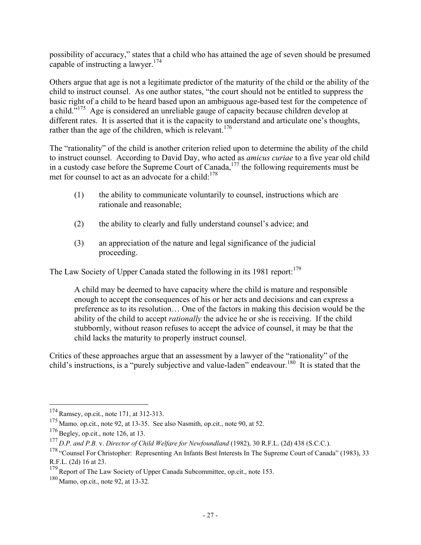possibility of accuracy," states that a child who has attained the age of seven should be presumed capable of instructing a lawyer.<sup>174</sup>

Others argue that age is not a legitimate predictor of the maturity of the child or the ability of the child to instruct counsel. As one author states, "the court should not be entitled to suppress the basic right of a child to be heard based upon an ambiguous age-based test for the competence of a child."175 Age is considered an unreliable gauge of capacity because children develop at different rates. It is asserted that it is the capacity to understand and articulate one's thoughts, rather than the age of the children, which is relevant.<sup>176</sup>

The "rationality" of the child is another criterion relied upon to determine the ability of the child to instruct counsel. According to David Day, who acted as *amicus curiae* to a five year old child in a custody case before the Supreme Court of Canada,  $177$  the following requirements must be met for counsel to act as an advocate for a child: $178$ 

- (1) the ability to communicate voluntarily to counsel, instructions which are rationale and reasonable;
- (2) the ability to clearly and fully understand counsel's advice; and
- (3) an appreciation of the nature and legal significance of the judicial proceeding.

The Law Society of Upper Canada stated the following in its 1981 report: $179$ 

A child may be deemed to have capacity where the child is mature and responsible enough to accept the consequences of his or her acts and decisions and can express a preference as to its resolution… One of the factors in making this decision would be the ability of the child to accept *rationally* the advice he or she is receiving. If the child stubbornly, without reason refuses to accept the advice of counsel, it may be that the child lacks the maturity to properly instruct counsel.

Critics of these approaches argue that an assessment by a lawyer of the "rationality" of the child's instructions, is a "purely subjective and value-laden" endeavour.<sup>180</sup> It is stated that the

 $174$  Ramsey, op.cit., note 171, at 312-313.

<sup>175</sup> Mamo. op.cit., note 92, at 13-35. See also Nasmith, op.cit., note 90, at 52.

 $176$  Begley, op.cit., note 126, at 13.

<sup>177</sup> *D.P. and P.B.* v. *Director of Child Welfare for Newfoundland* (1982), 30 R.F.L. (2d) 438 (S.C.C.).

<sup>&</sup>lt;sup>178</sup> "Counsel For Christopher: Representing An Infants Best Interests In The Supreme Court of Canada" (1983), 33 R.F.L. (2d) 16 at 23.

 $179$  Report of The Law Society of Upper Canada Subcommittee, op.cit., note 153.

<sup>180</sup> Mamo, op.cit., note 92, at 13-32.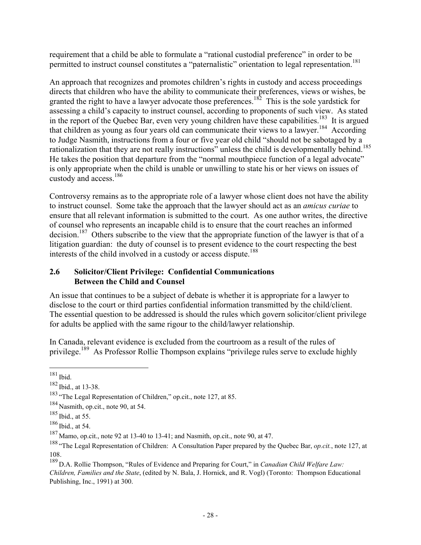requirement that a child be able to formulate a "rational custodial preference" in order to be permitted to instruct counsel constitutes a "paternalistic" orientation to legal representation.<sup>181</sup>

An approach that recognizes and promotes children's rights in custody and access proceedings directs that children who have the ability to communicate their preferences, views or wishes, be granted the right to have a lawyer advocate those preferences.<sup>182</sup> This is the sole yardstick for assessing a child's capacity to instruct counsel, according to proponents of such view. As stated in the report of the Quebec Bar, even very young children have these capabilities.<sup>183</sup> It is argued that children as young as four years old can communicate their views to a lawyer.<sup>184</sup> According to Judge Nasmith, instructions from a four or five year old child "should not be sabotaged by a rationalization that they are not really instructions" unless the child is developmentally behind.<sup>185</sup> He takes the position that departure from the "normal mouthpiece function of a legal advocate" is only appropriate when the child is unable or unwilling to state his or her views on issues of custody and access.186

Controversy remains as to the appropriate role of a lawyer whose client does not have the ability to instruct counsel. Some take the approach that the lawyer should act as an *amicus curiae* to ensure that all relevant information is submitted to the court. As one author writes, the directive of counsel who represents an incapable child is to ensure that the court reaches an informed decision.<sup>187</sup> Others subscribe to the view that the appropriate function of the lawyer is that of a litigation guardian: the duty of counsel is to present evidence to the court respecting the best interests of the child involved in a custody or access dispute.<sup>188</sup>

#### **2.6 Solicitor/Client Privilege: Confidential Communications Between the Child and Counsel**

An issue that continues to be a subject of debate is whether it is appropriate for a lawyer to disclose to the court or third parties confidential information transmitted by the child/client. The essential question to be addressed is should the rules which govern solicitor/client privilege for adults be applied with the same rigour to the child/lawyer relationship.

In Canada, relevant evidence is excluded from the courtroom as a result of the rules of privilege.<sup>189</sup> As Professor Rollie Thompson explains "privilege rules serve to exclude highly

<sup>1</sup>  $181$  Ibid.

<sup>182</sup> Ibid., at 13-38.

<sup>&</sup>lt;sup>183</sup> "The Legal Representation of Children," op.cit., note 127, at 85.

 $184$  Nasmith, op.cit., note 90, at 54.

<sup>185</sup> Ibid., at 55.

<sup>186</sup> Ibid., at 54.

<sup>187</sup> Mamo, op.cit., note 92 at 13-40 to 13-41; and Nasmith, op.cit., note 90, at 47.

<sup>188</sup> "The Legal Representation of Children: A Consultation Paper prepared by the Quebec Bar, *op.cit.*, note 127, at 108.

<sup>189</sup> D.A. Rollie Thompson, "Rules of Evidence and Preparing for Court," in *Canadian Child Welfare Law: Children, Families and the State*, (edited by N. Bala, J. Hornick, and R. Vogl) (Toronto: Thompson Educational Publishing, Inc., 1991) at 300.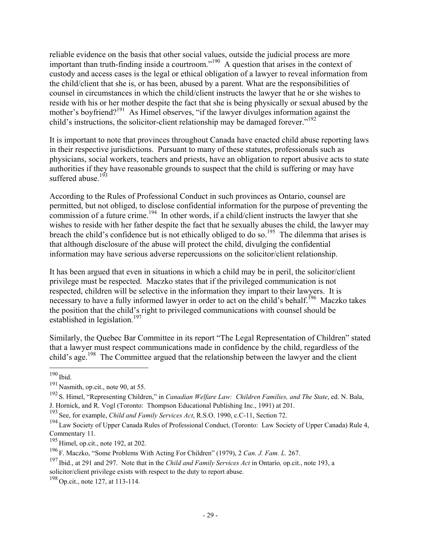reliable evidence on the basis that other social values, outside the judicial process are more important than truth-finding inside a courtroom."190 A question that arises in the context of custody and access cases is the legal or ethical obligation of a lawyer to reveal information from the child/client that she is, or has been, abused by a parent. What are the responsibilities of counsel in circumstances in which the child/client instructs the lawyer that he or she wishes to reside with his or her mother despite the fact that she is being physically or sexual abused by the mother's boyfriend?<sup>191</sup> As Himel observes, "if the lawyer divulges information against the child's instructions, the solicitor-client relationship may be damaged forever."<sup>192</sup>

It is important to note that provinces throughout Canada have enacted child abuse reporting laws in their respective jurisdictions. Pursuant to many of these statutes, professionals such as physicians, social workers, teachers and priests, have an obligation to report abusive acts to state authorities if they have reasonable grounds to suspect that the child is suffering or may have suffered abuse. $193$ 

According to the Rules of Professional Conduct in such provinces as Ontario, counsel are permitted, but not obliged, to disclose confidential information for the purpose of preventing the commission of a future crime.<sup>194</sup> In other words, if a child/client instructs the lawyer that she wishes to reside with her father despite the fact that he sexually abuses the child, the lawyer may breach the child's confidence but is not ethically obliged to do so.<sup>195</sup> The dilemma that arises is that although disclosure of the abuse will protect the child, divulging the confidential information may have serious adverse repercussions on the solicitor/client relationship.

It has been argued that even in situations in which a child may be in peril, the solicitor/client privilege must be respected. Maczko states that if the privileged communication is not respected, children will be selective in the information they impart to their lawyers. It is necessary to have a fully informed lawyer in order to act on the child's behalf.<sup>196</sup> Maczko takes the position that the child's right to privileged communications with counsel should be established in legislation.<sup>197</sup>

Similarly, the Quebec Bar Committee in its report "The Legal Representation of Children" stated that a lawyer must respect communications made in confidence by the child, regardless of the child's age.<sup>198</sup> The Committee argued that the relationship between the lawyer and the client

 $\overline{a}$  $190$  Ibid.

 $191$  Nasmith, op.cit., note 90, at 55.

<sup>192</sup> S. Himel, "Representing Children," in *Canadian Welfare Law: Children Families, and The State*, ed. N. Bala, J. Hornick, and R. Vogl (Toronto: Thompson Educational Publishing Inc., 1991) at 201.

<sup>193</sup> See, for example, *Child and Family Services Act*, R.S.O. 1990, c.C-11, Section 72.

<sup>&</sup>lt;sup>194</sup> Law Society of Upper Canada Rules of Professional Conduct, (Toronto: Law Society of Upper Canada) Rule 4, Commentary 11.

 $195$  Himel, op.cit., note 192, at 202.

<sup>196</sup> F. Maczko, "Some Problems With Acting For Children" (1979), 2 *Can. J. Fam. L.* 267.

<sup>197</sup> Ibid., at 291 and 297. Note that in the *Child and Family Services Act* in Ontario*,* op.cit., note 193, a solicitor/client privilege exists with respect to the duty to report abuse.

<sup>&</sup>lt;sup>198</sup> Op.cit., note 127, at 113-114.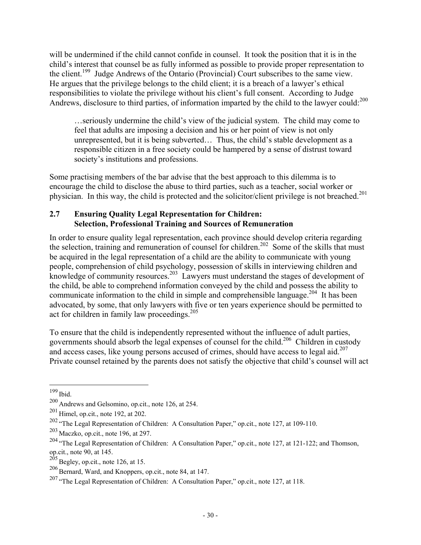will be undermined if the child cannot confide in counsel. It took the position that it is in the child's interest that counsel be as fully informed as possible to provide proper representation to the client.<sup>199</sup> Judge Andrews of the Ontario (Provincial) Court subscribes to the same view. He argues that the privilege belongs to the child client; it is a breach of a lawyer's ethical responsibilities to violate the privilege without his client's full consent. According to Judge Andrews, disclosure to third parties, of information imparted by the child to the lawyer could:<sup>200</sup>

…seriously undermine the child's view of the judicial system. The child may come to feel that adults are imposing a decision and his or her point of view is not only unrepresented, but it is being subverted… Thus, the child's stable development as a responsible citizen in a free society could be hampered by a sense of distrust toward society's institutions and professions.

Some practising members of the bar advise that the best approach to this dilemma is to encourage the child to disclose the abuse to third parties, such as a teacher, social worker or physician. In this way, the child is protected and the solicitor/client privilege is not breached.<sup>201</sup>

#### **2.7 Ensuring Quality Legal Representation for Children: Selection, Professional Training and Sources of Remuneration**

In order to ensure quality legal representation, each province should develop criteria regarding the selection, training and remuneration of counsel for children.<sup>202</sup> Some of the skills that must be acquired in the legal representation of a child are the ability to communicate with young people, comprehension of child psychology, possession of skills in interviewing children and knowledge of community resources.<sup>203</sup> Lawyers must understand the stages of development of the child, be able to comprehend information conveyed by the child and possess the ability to communicate information to the child in simple and comprehensible language.<sup>204</sup> It has been advocated, by some, that only lawyers with five or ten years experience should be permitted to act for children in family law proceedings.<sup>205</sup>

To ensure that the child is independently represented without the influence of adult parties, governments should absorb the legal expenses of counsel for the child.206 Children in custody and access cases, like young persons accused of crimes, should have access to legal aid.<sup>207</sup> Private counsel retained by the parents does not satisfy the objective that child's counsel will act

 $199$  Ibid.

<sup>200</sup> Andrews and Gelsomino, op.cit., note 126, at 254.

<sup>201</sup> Himel, op.cit., note 192, at 202.

<sup>&</sup>lt;sup>202</sup> "The Legal Representation of Children: A Consultation Paper," op.cit., note 127, at 109-110.

<sup>203</sup> Maczko, op.cit., note 196, at 297.

<sup>&</sup>lt;sup>204</sup> "The Legal Representation of Children: A Consultation Paper," op.cit., note 127, at 121-122; and Thomson, op.cit., note 90, at 145.

 $205$  Begley, op.cit., note 126, at 15.

 $206$  Bernard, Ward, and Knoppers, op.cit., note 84, at 147.

<sup>&</sup>lt;sup>207</sup> "The Legal Representation of Children: A Consultation Paper," op.cit., note 127, at 118.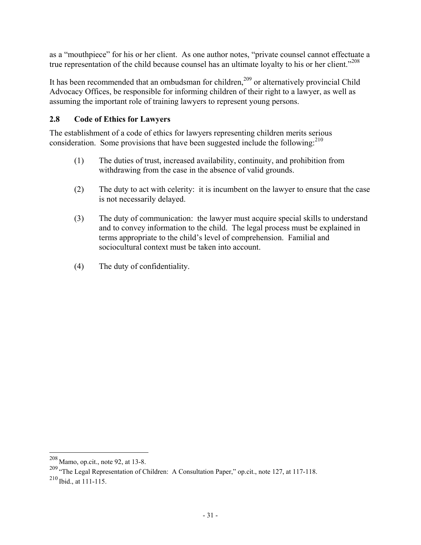as a "mouthpiece" for his or her client. As one author notes, "private counsel cannot effectuate a true representation of the child because counsel has an ultimate loyalty to his or her client."<sup>208</sup>

It has been recommended that an ombudsman for children,<sup>209</sup> or alternatively provincial Child Advocacy Offices, be responsible for informing children of their right to a lawyer, as well as assuming the important role of training lawyers to represent young persons.

# **2.8 Code of Ethics for Lawyers**

The establishment of a code of ethics for lawyers representing children merits serious consideration. Some provisions that have been suggested include the following: $^{210}$ 

- (1) The duties of trust, increased availability, continuity, and prohibition from withdrawing from the case in the absence of valid grounds.
- (2) The duty to act with celerity: it is incumbent on the lawyer to ensure that the case is not necessarily delayed.
- (3) The duty of communication: the lawyer must acquire special skills to understand and to convey information to the child. The legal process must be explained in terms appropriate to the child's level of comprehension. Familial and sociocultural context must be taken into account.
- (4) The duty of confidentiality.

 $^{208}$  Mamo, op.cit., note 92, at 13-8.

<sup>209 &</sup>quot;The Legal Representation of Children: A Consultation Paper," op.cit., note 127, at 117-118.

<sup>210</sup> Ibid., at 111-115.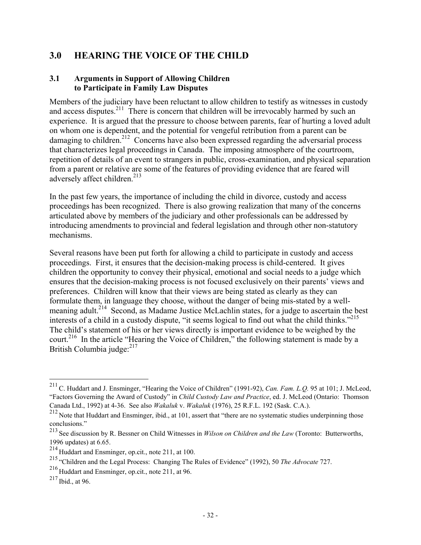# **3.0 HEARING THE VOICE OF THE CHILD**

# **3.1 Arguments in Support of Allowing Children to Participate in Family Law Disputes**

Members of the judiciary have been reluctant to allow children to testify as witnesses in custody and access disputes.<sup>211</sup> There is concern that children will be irrevocably harmed by such an experience. It is argued that the pressure to choose between parents, fear of hurting a loved adult on whom one is dependent, and the potential for vengeful retribution from a parent can be damaging to children.<sup>212</sup> Concerns have also been expressed regarding the adversarial process that characterizes legal proceedings in Canada. The imposing atmosphere of the courtroom, repetition of details of an event to strangers in public, cross-examination, and physical separation from a parent or relative are some of the features of providing evidence that are feared will adversely affect children.<sup>213</sup>

In the past few years, the importance of including the child in divorce, custody and access proceedings has been recognized. There is also growing realization that many of the concerns articulated above by members of the judiciary and other professionals can be addressed by introducing amendments to provincial and federal legislation and through other non-statutory mechanisms.

Several reasons have been put forth for allowing a child to participate in custody and access proceedings. First, it ensures that the decision-making process is child-centered. It gives children the opportunity to convey their physical, emotional and social needs to a judge which ensures that the decision-making process is not focused exclusively on their parents' views and preferences. Children will know that their views are being stated as clearly as they can formulate them, in language they choose, without the danger of being mis-stated by a wellmeaning adult.<sup>214</sup> Second, as Madame Justice McLachlin states, for a judge to ascertain the best interests of a child in a custody dispute, "it seems logical to find out what the child thinks."<sup>215</sup> The child's statement of his or her views directly is important evidence to be weighed by the court.<sup>216</sup> In the article "Hearing the Voice of Children," the following statement is made by a British Columbia judge: $217$ 

<sup>211</sup>C. Huddart and J. Ensminger, "Hearing the Voice of Children" (1991-92), *Can. Fam. L.Q.* 95 at 101; J. McLeod, "Factors Governing the Award of Custody" in *Child Custody Law and Practice*, ed. J. McLeod (Ontario: Thomson Canada Ltd., 1992) at 4-36. See also *Wakaluk* v. *Wakaluk* (1976), 25 R.F.L. 192 (Sask. C.A.).

<sup>&</sup>lt;sup>212</sup> Note that Huddart and Ensminger, ibid., at 101, assert that "there are no systematic studies underpinning those conclusions."

<sup>213</sup> See discussion by R. Bessner on Child Witnesses in *Wilson on Children and the Law* (Toronto: Butterworths, 1996 updates) at 6.65.

<sup>214</sup> Huddart and Ensminger, op.cit., note 211, at 100.

<sup>215</sup> "Children and the Legal Process: Changing The Rules of Evidence" (1992), 50 *The Advocate* 727.

<sup>216</sup> Huddart and Ensminger, op.cit., note 211, at 96.

<sup>217</sup> Ibid., at 96.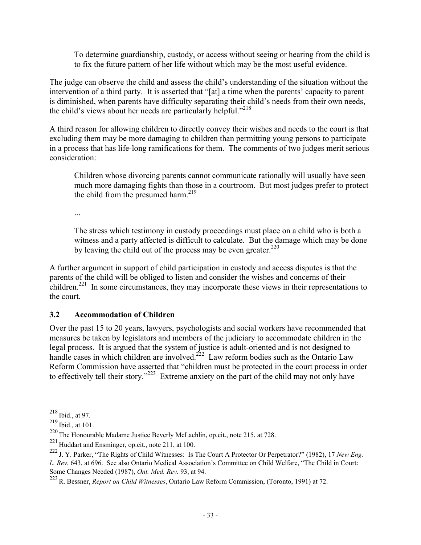To determine guardianship, custody, or access without seeing or hearing from the child is to fix the future pattern of her life without which may be the most useful evidence.

The judge can observe the child and assess the child's understanding of the situation without the intervention of a third party. It is asserted that "[at] a time when the parents' capacity to parent is diminished, when parents have difficulty separating their child's needs from their own needs, the child's views about her needs are particularly helpful."<sup>218</sup>

A third reason for allowing children to directly convey their wishes and needs to the court is that excluding them may be more damaging to children than permitting young persons to participate in a process that has life-long ramifications for them. The comments of two judges merit serious consideration:

Children whose divorcing parents cannot communicate rationally will usually have seen much more damaging fights than those in a courtroom. But most judges prefer to protect the child from the presumed harm. $^{219}$ 

...

The stress which testimony in custody proceedings must place on a child who is both a witness and a party affected is difficult to calculate. But the damage which may be done by leaving the child out of the process may be even greater.<sup>220</sup>

A further argument in support of child participation in custody and access disputes is that the parents of the child will be obliged to listen and consider the wishes and concerns of their children.<sup>221</sup> In some circumstances, they may incorporate these views in their representations to the court.

# **3.2 Accommodation of Children**

Over the past 15 to 20 years, lawyers, psychologists and social workers have recommended that measures be taken by legislators and members of the judiciary to accommodate children in the legal process. It is argued that the system of justice is adult-oriented and is not designed to handle cases in which children are involved.<sup> $222$ </sup> Law reform bodies such as the Ontario Law Reform Commission have asserted that "children must be protected in the court process in order to effectively tell their story."223 Extreme anxiety on the part of the child may not only have

 $^{218}$  Ibid., at 97.

 $^{219}$  Ibid., at 101.

<sup>220</sup> The Honourable Madame Justice Beverly McLachlin, op.cit., note 215, at 728.

<sup>221</sup> Huddart and Ensminger, op.cit., note 211, at 100.

<sup>222</sup> J. Y. Parker, "The Rights of Child Witnesses: Is The Court A Protector Or Perpetrator?" (1982), 17 *New Eng. L. Rev.* 643, at 696. See also Ontario Medical Association's Committee on Child Welfare, "The Child in Court: Some Changes Needed (1987), *Ont. Med. Rev.* 93, at 94.

<sup>223</sup>R. Bessner, *Report on Child Witnesses*, Ontario Law Reform Commission, (Toronto, 1991) at 72.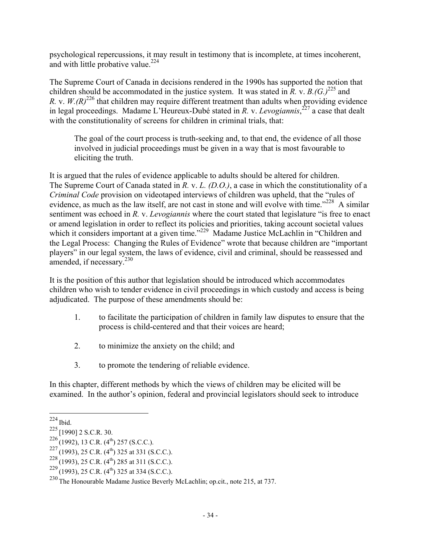psychological repercussions, it may result in testimony that is incomplete, at times incoherent, and with little probative value. $224$ 

The Supreme Court of Canada in decisions rendered in the 1990s has supported the notion that children should be accommodated in the justice system. It was stated in  $\overline{R}$ , v.  $\overline{B}$ ,  $(G, \overline{C})^{225}$  and *R. v.*  $W.(R)^{226}$  that children may require different treatment than adults when providing evidence in legal proceedings. Madame L'Heureux-Dubé stated in *R.* v. *Levogiannis*, 227 a case that dealt with the constitutionality of screens for children in criminal trials, that:

The goal of the court process is truth-seeking and, to that end, the evidence of all those involved in judicial proceedings must be given in a way that is most favourable to eliciting the truth.

It is argued that the rules of evidence applicable to adults should be altered for children. The Supreme Court of Canada stated in *R.* v. *L. (D.O.)*, a case in which the constitutionality of a *Criminal Code* provision on videotaped interviews of children was upheld, that the "rules of evidence, as much as the law itself, are not cast in stone and will evolve with time."<sup>228</sup> A similar sentiment was echoed in *R.* v. *Levogiannis* where the court stated that legislature "is free to enact or amend legislation in order to reflect its policies and priorities, taking account societal values which it considers important at a given time."<sup>229</sup> Madame Justice McLachlin in "Children and the Legal Process: Changing the Rules of Evidence" wrote that because children are "important players" in our legal system, the laws of evidence, civil and criminal, should be reassessed and amended, if necessary.<sup>230</sup>

It is the position of this author that legislation should be introduced which accommodates children who wish to tender evidence in civil proceedings in which custody and access is being adjudicated. The purpose of these amendments should be:

- 1. to facilitate the participation of children in family law disputes to ensure that the process is child-centered and that their voices are heard;
- 2. to minimize the anxiety on the child; and
- 3. to promote the tendering of reliable evidence.

In this chapter, different methods by which the views of children may be elicited will be examined. In the author's opinion, federal and provincial legislators should seek to introduce

 $\overline{a}$  $^{224}$  Ibid.

<sup>225</sup> [1990] 2 S.C.R. 30.

 $226(1992)$ , 13 C.R. (4<sup>th</sup>) 257 (S.C.C.).

 $^{227}$ (1993), 25 C.R. (4<sup>th</sup>) 325 at 331 (S.C.C.).

 $^{228}$ (1993), 25 C.R. (4<sup>th</sup>) 285 at 311 (S.C.C.).

 $^{229}$ (1993), 25 C.R. (4<sup>th</sup>) 325 at 334 (S.C.C.).

<sup>230</sup> The Honourable Madame Justice Beverly McLachlin; op.cit., note 215, at 737.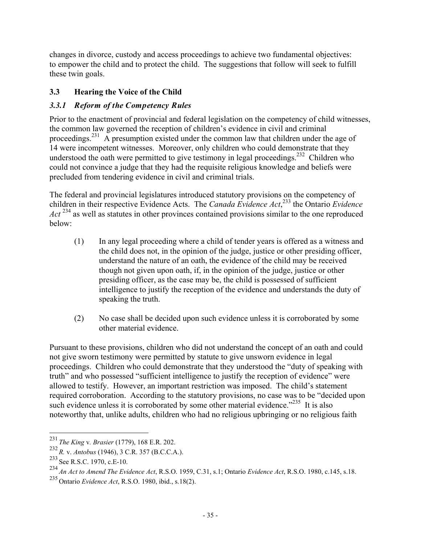changes in divorce, custody and access proceedings to achieve two fundamental objectives: to empower the child and to protect the child. The suggestions that follow will seek to fulfill these twin goals.

# **3.3 Hearing the Voice of the Child**

# *3.3.1 Reform of the Competency Rules*

Prior to the enactment of provincial and federal legislation on the competency of child witnesses, the common law governed the reception of children's evidence in civil and criminal proceedings.<sup>231</sup> A presumption existed under the common law that children under the age of 14 were incompetent witnesses. Moreover, only children who could demonstrate that they understood the oath were permitted to give testimony in legal proceedings.<sup>232</sup> Children who could not convince a judge that they had the requisite religious knowledge and beliefs were precluded from tendering evidence in civil and criminal trials.

The federal and provincial legislatures introduced statutory provisions on the competency of children in their respective Evidence Acts. The *Canada Evidence Act*, 233 the Ontario *Evidence Act*<sup>234</sup> as well as statutes in other provinces contained provisions similar to the one reproduced below:

- (1) In any legal proceeding where a child of tender years is offered as a witness and the child does not, in the opinion of the judge, justice or other presiding officer, understand the nature of an oath, the evidence of the child may be received though not given upon oath, if, in the opinion of the judge, justice or other presiding officer, as the case may be, the child is possessed of sufficient intelligence to justify the reception of the evidence and understands the duty of speaking the truth.
- (2) No case shall be decided upon such evidence unless it is corroborated by some other material evidence.

Pursuant to these provisions, children who did not understand the concept of an oath and could not give sworn testimony were permitted by statute to give unsworn evidence in legal proceedings. Children who could demonstrate that they understood the "duty of speaking with truth" and who possessed "sufficient intelligence to justify the reception of evidence" were allowed to testify. However, an important restriction was imposed. The child's statement required corroboration. According to the statutory provisions, no case was to be "decided upon such evidence unless it is corroborated by some other material evidence.<sup> $235$ </sup> It is also noteworthy that, unlike adults, children who had no religious upbringing or no religious faith

<sup>231</sup> *The King* v*. Brasier* (1779), 168 E.R. 202.

<sup>232</sup> *R.* v. *Antobus* (1946), 3 C.R. 357 (B.C.C.A.).

 $^{233}$  See R.S.C. 1970, c.E-10.

<sup>234</sup> *An Act to Amend The Evidence Act*, R.S.O. 1959, C.31, s.1; Ontario *Evidence Act*, R.S.O. 1980, c.145, s.18.

<sup>235</sup> Ontario *Evidence Act*, R.S.O. 1980, ibid., s.18(2).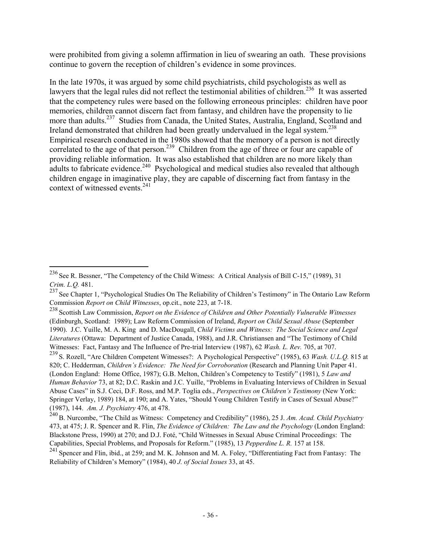were prohibited from giving a solemn affirmation in lieu of swearing an oath. These provisions continue to govern the reception of children's evidence in some provinces.

In the late 1970s, it was argued by some child psychiatrists, child psychologists as well as lawyers that the legal rules did not reflect the testimonial abilities of children.<sup>236</sup> It was asserted that the competency rules were based on the following erroneous principles: children have poor memories, children cannot discern fact from fantasy, and children have the propensity to lie more than adults.<sup>237</sup> Studies from Canada, the United States, Australia, England, Scotland and Ireland demonstrated that children had been greatly undervalued in the legal system.<sup>238</sup> Empirical research conducted in the 1980s showed that the memory of a person is not directly correlated to the age of that person.<sup>239</sup> Children from the age of three or four are capable of providing reliable information. It was also established that children are no more likely than adults to fabricate evidence.<sup>240</sup> Psychological and medical studies also revealed that although children engage in imaginative play, they are capable of discerning fact from fantasy in the context of witnessed events.<sup>241</sup>

<sup>&</sup>lt;sup>236</sup> See R. Bessner, "The Competency of the Child Witness: A Critical Analysis of Bill C-15," (1989), 31 *Crim. L.Q.* 481.

<sup>&</sup>lt;sup>237</sup> See Chapter 1, "Psychological Studies On The Reliability of Children's Testimony" in The Ontario Law Reform Commission *Report on Child Witnesses*, op.cit., note 223, at 7-18.

<sup>238</sup> Scottish Law Commission, *Report on the Evidence of Children and Other Potentially Vulnerable Witnesses* (Edinburgh, Scotland: 1989); Law Reform Commission of Ireland, *Report on Child Sexual Abuse* (September 1990). J.C. Yuille, M. A. King and D. MacDougall, *Child Victims and Witness: The Social Science and Legal Literatures* (Ottawa: Department of Justice Canada, 1988), and J.R. Christiansen and "The Testimony of Child Witnesses: Fact, Fantasy and The Influence of Pre-trial Interview (1987), 62 *Wash. L. Rev.* 705, at 707.

<sup>239</sup> S. Rozell, "Are Children Competent Witnesses?: A Psychological Perspective" (1985), 63 *Wash. U.L.Q.* 815 at 820; C. Hedderman, *Children's Evidence: The Need for Corroboration* (Research and Planning Unit Paper 41. (London England: Home Office, 1987); G.B. Melton, Children's Competency to Testify" (1981), 5 *Law and Human Behavior* 73, at 82; D.C. Raskin and J.C. Yuille, "Problems in Evaluating Interviews of Children in Sexual Abuse Cases" in S.J. Ceci, D.F. Ross, and M.P. Toglia eds., *Perspectives on Children's Testimony* (New York: Springer Verlay, 1989) 184, at 190; and A. Yates, "Should Young Children Testify in Cases of Sexual Abuse?" (1987), 144. *Am. J. Psychiatry* 476, at 478.

<sup>240</sup>B. Nurcombe, "The Child as Witness: Competency and Credibility" (1986), 25 J. *Am. Acad. Child Psychiatry* 473, at 475; J. R. Spencer and R. Flin, *The Evidence of Children: The Law and the Psychology* (London England: Blackstone Press, 1990) at 270; and D.J. Foté, "Child Witnesses in Sexual Abuse Criminal Proceedings: The Capabilities, Special Problems, and Proposals for Reform." (1985), 13 *Pepperdine L. R.* 157 at 158.

<sup>&</sup>lt;sup>241</sup> Spencer and Flin, ibid., at 259; and M. K. Johnson and M. A. Foley, "Differentiating Fact from Fantasy: The Reliability of Children's Memory" (1984), 40 *J. of Social Issues* 33, at 45.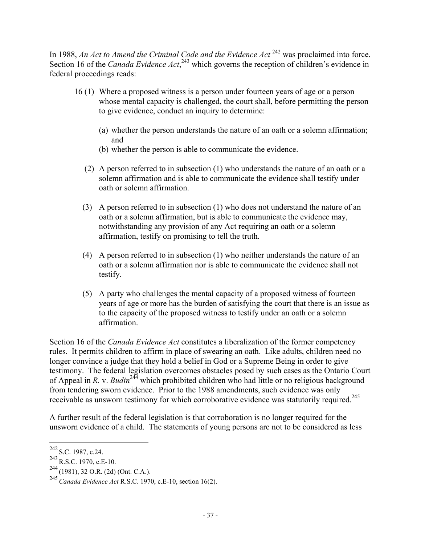In 1988, *An Act to Amend the Criminal Code and the Evidence Act* <sup>242</sup> was proclaimed into force. Section 16 of the *Canada Evidence Act*,<sup>243</sup> which governs the reception of children's evidence in federal proceedings reads:

- 16 (1) Where a proposed witness is a person under fourteen years of age or a person whose mental capacity is challenged, the court shall, before permitting the person to give evidence, conduct an inquiry to determine:
	- (a) whether the person understands the nature of an oath or a solemn affirmation; and
	- (b) whether the person is able to communicate the evidence.
	- (2) A person referred to in subsection (1) who understands the nature of an oath or a solemn affirmation and is able to communicate the evidence shall testify under oath or solemn affirmation.
	- (3) A person referred to in subsection (1) who does not understand the nature of an oath or a solemn affirmation, but is able to communicate the evidence may, notwithstanding any provision of any Act requiring an oath or a solemn affirmation, testify on promising to tell the truth.
	- (4) A person referred to in subsection (1) who neither understands the nature of an oath or a solemn affirmation nor is able to communicate the evidence shall not testify.
	- (5) A party who challenges the mental capacity of a proposed witness of fourteen years of age or more has the burden of satisfying the court that there is an issue as to the capacity of the proposed witness to testify under an oath or a solemn affirmation.

Section 16 of the *Canada Evidence Act* constitutes a liberalization of the former competency rules. It permits children to affirm in place of swearing an oath. Like adults, children need no longer convince a judge that they hold a belief in God or a Supreme Being in order to give testimony. The federal legislation overcomes obstacles posed by such cases as the Ontario Court of Appeal in *R.* v. *Budin*244 which prohibited children who had little or no religious background from tendering sworn evidence. Prior to the 1988 amendments, such evidence was only receivable as unsworn testimony for which corroborative evidence was statutorily required.<sup>245</sup>

A further result of the federal legislation is that corroboration is no longer required for the unsworn evidence of a child. The statements of young persons are not to be considered as less

 $^{242}$  S.C. 1987, c.24.

 $^{243}$  R.S.C. 1970, c.E-10.

 $^{244}$ (1981), 32 O.R. (2d) (Ont. C.A.).

<sup>245</sup>*Canada Evidence Act* R.S.C. 1970, c.E-10, section 16(2).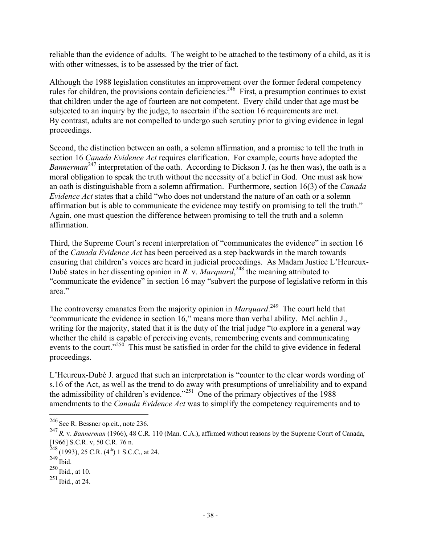reliable than the evidence of adults. The weight to be attached to the testimony of a child, as it is with other witnesses, is to be assessed by the trier of fact.

Although the 1988 legislation constitutes an improvement over the former federal competency rules for children, the provisions contain deficiencies.<sup>246</sup> First, a presumption continues to exist that children under the age of fourteen are not competent. Every child under that age must be subjected to an inquiry by the judge, to ascertain if the section 16 requirements are met. By contrast, adults are not compelled to undergo such scrutiny prior to giving evidence in legal proceedings.

Second, the distinction between an oath, a solemn affirmation, and a promise to tell the truth in section 16 *Canada Evidence Act* requires clarification. For example, courts have adopted the *Bannerman*<sup>247</sup> interpretation of the oath. According to Dickson J. (as he then was), the oath is a moral obligation to speak the truth without the necessity of a belief in God. One must ask how an oath is distinguishable from a solemn affirmation. Furthermore, section 16(3) of the *Canada Evidence Act* states that a child "who does not understand the nature of an oath or a solemn affirmation but is able to communicate the evidence may testify on promising to tell the truth." Again, one must question the difference between promising to tell the truth and a solemn affirmation.

Third, the Supreme Court's recent interpretation of "communicates the evidence" in section 16 of the *Canada Evidence Act* has been perceived as a step backwards in the march towards ensuring that children's voices are heard in judicial proceedings. As Madam Justice L'Heureux-Dubé states in her dissenting opinion in *R.* v. *Marquard*, 248 the meaning attributed to "communicate the evidence" in section 16 may "subvert the purpose of legislative reform in this area."

The controversy emanates from the majority opinion in *Marquard*.<sup>249</sup> The court held that "communicate the evidence in section 16," means more than verbal ability. McLachlin J., writing for the majority, stated that it is the duty of the trial judge "to explore in a general way whether the child is capable of perceiving events, remembering events and communicating events to the court."<sup>250</sup> This must be satisfied in order for the child to give evidence in federal proceedings.

L'Heureux-Dubé J. argued that such an interpretation is "counter to the clear words wording of s.16 of the Act, as well as the trend to do away with presumptions of unreliability and to expand the admissibility of children's evidence."251 One of the primary objectives of the 1988 amendments to the *Canada Evidence Act* was to simplify the competency requirements and to

 $246$  See R. Bessner op.cit., note 236.

<sup>247</sup> *R.* v. *Bannerman* (1966), 48 C.R. 110 (Man. C.A.), affirmed without reasons by the Supreme Court of Canada, [1966] S.C.R. v, 50 C.R. 76 n.

 $248$  (1993), 25 C.R. (4<sup>th</sup>) 1 S.C.C., at 24.

 $^{249}$  Ibid.

 $250$  Ibid., at 10.

<sup>251</sup> Ibid., at 24.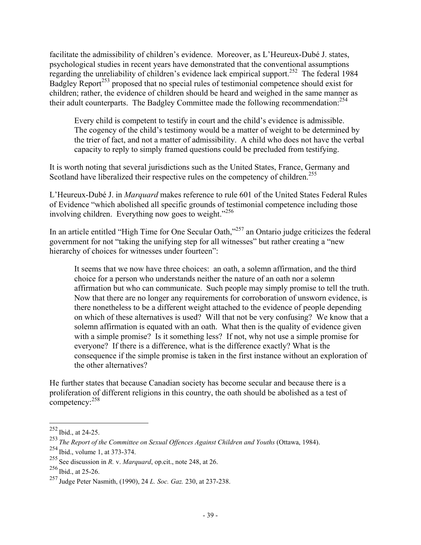facilitate the admissibility of children's evidence. Moreover, as L'Heureux-Dubé J. states, psychological studies in recent years have demonstrated that the conventional assumptions regarding the unreliability of children's evidence lack empirical support.<sup>252</sup> The federal 1984 Badgley Report<sup>253</sup> proposed that no special rules of testimonial competence should exist for children; rather, the evidence of children should be heard and weighed in the same manner as their adult counterparts. The Badgley Committee made the following recommendation:  $254$ 

Every child is competent to testify in court and the child's evidence is admissible. The cogency of the child's testimony would be a matter of weight to be determined by the trier of fact, and not a matter of admissibility. A child who does not have the verbal capacity to reply to simply framed questions could be precluded from testifying.

It is worth noting that several jurisdictions such as the United States, France, Germany and Scotland have liberalized their respective rules on the competency of children.<sup>255</sup>

L'Heureux-Dubé J. in *Marquard* makes reference to rule 601 of the United States Federal Rules of Evidence "which abolished all specific grounds of testimonial competence including those involving children. Everything now goes to weight."<sup>256</sup>

In an article entitled "High Time for One Secular Oath,"257 an Ontario judge criticizes the federal government for not "taking the unifying step for all witnesses" but rather creating a "new hierarchy of choices for witnesses under fourteen":

It seems that we now have three choices: an oath, a solemn affirmation, and the third choice for a person who understands neither the nature of an oath nor a solemn affirmation but who can communicate. Such people may simply promise to tell the truth. Now that there are no longer any requirements for corroboration of unsworn evidence, is there nonetheless to be a different weight attached to the evidence of people depending on which of these alternatives is used? Will that not be very confusing? We know that a solemn affirmation is equated with an oath. What then is the quality of evidence given with a simple promise? Is it something less? If not, why not use a simple promise for everyone? If there is a difference, what is the difference exactly? What is the consequence if the simple promise is taken in the first instance without an exploration of the other alternatives?

He further states that because Canadian society has become secular and because there is a proliferation of different religions in this country, the oath should be abolished as a test of competency:<sup>258</sup>

 $^{252}$  Ibid., at 24-25.

<sup>253</sup> *The Report of the Committee on Sexual Offences Against Children and Youths* (Ottawa, 1984).

<sup>254</sup> Ibid., volume 1, at 373-374.

<sup>255</sup> See discussion in *R.* v. *Marquard*, op.cit., note 248, at 26.

 $256$  Ibid., at 25-26.

<sup>257</sup> Judge Peter Nasmith, (1990), 24 *L. Soc. Gaz.* 230, at 237-238.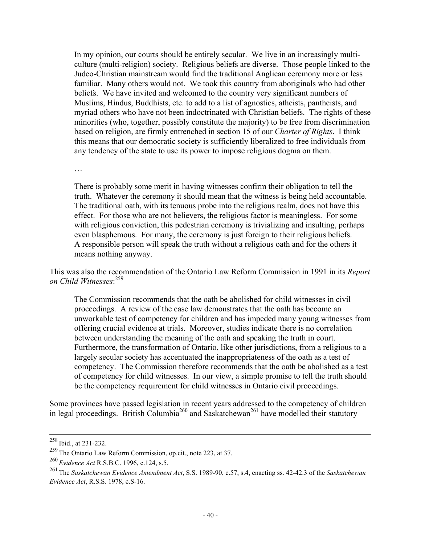In my opinion, our courts should be entirely secular. We live in an increasingly multiculture (multi-religion) society. Religious beliefs are diverse. Those people linked to the Judeo-Christian mainstream would find the traditional Anglican ceremony more or less familiar. Many others would not. We took this country from aboriginals who had other beliefs. We have invited and welcomed to the country very significant numbers of Muslims, Hindus, Buddhists, etc. to add to a list of agnostics, atheists, pantheists, and myriad others who have not been indoctrinated with Christian beliefs. The rights of these minorities (who, together, possibly constitute the majority) to be free from discrimination based on religion, are firmly entrenched in section 15 of our *Charter of Rights*. I think this means that our democratic society is sufficiently liberalized to free individuals from any tendency of the state to use its power to impose religious dogma on them.

…

There is probably some merit in having witnesses confirm their obligation to tell the truth. Whatever the ceremony it should mean that the witness is being held accountable. The traditional oath, with its tenuous probe into the religious realm, does not have this effect. For those who are not believers, the religious factor is meaningless. For some with religious conviction, this pedestrian ceremony is trivializing and insulting, perhaps even blasphemous. For many, the ceremony is just foreign to their religious beliefs. A responsible person will speak the truth without a religious oath and for the others it means nothing anyway.

This was also the recommendation of the Ontario Law Reform Commission in 1991 in its *Report on Child Witnesses*: 259

The Commission recommends that the oath be abolished for child witnesses in civil proceedings. A review of the case law demonstrates that the oath has become an unworkable test of competency for children and has impeded many young witnesses from offering crucial evidence at trials. Moreover, studies indicate there is no correlation between understanding the meaning of the oath and speaking the truth in court. Furthermore, the transformation of Ontario, like other jurisdictions, from a religious to a largely secular society has accentuated the inappropriateness of the oath as a test of competency. The Commission therefore recommends that the oath be abolished as a test of competency for child witnesses. In our view, a simple promise to tell the truth should be the competency requirement for child witnesses in Ontario civil proceedings.

Some provinces have passed legislation in recent years addressed to the competency of children in legal proceedings. British Columbia<sup>260</sup> and Saskatchewan<sup>261</sup> have modelled their statutory

 <sup>258</sup> Ibid., at 231-232.

<sup>259</sup> The Ontario Law Reform Commission, op.cit., note 223, at 37.

<sup>260</sup> *Evidence Act* R.S.B.C. 1996, c.124, s.5.

<sup>261</sup> The *Saskatchewan Evidence Amendment Act*, S.S. 1989-90, c.57, s.4, enacting ss. 42-42.3 of the *Saskatchewan Evidence Act*, R.S.S. 1978, c.S-16.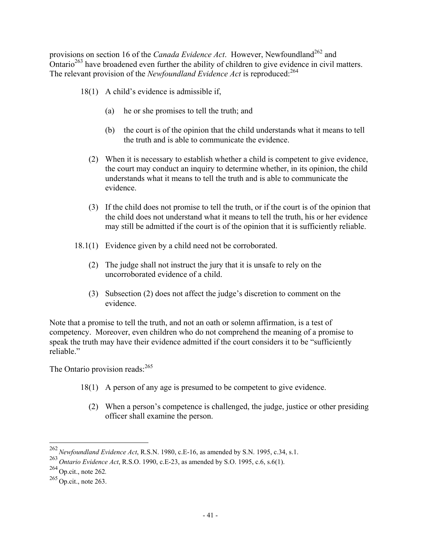provisions on section 16 of the *Canada Evidence Act*. However, Newfoundland<sup>262</sup> and Ontario<sup>263</sup> have broadened even further the ability of children to give evidence in civil matters. The relevant provision of the *Newfoundland Evidence Act* is reproduced:<sup>264</sup>

- 18(1) A child's evidence is admissible if,
	- (a) he or she promises to tell the truth; and
	- (b) the court is of the opinion that the child understands what it means to tell the truth and is able to communicate the evidence.
	- (2) When it is necessary to establish whether a child is competent to give evidence, the court may conduct an inquiry to determine whether, in its opinion, the child understands what it means to tell the truth and is able to communicate the evidence.
	- (3) If the child does not promise to tell the truth, or if the court is of the opinion that the child does not understand what it means to tell the truth, his or her evidence may still be admitted if the court is of the opinion that it is sufficiently reliable.
- 18.1(1) Evidence given by a child need not be corroborated.
	- (2) The judge shall not instruct the jury that it is unsafe to rely on the uncorroborated evidence of a child.
	- (3) Subsection (2) does not affect the judge's discretion to comment on the evidence.

Note that a promise to tell the truth, and not an oath or solemn affirmation, is a test of competency. Moreover, even children who do not comprehend the meaning of a promise to speak the truth may have their evidence admitted if the court considers it to be "sufficiently reliable"

The Ontario provision reads: $^{265}$ 

- 18(1) A person of any age is presumed to be competent to give evidence.
	- (2) When a person's competence is challenged, the judge, justice or other presiding officer shall examine the person.

<sup>262</sup>*Newfoundland Evidence Act*, R.S.N. 1980, c.E-16, as amended by S.N. 1995, c.34, s.1.

<sup>263</sup> *Ontario Evidence Act*, R.S.O. 1990, c.E-23, as amended by S.O. 1995, c.6, s.6(1).

<sup>264</sup> Op.cit., note 262*.*

 $265$  Op.cit., note 263.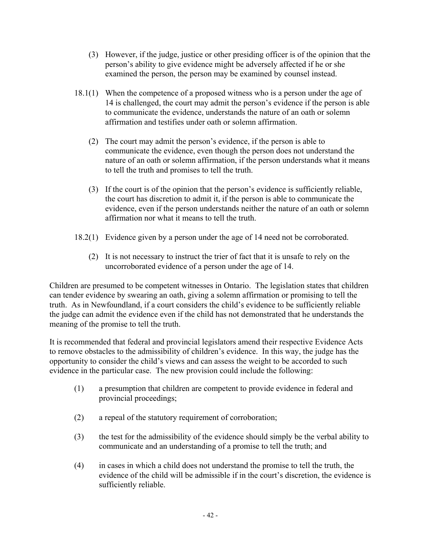- (3) However, if the judge, justice or other presiding officer is of the opinion that the person's ability to give evidence might be adversely affected if he or she examined the person, the person may be examined by counsel instead.
- 18.1(1) When the competence of a proposed witness who is a person under the age of 14 is challenged, the court may admit the person's evidence if the person is able to communicate the evidence, understands the nature of an oath or solemn affirmation and testifies under oath or solemn affirmation.
	- (2) The court may admit the person's evidence, if the person is able to communicate the evidence, even though the person does not understand the nature of an oath or solemn affirmation, if the person understands what it means to tell the truth and promises to tell the truth.
	- (3) If the court is of the opinion that the person's evidence is sufficiently reliable, the court has discretion to admit it, if the person is able to communicate the evidence, even if the person understands neither the nature of an oath or solemn affirmation nor what it means to tell the truth.
- 18.2(1) Evidence given by a person under the age of 14 need not be corroborated.
	- (2) It is not necessary to instruct the trier of fact that it is unsafe to rely on the uncorroborated evidence of a person under the age of 14.

Children are presumed to be competent witnesses in Ontario. The legislation states that children can tender evidence by swearing an oath, giving a solemn affirmation or promising to tell the truth. As in Newfoundland, if a court considers the child's evidence to be sufficiently reliable the judge can admit the evidence even if the child has not demonstrated that he understands the meaning of the promise to tell the truth.

It is recommended that federal and provincial legislators amend their respective Evidence Acts to remove obstacles to the admissibility of children's evidence. In this way, the judge has the opportunity to consider the child's views and can assess the weight to be accorded to such evidence in the particular case. The new provision could include the following:

- (1) a presumption that children are competent to provide evidence in federal and provincial proceedings;
- (2) a repeal of the statutory requirement of corroboration;
- (3) the test for the admissibility of the evidence should simply be the verbal ability to communicate and an understanding of a promise to tell the truth; and
- (4) in cases in which a child does not understand the promise to tell the truth, the evidence of the child will be admissible if in the court's discretion, the evidence is sufficiently reliable.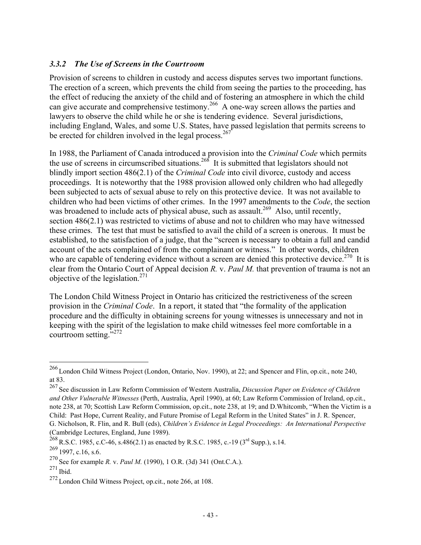# *3.3.2 The Use of Screens in the Courtroom*

Provision of screens to children in custody and access disputes serves two important functions. The erection of a screen, which prevents the child from seeing the parties to the proceeding, has the effect of reducing the anxiety of the child and of fostering an atmosphere in which the child can give accurate and comprehensive testimony.<sup>266</sup> A one-way screen allows the parties and lawyers to observe the child while he or she is tendering evidence. Several jurisdictions, including England, Wales, and some U.S. States, have passed legislation that permits screens to be erected for children involved in the legal process.<sup>267</sup>

In 1988, the Parliament of Canada introduced a provision into the *Criminal Code* which permits the use of screens in circumscribed situations.<sup>268</sup> It is submitted that legislators should not blindly import section 486(2.1) of the *Criminal Code* into civil divorce, custody and access proceedings. It is noteworthy that the 1988 provision allowed only children who had allegedly been subjected to acts of sexual abuse to rely on this protective device. It was not available to children who had been victims of other crimes. In the 1997 amendments to the *Code*, the section was broadened to include acts of physical abuse, such as assault.<sup>269</sup> Also, until recently, section 486(2.1) was restricted to victims of abuse and not to children who may have witnessed these crimes. The test that must be satisfied to avail the child of a screen is onerous. It must be established, to the satisfaction of a judge, that the "screen is necessary to obtain a full and candid account of the acts complained of from the complainant or witness." In other words, children who are capable of tendering evidence without a screen are denied this protective device.<sup>270</sup> It is clear from the Ontario Court of Appeal decision *R.* v. *Paul M.* that prevention of trauma is not an objective of the legislation.<sup>271</sup>

The London Child Witness Project in Ontario has criticized the restrictiveness of the screen provision in the *Criminal Code*. In a report, it stated that "the formality of the application procedure and the difficulty in obtaining screens for young witnesses is unnecessary and not in keeping with the spirit of the legislation to make child witnesses feel more comfortable in a courtroom setting."<sup>272</sup>

 $^{266}$  London Child Witness Project (London, Ontario, Nov. 1990), at 22; and Spencer and Flin, op.cit., note 240, at 83.

<sup>267</sup> See discussion in Law Reform Commission of Western Australia, *Discussion Paper on Evidence of Children and Other Vulnerable Witnesses* (Perth, Australia, April 1990), at 60; Law Reform Commission of Ireland, op.cit., note 238, at 70; Scottish Law Reform Commission, op.cit., note 238, at 19; and D.Whitcomb, "When the Victim is a Child: Past Hope, Current Reality, and Future Promise of Legal Reform in the United States" in J. R. Spencer, G. Nicholson, R. Flin, and R. Bull (eds), *Children's Evidence in Legal Proceedings: An International Perspective* (Cambridge Lectures, England, June 1989).

 $268$  R.S.C. 1985, c.C-46, s.486(2.1) as enacted by R.S.C. 1985, c.-19 (3<sup>rd</sup> Supp.), s.14.

 $269$  1997, c.16, s.6.

<sup>270</sup> See for example *R.* v. *Paul M.* (1990), 1 O.R. (3d) 341 (Ont.C.A.).

<sup>271</sup> Ibid.

<sup>272</sup> London Child Witness Project, op.cit., note 266, at 108.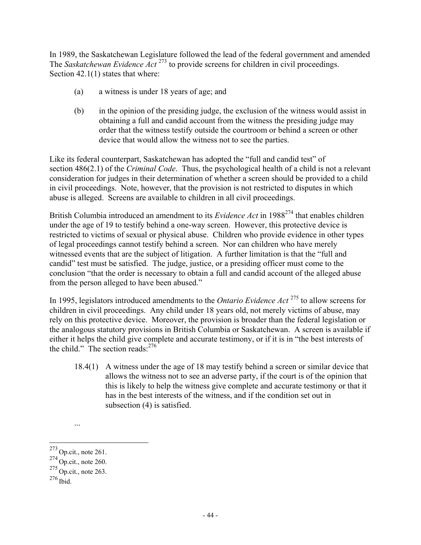In 1989, the Saskatchewan Legislature followed the lead of the federal government and amended The *Saskatchewan Evidence Act*<sup>273</sup> to provide screens for children in civil proceedings. Section 42.1(1) states that where:

- (a) a witness is under 18 years of age; and
- (b) in the opinion of the presiding judge, the exclusion of the witness would assist in obtaining a full and candid account from the witness the presiding judge may order that the witness testify outside the courtroom or behind a screen or other device that would allow the witness not to see the parties.

Like its federal counterpart, Saskatchewan has adopted the "full and candid test" of section 486(2.1) of the *Criminal Code*. Thus, the psychological health of a child is not a relevant consideration for judges in their determination of whether a screen should be provided to a child in civil proceedings. Note, however, that the provision is not restricted to disputes in which abuse is alleged. Screens are available to children in all civil proceedings.

British Columbia introduced an amendment to its *Evidence Act* in 1988<sup>274</sup> that enables children under the age of 19 to testify behind a one-way screen. However, this protective device is restricted to victims of sexual or physical abuse. Children who provide evidence in other types of legal proceedings cannot testify behind a screen. Nor can children who have merely witnessed events that are the subject of litigation. A further limitation is that the "full and candid" test must be satisfied. The judge, justice, or a presiding officer must come to the conclusion "that the order is necessary to obtain a full and candid account of the alleged abuse from the person alleged to have been abused."

In 1995, legislators introduced amendments to the *Ontario Evidence Act* <sup>275</sup> to allow screens for children in civil proceedings. Any child under 18 years old, not merely victims of abuse, may rely on this protective device. Moreover, the provision is broader than the federal legislation or the analogous statutory provisions in British Columbia or Saskatchewan. A screen is available if either it helps the child give complete and accurate testimony, or if it is in "the best interests of the child." The section reads.<sup>276</sup>

18.4(1) A witness under the age of 18 may testify behind a screen or similar device that allows the witness not to see an adverse party, if the court is of the opinion that this is likely to help the witness give complete and accurate testimony or that it has in the best interests of the witness, and if the condition set out in subsection (4) is satisfied.

...

 $^{273}$  Op.cit., note 261.

 $274$  Op.cit., note 260.

 $275$  Op.cit., note 263.

<sup>276</sup> Ibid.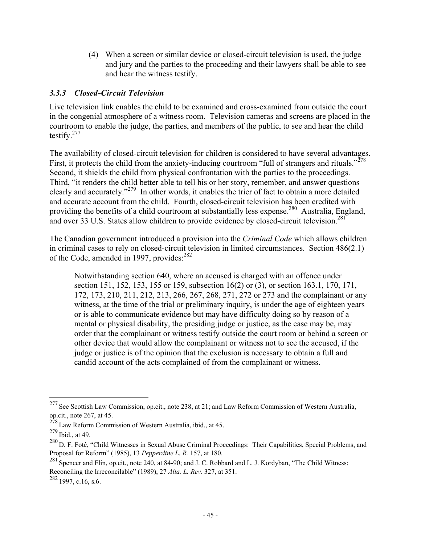(4) When a screen or similar device or closed-circuit television is used, the judge and jury and the parties to the proceeding and their lawyers shall be able to see and hear the witness testify.

# *3.3.3 Closed-Circuit Television*

Live television link enables the child to be examined and cross-examined from outside the court in the congenial atmosphere of a witness room. Television cameras and screens are placed in the courtroom to enable the judge, the parties, and members of the public, to see and hear the child testify. $277$ 

The availability of closed-circuit television for children is considered to have several advantages. First, it protects the child from the anxiety-inducing courtroom "full of strangers and rituals."<sup>278</sup> Second, it shields the child from physical confrontation with the parties to the proceedings. Third, "it renders the child better able to tell his or her story, remember, and answer questions clearly and accurately."279 In other words, it enables the trier of fact to obtain a more detailed and accurate account from the child. Fourth, closed-circuit television has been credited with providing the benefits of a child courtroom at substantially less expense.<sup>280</sup> Australia, England, and over 33 U.S. States allow children to provide evidence by closed-circuit television.<sup>281</sup>

The Canadian government introduced a provision into the *Criminal Code* which allows children in criminal cases to rely on closed-circuit television in limited circumstances. Section 486(2.1) of the Code, amended in 1997, provides:<sup>282</sup>

Notwithstanding section 640, where an accused is charged with an offence under section 151, 152, 153, 155 or 159, subsection 16(2) or (3), or section 163.1, 170, 171, 172, 173, 210, 211, 212, 213, 266, 267, 268, 271, 272 or 273 and the complainant or any witness, at the time of the trial or preliminary inquiry, is under the age of eighteen years or is able to communicate evidence but may have difficulty doing so by reason of a mental or physical disability, the presiding judge or justice, as the case may be, may order that the complainant or witness testify outside the court room or behind a screen or other device that would allow the complainant or witness not to see the accused, if the judge or justice is of the opinion that the exclusion is necessary to obtain a full and candid account of the acts complained of from the complainant or witness.

<sup>&</sup>lt;sup>277</sup> See Scottish Law Commission, op.cit., note 238, at 21; and Law Reform Commission of Western Australia, op.cit., note 267, at 45.

 $278$  Law Reform Commission of Western Australia, ibid., at 45.

<sup>279</sup> Ibid., at 49.

<sup>&</sup>lt;sup>280</sup> D. F. Foté, "Child Witnesses in Sexual Abuse Criminal Proceedings: Their Capabilities, Special Problems, and Proposal for Reform" (1985), 13 *Pepperdine L. R.* 157, at 180.

<sup>&</sup>lt;sup>281</sup> Spencer and Flin, op.cit., note 240, at 84-90; and J. C. Robbard and L. J. Kordyban, "The Child Witness: Reconciling the Irreconcilable" (1989), 27 *Alta. L. Rev.* 327, at 351.

 $282$  1997, c.16, s.6.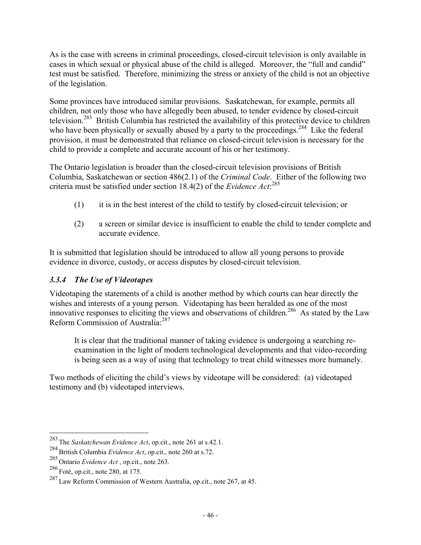As is the case with screens in criminal proceedings, closed-circuit television is only available in cases in which sexual or physical abuse of the child is alleged. Moreover, the "full and candid" test must be satisfied. Therefore, minimizing the stress or anxiety of the child is not an objective of the legislation.

Some provinces have introduced similar provisions. Saskatchewan, for example, permits all children, not only those who have allegedly been abused, to tender evidence by closed-circuit television.283 British Columbia has restricted the availability of this protective device to children who have been physically or sexually abused by a party to the proceedings.<sup>284</sup> Like the federal provision, it must be demonstrated that reliance on closed-circuit television is necessary for the child to provide a complete and accurate account of his or her testimony.

The Ontario legislation is broader than the closed-circuit television provisions of British Columbia, Saskatchewan or section 486(2.1) of the *Criminal Code*. Either of the following two criteria must be satisfied under section 18.4(2) of the *Evidence Act*: 285

- (1) it is in the best interest of the child to testify by closed-circuit television; or
- (2) a screen or similar device is insufficient to enable the child to tender complete and accurate evidence.

It is submitted that legislation should be introduced to allow all young persons to provide evidence in divorce, custody, or access disputes by closed-circuit television.

# *3.3.4 The Use of Videotapes*

Videotaping the statements of a child is another method by which courts can hear directly the wishes and interests of a young person. Videotaping has been heralded as one of the most innovative responses to eliciting the views and observations of children.<sup>286</sup> As stated by the Law Reform Commission of Australia:<sup>287</sup>

It is clear that the traditional manner of taking evidence is undergoing a searching reexamination in the light of modern technological developments and that video-recording is being seen as a way of using that technology to treat child witnesses more humanely.

Two methods of eliciting the child's views by videotape will be considered: (a) videotaped testimony and (b) videotaped interviews.

<sup>283</sup> The *Saskatchewan Evidence Act*, op.cit., note 261 at s.42.1.

<sup>284</sup>British Columbia *Evidence Act*, op.cit., note 260 at s.72.

<sup>285</sup> Ontario *Evidence Act* , op.cit., note 263.

<sup>286</sup> Foté, op.cit., note 280, at 175.

<sup>&</sup>lt;sup>287</sup> Law Reform Commission of Western Australia, op.cit., note 267, at 45.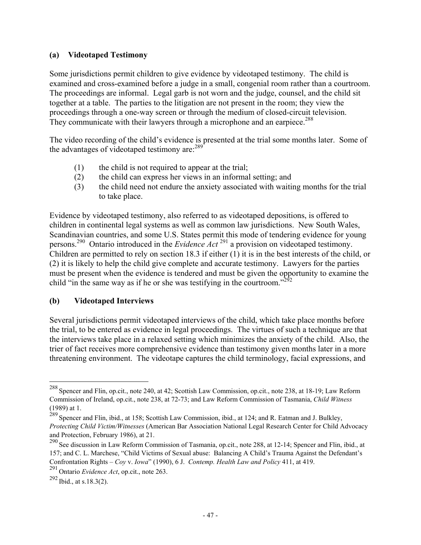# **(a) Videotaped Testimony**

Some jurisdictions permit children to give evidence by videotaped testimony. The child is examined and cross-examined before a judge in a small, congenial room rather than a courtroom. The proceedings are informal. Legal garb is not worn and the judge, counsel, and the child sit together at a table. The parties to the litigation are not present in the room; they view the proceedings through a one-way screen or through the medium of closed-circuit television. They communicate with their lawyers through a microphone and an earpiece.<sup>288</sup>

The video recording of the child's evidence is presented at the trial some months later. Some of the advantages of videotaped testimony are:  $289$ 

- (1) the child is not required to appear at the trial;
- (2) the child can express her views in an informal setting; and
- (3) the child need not endure the anxiety associated with waiting months for the trial to take place.

Evidence by videotaped testimony, also referred to as videotaped depositions, is offered to children in continental legal systems as well as common law jurisdictions. New South Wales, Scandinavian countries, and some U.S. States permit this mode of tendering evidence for young persons.290 Ontario introduced in the *Evidence Act* 291 a provision on videotaped testimony. Children are permitted to rely on section 18.3 if either (1) it is in the best interests of the child, or (2) it is likely to help the child give complete and accurate testimony. Lawyers for the parties must be present when the evidence is tendered and must be given the opportunity to examine the child "in the same way as if he or she was testifying in the courtroom."<sup>292</sup>

# **(b) Videotaped Interviews**

Several jurisdictions permit videotaped interviews of the child, which take place months before the trial, to be entered as evidence in legal proceedings. The virtues of such a technique are that the interviews take place in a relaxed setting which minimizes the anxiety of the child. Also, the trier of fact receives more comprehensive evidence than testimony given months later in a more threatening environment. The videotape captures the child terminology, facial expressions, and

 $^{288}$  Spencer and Flin, op.cit., note 240, at 42; Scottish Law Commission, op.cit., note 238, at 18-19; Law Reform Commission of Ireland, op.cit., note 238, at 72-73; and Law Reform Commission of Tasmania, *Child Witness* (1989) at 1.

<sup>&</sup>lt;sup>289</sup> Spencer and Flin, ibid., at 158; Scottish Law Commission, ibid., at 124; and R. Eatman and J. Bulkley, *Protecting Child Victim/Witnesses* (American Bar Association National Legal Research Center for Child Advocacy and Protection, February 1986), at 21.

<sup>&</sup>lt;sup>290</sup> See discussion in Law Reform Commission of Tasmania, op.cit., note 288, at 12-14; Spencer and Flin, ibid., at 157; and C. L. Marchese, "Child Victims of Sexual abuse: Balancing A Child's Trauma Against the Defendant's Confrontation Rights – *Coy* v. *Iowa*" (1990), 6 J. *Contemp. Health Law and Policy* 411, at 419.

<sup>291</sup> Ontario *Evidence Act*, op.cit., note 263.

 $292$  Ibid., at s.18.3(2).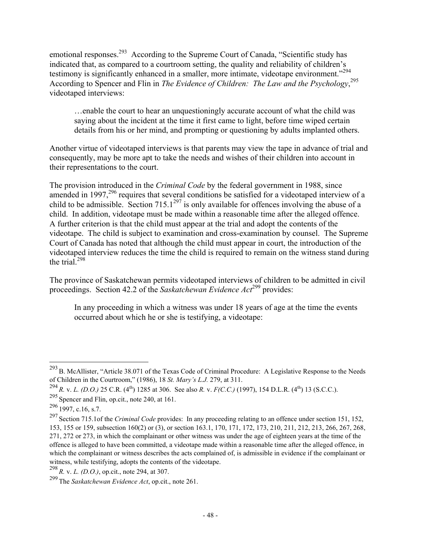emotional responses.<sup>293</sup> According to the Supreme Court of Canada, "Scientific study has indicated that, as compared to a courtroom setting, the quality and reliability of children's testimony is significantly enhanced in a smaller, more intimate, videotape environment."<sup>294</sup> According to Spencer and Flin in *The Evidence of Children: The Law and the Psychology*, 295 videotaped interviews:

…enable the court to hear an unquestioningly accurate account of what the child was saying about the incident at the time it first came to light, before time wiped certain details from his or her mind, and prompting or questioning by adults implanted others.

Another virtue of videotaped interviews is that parents may view the tape in advance of trial and consequently, may be more apt to take the needs and wishes of their children into account in their representations to the court.

The provision introduced in the *Criminal Code* by the federal government in 1988, since amended in 1997,  $296$  requires that several conditions be satisfied for a videotaped interview of a child to be admissible. Section 715.1<sup>297</sup> is only available for offences involving the abuse of a child. In addition, videotape must be made within a reasonable time after the alleged offence. A further criterion is that the child must appear at the trial and adopt the contents of the videotape. The child is subject to examination and cross-examination by counsel. The Supreme Court of Canada has noted that although the child must appear in court, the introduction of the videotaped interview reduces the time the child is required to remain on the witness stand during the trial. $298$ 

The province of Saskatchewan permits videotaped interviews of children to be admitted in civil proceedings. Section 42.2 of the *Saskatchewan Evidence Act*<sup>299</sup> provides:

In any proceeding in which a witness was under 18 years of age at the time the events occurred about which he or she is testifying, a videotape:

 $^{293}$  B. McAllister, "Article 38.071 of the Texas Code of Criminal Procedure: A Legislative Response to the Needs of Children in the Courtroom," (1986), 18 *St. Mary's L.J.* 279, at 311.

<sup>&</sup>lt;sup>294</sup> *R.* v. *L. (D.O.)* 25 C.R. (4<sup>th</sup>) 1285 at 306. See also *R. v. F(C.C.)* (1997), 154 D.L.R. (4<sup>th</sup>) 13 (S.C.C.).

<sup>295</sup> Spencer and Flin, op.cit., note 240, at 161.

 $296$  1997, c.16, s.7.

<sup>297</sup> Section 715.1of the *Criminal Code* provides: In any proceeding relating to an offence under section 151, 152, 153, 155 or 159, subsection 160(2) or (3), or section 163.1, 170, 171, 172, 173, 210, 211, 212, 213, 266, 267, 268, 271, 272 or 273, in which the complainant or other witness was under the age of eighteen years at the time of the offence is alleged to have been committed, a videotape made within a reasonable time after the alleged offence, in which the complainant or witness describes the acts complained of, is admissible in evidence if the complainant or witness, while testifying, adopts the contents of the videotape.

<sup>298</sup> *R.* v. *L. (D.O.)*, op.cit., note 294, at 307.

<sup>299</sup> The *Saskatchewan Evidence Act*, op.cit., note 261.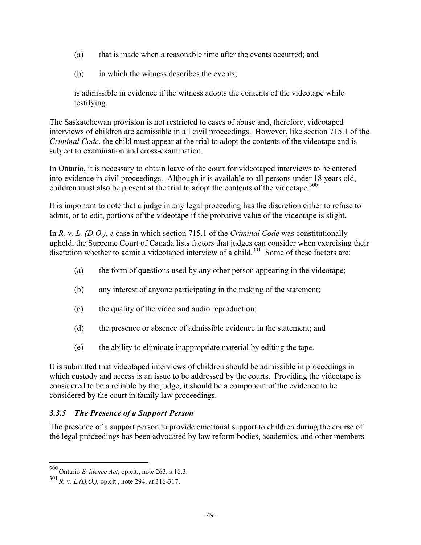- (a) that is made when a reasonable time after the events occurred; and
- (b) in which the witness describes the events;

is admissible in evidence if the witness adopts the contents of the videotape while testifying.

The Saskatchewan provision is not restricted to cases of abuse and, therefore, videotaped interviews of children are admissible in all civil proceedings. However, like section 715.1 of the *Criminal Code*, the child must appear at the trial to adopt the contents of the videotape and is subject to examination and cross-examination.

In Ontario, it is necessary to obtain leave of the court for videotaped interviews to be entered into evidence in civil proceedings. Although it is available to all persons under 18 years old, children must also be present at the trial to adopt the contents of the videotape.<sup>300</sup>

It is important to note that a judge in any legal proceeding has the discretion either to refuse to admit, or to edit, portions of the videotape if the probative value of the videotape is slight.

In *R.* v. *L. (D.O.)*, a case in which section 715.1 of the *Criminal Code* was constitutionally upheld, the Supreme Court of Canada lists factors that judges can consider when exercising their discretion whether to admit a videotaped interview of a child.<sup>301</sup> Some of these factors are:

- (a) the form of questions used by any other person appearing in the videotape;
- (b) any interest of anyone participating in the making of the statement;
- (c) the quality of the video and audio reproduction;
- (d) the presence or absence of admissible evidence in the statement; and
- (e) the ability to eliminate inappropriate material by editing the tape.

It is submitted that videotaped interviews of children should be admissible in proceedings in which custody and access is an issue to be addressed by the courts. Providing the videotape is considered to be a reliable by the judge, it should be a component of the evidence to be considered by the court in family law proceedings.

# *3.3.5 The Presence of a Support Person*

The presence of a support person to provide emotional support to children during the course of the legal proceedings has been advocated by law reform bodies, academics, and other members

<sup>300</sup> Ontario *Evidence Act*, op.cit., note 263, s.18.3.

<sup>301</sup> *R.* v. *L.(D.O.)*, op.cit., note 294, at 316-317.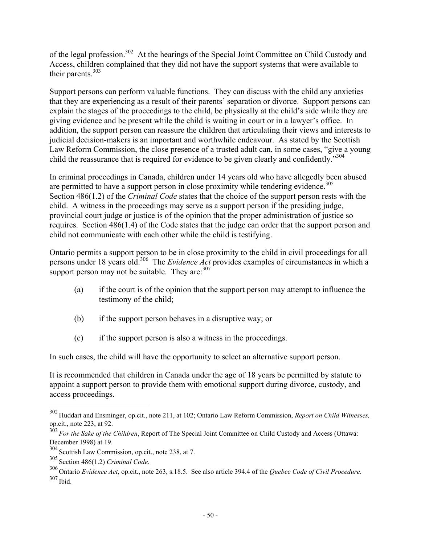of the legal profession.<sup>302</sup> At the hearings of the Special Joint Committee on Child Custody and Access, children complained that they did not have the support systems that were available to their parents.<sup>303</sup>

Support persons can perform valuable functions. They can discuss with the child any anxieties that they are experiencing as a result of their parents' separation or divorce. Support persons can explain the stages of the proceedings to the child, be physically at the child's side while they are giving evidence and be present while the child is waiting in court or in a lawyer's office. In addition, the support person can reassure the children that articulating their views and interests to judicial decision-makers is an important and worthwhile endeavour. As stated by the Scottish Law Reform Commission, the close presence of a trusted adult can, in some cases, "give a young child the reassurance that is required for evidence to be given clearly and confidently."<sup>304</sup>

In criminal proceedings in Canada, children under 14 years old who have allegedly been abused are permitted to have a support person in close proximity while tendering evidence.<sup>305</sup> Section 486(1.2) of the *Criminal Code* states that the choice of the support person rests with the child. A witness in the proceedings may serve as a support person if the presiding judge, provincial court judge or justice is of the opinion that the proper administration of justice so requires. Section 486(1.4) of the Code states that the judge can order that the support person and child not communicate with each other while the child is testifying.

Ontario permits a support person to be in close proximity to the child in civil proceedings for all persons under 18 years old.306 The *Evidence Act* provides examples of circumstances in which a support person may not be suitable. They are:  $307$ 

- (a) if the court is of the opinion that the support person may attempt to influence the testimony of the child;
- (b) if the support person behaves in a disruptive way; or
- (c) if the support person is also a witness in the proceedings.

In such cases, the child will have the opportunity to select an alternative support person.

It is recommended that children in Canada under the age of 18 years be permitted by statute to appoint a support person to provide them with emotional support during divorce, custody, and access proceedings.

<sup>302</sup> Huddart and Ensminger, op.cit., note 211, at 102; Ontario Law Reform Commission, *Report on Child Witnesses,* op.cit., note 223, at 92.

<sup>&</sup>lt;sup>303</sup> For the Sake of the Children, Report of The Special Joint Committee on Child Custody and Access (Ottawa: December 1998) at 19.

<sup>304</sup> Scottish Law Commission, op.cit., note 238, at 7.

<sup>305</sup> Section 486(1.2) *Criminal Code*.

<sup>306</sup> Ontario *Evidence Act*, op.cit., note 263, s.18.5. See also article 394.4 of the *Quebec Code of Civil Procedure*. <sup>307</sup> Ibid.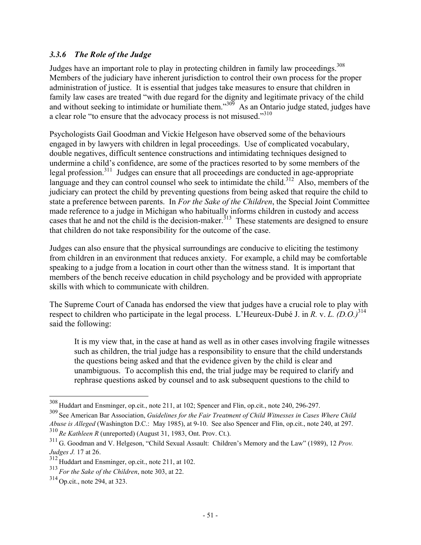# *3.3.6 The Role of the Judge*

Judges have an important role to play in protecting children in family law proceedings.<sup>308</sup> Members of the judiciary have inherent jurisdiction to control their own process for the proper administration of justice. It is essential that judges take measures to ensure that children in family law cases are treated "with due regard for the dignity and legitimate privacy of the child and without seeking to intimidate or humiliate them."<sup>309</sup> As an Ontario judge stated, judges have a clear role "to ensure that the advocacy process is not misused."<sup>310</sup>

Psychologists Gail Goodman and Vickie Helgeson have observed some of the behaviours engaged in by lawyers with children in legal proceedings. Use of complicated vocabulary, double negatives, difficult sentence constructions and intimidating techniques designed to undermine a child's confidence, are some of the practices resorted to by some members of the legal profession.311 Judges can ensure that all proceedings are conducted in age-appropriate language and they can control counsel who seek to intimidate the child.<sup>312</sup> Also, members of the judiciary can protect the child by preventing questions from being asked that require the child to state a preference between parents. In *For the Sake of the Children*, the Special Joint Committee made reference to a judge in Michigan who habitually informs children in custody and access cases that he and not the child is the decision-maker.<sup> $313$ </sup> These statements are designed to ensure that children do not take responsibility for the outcome of the case.

Judges can also ensure that the physical surroundings are conducive to eliciting the testimony from children in an environment that reduces anxiety. For example, a child may be comfortable speaking to a judge from a location in court other than the witness stand. It is important that members of the bench receive education in child psychology and be provided with appropriate skills with which to communicate with children.

The Supreme Court of Canada has endorsed the view that judges have a crucial role to play with respect to children who participate in the legal process. L'Heureux-Dubé J. in *R.* v. *L. (D.O.)*<sup>314</sup> said the following:

It is my view that, in the case at hand as well as in other cases involving fragile witnesses such as children, the trial judge has a responsibility to ensure that the child understands the questions being asked and that the evidence given by the child is clear and unambiguous. To accomplish this end, the trial judge may be required to clarify and rephrase questions asked by counsel and to ask subsequent questions to the child to

 $308$  Huddart and Ensminger, op.cit., note 211, at 102; Spencer and Flin, op.cit., note 240, 296-297.

<sup>309</sup> See American Bar Association, *Guidelines for the Fair Treatment of Child Witnesses in Cases Where Child Abuse is Alleged* (Washington D.C.: May 1985), at 9-10. See also Spencer and Flin, op.cit., note 240, at 297. <sup>310</sup> *Re Kathleen R* (unreported) (August 31, 1983, Ont. Prov. Ct.).

<sup>311</sup> G. Goodman and V. Helgeson, "Child Sexual Assault: Children's Memory and the Law" (1989), 12 *Prov. Judges J.* 17 at 26.

<sup>312</sup> Huddart and Ensminger, op.cit., note 211, at 102.

<sup>313</sup> *For the Sake of the Children*, note 303, at 22.

<sup>314</sup> Op.cit., note 294, at 323.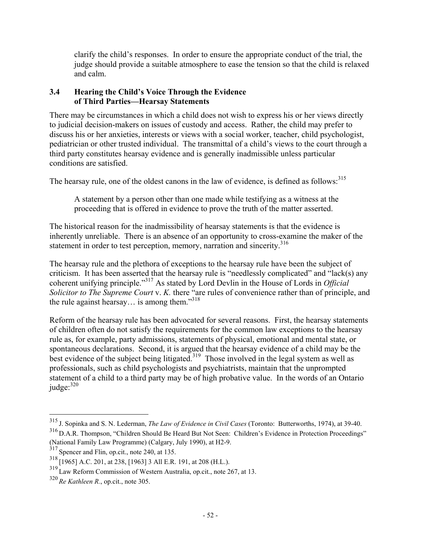clarify the child's responses. In order to ensure the appropriate conduct of the trial, the judge should provide a suitable atmosphere to ease the tension so that the child is relaxed and calm.

# **3.4 Hearing the Child's Voice Through the Evidence of Third Parties—Hearsay Statements**

There may be circumstances in which a child does not wish to express his or her views directly to judicial decision-makers on issues of custody and access. Rather, the child may prefer to discuss his or her anxieties, interests or views with a social worker, teacher, child psychologist, pediatrician or other trusted individual. The transmittal of a child's views to the court through a third party constitutes hearsay evidence and is generally inadmissible unless particular conditions are satisfied.

The hearsay rule, one of the oldest canons in the law of evidence, is defined as follows:<sup>315</sup>

A statement by a person other than one made while testifying as a witness at the proceeding that is offered in evidence to prove the truth of the matter asserted.

The historical reason for the inadmissibility of hearsay statements is that the evidence is inherently unreliable. There is an absence of an opportunity to cross-examine the maker of the statement in order to test perception, memory, narration and sincerity.<sup>316</sup>

The hearsay rule and the plethora of exceptions to the hearsay rule have been the subject of criticism. It has been asserted that the hearsay rule is "needlessly complicated" and "lack(s) any coherent unifying principle."317 As stated by Lord Devlin in the House of Lords in *Official Solicitor to The Supreme Court* v. *K.* there "are rules of convenience rather than of principle, and the rule against hearsay... is among them."<sup>318</sup>

Reform of the hearsay rule has been advocated for several reasons. First, the hearsay statements of children often do not satisfy the requirements for the common law exceptions to the hearsay rule as, for example, party admissions, statements of physical, emotional and mental state, or spontaneous declarations. Second, it is argued that the hearsay evidence of a child may be the best evidence of the subject being litigated.<sup>319</sup> Those involved in the legal system as well as professionals, such as child psychologists and psychiatrists, maintain that the unprompted statement of a child to a third party may be of high probative value. In the words of an Ontario  $i$ udge: $320$ 

<sup>315</sup> J. Sopinka and S. N. Lederman, *The Law of Evidence in Civil Cases* (Toronto: Butterworths, 1974), at 39-40. <sup>316</sup> D.A.R. Thompson, "Children Should Be Heard But Not Seen: Children's Evidence in Protection Proceedings" (National Family Law Programme) (Calgary, July 1990), at H2-9.

<sup>317</sup> Spencer and Flin, op.cit., note 240, at 135.

<sup>318</sup> [1965] A.C. 201, at 238, [1963] 3 All E.R. 191, at 208 (H.L.).

<sup>&</sup>lt;sup>319</sup> Law Reform Commission of Western Australia, op.cit., note 267, at 13.

<sup>320</sup> *Re Kathleen R.*, op.cit., note 305.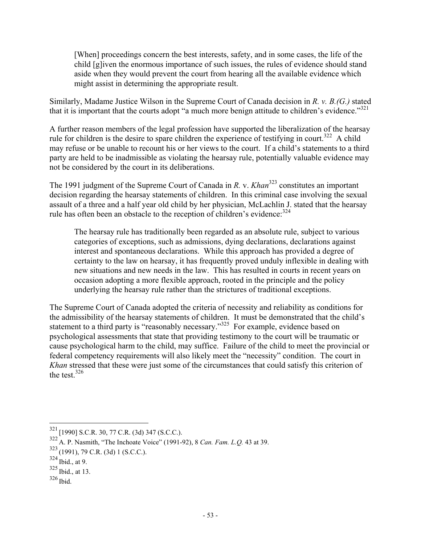[When] proceedings concern the best interests, safety, and in some cases, the life of the child [g]iven the enormous importance of such issues, the rules of evidence should stand aside when they would prevent the court from hearing all the available evidence which might assist in determining the appropriate result.

Similarly, Madame Justice Wilson in the Supreme Court of Canada decision in *R. v. B.(G.)* stated that it is important that the courts adopt "a much more benign attitude to children's evidence."<sup>321</sup>

A further reason members of the legal profession have supported the liberalization of the hearsay rule for children is the desire to spare children the experience of testifying in court.<sup>322</sup> A child may refuse or be unable to recount his or her views to the court. If a child's statements to a third party are held to be inadmissible as violating the hearsay rule, potentially valuable evidence may not be considered by the court in its deliberations.

The 1991 judgment of the Supreme Court of Canada in *R. v. Khan*<sup>323</sup> constitutes an important decision regarding the hearsay statements of children. In this criminal case involving the sexual assault of a three and a half year old child by her physician, McLachlin J. stated that the hearsay rule has often been an obstacle to the reception of children's evidence:  $324$ 

The hearsay rule has traditionally been regarded as an absolute rule, subject to various categories of exceptions, such as admissions, dying declarations, declarations against interest and spontaneous declarations. While this approach has provided a degree of certainty to the law on hearsay, it has frequently proved unduly inflexible in dealing with new situations and new needs in the law. This has resulted in courts in recent years on occasion adopting a more flexible approach, rooted in the principle and the policy underlying the hearsay rule rather than the strictures of traditional exceptions.

The Supreme Court of Canada adopted the criteria of necessity and reliability as conditions for the admissibility of the hearsay statements of children. It must be demonstrated that the child's statement to a third party is "reasonably necessary."<sup>325</sup> For example, evidence based on psychological assessments that state that providing testimony to the court will be traumatic or cause psychological harm to the child, may suffice. Failure of the child to meet the provincial or federal competency requirements will also likely meet the "necessity" condition. The court in *Khan* stressed that these were just some of the circumstances that could satisfy this criterion of the test.  $326$ 

 $321$  [1990] S.C.R. 30, 77 C.R. (3d) 347 (S.C.C.).

<sup>322</sup> A. P. Nasmith, "The Inchoate Voice" (1991-92), 8 *Can. Fam. L.Q.* 43 at 39.

 $323$  (1991), 79 C.R. (3d) 1 (S.C.C.).

 $324$  Ibid., at 9.

 $325$  Ibid., at 13.

<sup>326</sup> Ibid.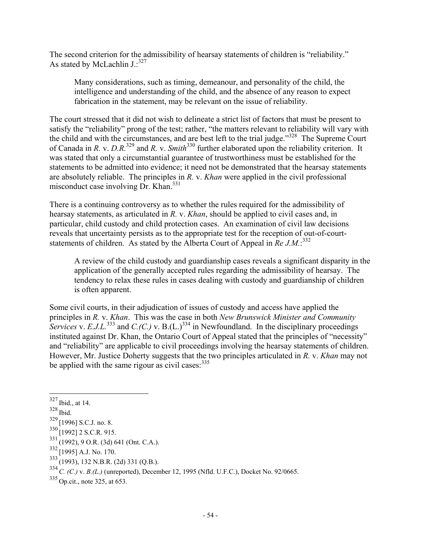The second criterion for the admissibility of hearsay statements of children is "reliability." As stated by McLachlin  $J$ .:<sup>327</sup>

Many considerations, such as timing, demeanour, and personality of the child, the intelligence and understanding of the child, and the absence of any reason to expect fabrication in the statement, may be relevant on the issue of reliability.

The court stressed that it did not wish to delineate a strict list of factors that must be present to satisfy the "reliability" prong of the test; rather, "the matters relevant to reliability will vary with the child and with the circumstances, and are best left to the trial judge."328 The Supreme Court of Canada in *R.* v. *D.R.*329 and *R.* v. *Smith*330 further elaborated upon the reliability criterion. It was stated that only a circumstantial guarantee of trustworthiness must be established for the statements to be admitted into evidence; it need not be demonstrated that the hearsay statements are absolutely reliable. The principles in *R.* v. *Khan* were applied in the civil professional misconduct case involving Dr. Khan.<sup>331</sup>

There is a continuing controversy as to whether the rules required for the admissibility of hearsay statements, as articulated in *R.* v. *Khan*, should be applied to civil cases and, in particular, child custody and child protection cases. An examination of civil law decisions reveals that uncertainty persists as to the appropriate test for the reception of out-of-courtstatements of children. As stated by the Alberta Court of Appeal in *Re J.M*.<sup>332</sup>

A review of the child custody and guardianship cases reveals a significant disparity in the application of the generally accepted rules regarding the admissibility of hearsay. The tendency to relax these rules in cases dealing with custody and guardianship of children is often apparent.

Some civil courts, in their adjudication of issues of custody and access have applied the principles in *R.* v. *Khan*. This was the case in both *New Brunswick Minister and Community Services* v. *E.J.L.*<sup>333</sup> and *C.(C.)* v. B.(L.)<sup>334</sup> in Newfoundland. In the disciplinary proceedings instituted against Dr. Khan, the Ontario Court of Appeal stated that the principles of "necessity" and "reliability" are applicable to civil proceedings involving the hearsay statements of children. However, Mr. Justice Doherty suggests that the two principles articulated in *R.* v. *Khan* may not be applied with the same rigour as civil cases:  $335$ 

 $\overline{a}$ 

 $333(1993)$ , 132 N.B.R. (2d) 331 (O.B.).

 $327$  Ibid., at 14.

<sup>328</sup> Ibid.

 $329$  [1996] S.C.J. no. 8.

 $330$  [1992] 2 S.C.R. 915.

 $331^{1222}$ , 9 O.R. (3d) 641 (Ont. C.A.).

 $332$  [1995] A.J. No. 170.

<sup>334</sup>*C. (C.)* v. *B.(L.)* (unreported), December 12, 1995 (Nfld. U.F.C.), Docket No. 92/0665.

<sup>335</sup> Op.cit., note 325, at 653.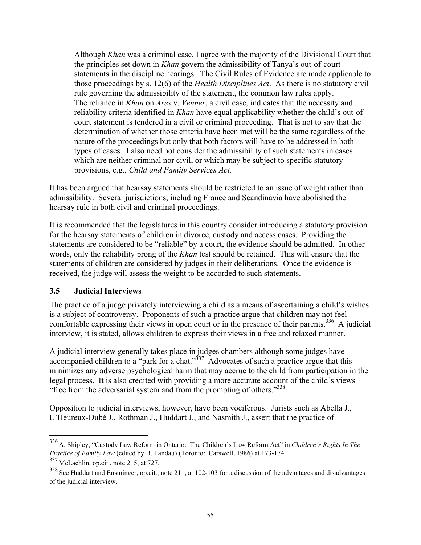Although *Khan* was a criminal case, I agree with the majority of the Divisional Court that the principles set down in *Khan* govern the admissibility of Tanya's out-of-court statements in the discipline hearings. The Civil Rules of Evidence are made applicable to those proceedings by s. 12(6) of the *Health Disciplines Act*. As there is no statutory civil rule governing the admissibility of the statement, the common law rules apply. The reliance in *Khan* on *Ares* v. *Venner*, a civil case, indicates that the necessity and reliability criteria identified in *Khan* have equal applicability whether the child's out-ofcourt statement is tendered in a civil or criminal proceeding. That is not to say that the determination of whether those criteria have been met will be the same regardless of the nature of the proceedings but only that both factors will have to be addressed in both types of cases. I also need not consider the admissibility of such statements in cases which are neither criminal nor civil, or which may be subject to specific statutory provisions, e.g., *Child and Family Services Act.*

It has been argued that hearsay statements should be restricted to an issue of weight rather than admissibility. Several jurisdictions, including France and Scandinavia have abolished the hearsay rule in both civil and criminal proceedings.

It is recommended that the legislatures in this country consider introducing a statutory provision for the hearsay statements of children in divorce, custody and access cases. Providing the statements are considered to be "reliable" by a court, the evidence should be admitted. In other words, only the reliability prong of the *Khan* test should be retained. This will ensure that the statements of children are considered by judges in their deliberations. Once the evidence is received, the judge will assess the weight to be accorded to such statements.

# **3.5 Judicial Interviews**

The practice of a judge privately interviewing a child as a means of ascertaining a child's wishes is a subject of controversy. Proponents of such a practice argue that children may not feel comfortable expressing their views in open court or in the presence of their parents.<sup>336</sup> A judicial interview, it is stated, allows children to express their views in a free and relaxed manner.

A judicial interview generally takes place in judges chambers although some judges have accompanied children to a "park for a chat." $337$  Advocates of such a practice argue that this minimizes any adverse psychological harm that may accrue to the child from participation in the legal process. It is also credited with providing a more accurate account of the child's views "free from the adversarial system and from the prompting of others."<sup>338</sup>

Opposition to judicial interviews, however, have been vociferous. Jurists such as Abella J., L'Heureux-Dubé J., Rothman J., Huddart J., and Nasmith J., assert that the practice of

<sup>336</sup> A. Shipley, "Custody Law Reform in Ontario: The Children's Law Reform Act" in *Children's Rights In The Practice of Family Law* (edited by B. Landau) (Toronto: Carswell, 1986) at 173-174.

<sup>337</sup> McLachlin, op.cit., note 215, at 727.

<sup>&</sup>lt;sup>338</sup> See Huddart and Ensminger, op.cit., note 211, at 102-103 for a discussion of the advantages and disadvantages of the judicial interview.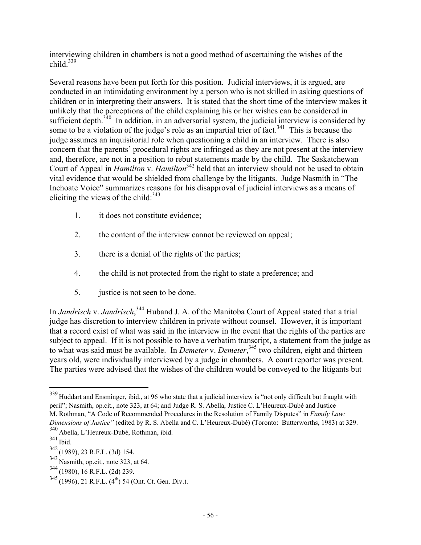interviewing children in chambers is not a good method of ascertaining the wishes of the child. $339$ 

Several reasons have been put forth for this position. Judicial interviews, it is argued, are conducted in an intimidating environment by a person who is not skilled in asking questions of children or in interpreting their answers. It is stated that the short time of the interview makes it unlikely that the perceptions of the child explaining his or her wishes can be considered in sufficient depth. $340$  In addition, in an adversarial system, the judicial interview is considered by some to be a violation of the judge's role as an impartial trier of fact.<sup>341</sup> This is because the judge assumes an inquisitorial role when questioning a child in an interview. There is also concern that the parents' procedural rights are infringed as they are not present at the interview and, therefore, are not in a position to rebut statements made by the child. The Saskatchewan Court of Appeal in *Hamilton* v. *Hamilton*<sup>342</sup> held that an interview should not be used to obtain vital evidence that would be shielded from challenge by the litigants. Judge Nasmith in "The Inchoate Voice" summarizes reasons for his disapproval of judicial interviews as a means of eliciting the views of the child: $343$ 

- 1. it does not constitute evidence;
- 2. the content of the interview cannot be reviewed on appeal;
- 3. there is a denial of the rights of the parties;
- 4. the child is not protected from the right to state a preference; and
- 5. justice is not seen to be done.

In *Jandrisch* v. *Jandrisch*, 344 Huband J. A. of the Manitoba Court of Appeal stated that a trial judge has discretion to interview children in private without counsel. However, it is important that a record exist of what was said in the interview in the event that the rights of the parties are subject to appeal. If it is not possible to have a verbatim transcript, a statement from the judge as to what was said must be available. In *Demeter* v. *Demeter*, 345 two children, eight and thirteen years old, were individually interviewed by a judge in chambers. A court reporter was present. The parties were advised that the wishes of the children would be conveyed to the litigants but

<sup>&</sup>lt;sup>339</sup> Huddart and Ensminger, ibid., at 96 who state that a judicial interview is "not only difficult but fraught with peril"; Nasmith, op.cit., note 323, at 64; and Judge R. S. Abella, Justice C. L'Heureux-Dubé and Justice M. Rothman, "A Code of Recommended Procedures in the Resolution of Family Disputes" in *Family Law: Dimensions of Justice"* (edited by R. S. Abella and C. L'Heureux-Dubé) (Toronto: Butterworths, 1983) at 329.

<sup>340</sup> Abella, L'Heureux-Dubé, Rothman, ibid.

<sup>341</sup> Ibid.

<sup>342</sup> (1989), 23 R.F.L. (3d) 154.

 $343$  Nasmith, op.cit., note 323, at 64.

<sup>344</sup> (1980), 16 R.F.L. (2d) 239.

 $345(1996), 21$  R.F.L.  $(4^{th})$  54 (Ont. Ct. Gen. Div.).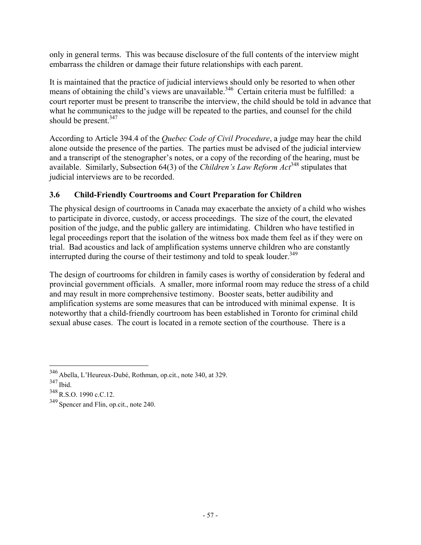only in general terms. This was because disclosure of the full contents of the interview might embarrass the children or damage their future relationships with each parent.

It is maintained that the practice of judicial interviews should only be resorted to when other means of obtaining the child's views are unavailable.<sup>346</sup> Certain criteria must be fulfilled: a court reporter must be present to transcribe the interview, the child should be told in advance that what he communicates to the judge will be repeated to the parties, and counsel for the child should be present. $347$ 

According to Article 394.4 of the *Quebec Code of Civil Procedure*, a judge may hear the child alone outside the presence of the parties. The parties must be advised of the judicial interview and a transcript of the stenographer's notes, or a copy of the recording of the hearing, must be available. Similarly, Subsection 64(3) of the *Children's Law Reform Act*348 stipulates that judicial interviews are to be recorded.

# **3.6 Child-Friendly Courtrooms and Court Preparation for Children**

The physical design of courtrooms in Canada may exacerbate the anxiety of a child who wishes to participate in divorce, custody, or access proceedings. The size of the court, the elevated position of the judge, and the public gallery are intimidating. Children who have testified in legal proceedings report that the isolation of the witness box made them feel as if they were on trial. Bad acoustics and lack of amplification systems unnerve children who are constantly interrupted during the course of their testimony and told to speak louder.<sup>349</sup>

The design of courtrooms for children in family cases is worthy of consideration by federal and provincial government officials. A smaller, more informal room may reduce the stress of a child and may result in more comprehensive testimony. Booster seats, better audibility and amplification systems are some measures that can be introduced with minimal expense. It is noteworthy that a child-friendly courtroom has been established in Toronto for criminal child sexual abuse cases. The court is located in a remote section of the courthouse. There is a

<sup>346</sup> Abella, L'Heureux-Dubé, Rothman, op.cit., note 340, at 329.

<sup>347</sup> Ibid.

<sup>348</sup> R.S.O. 1990 c.C.12.

<sup>349</sup> Spencer and Flin, op.cit., note 240.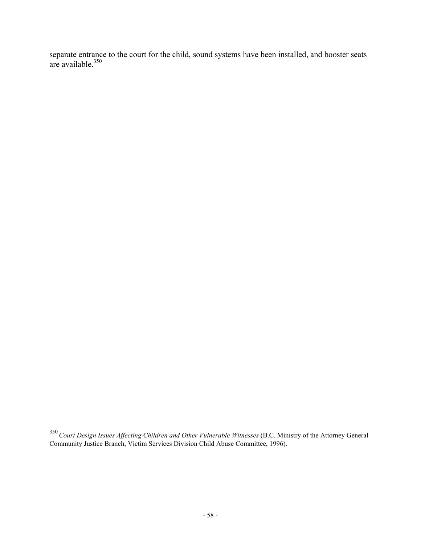separate entrance to the court for the child, sound systems have been installed, and booster seats are available.<sup>350</sup>

<sup>350</sup>*Court Design Issues Affecting Children and Other Vulnerable Witnesses* (B.C. Ministry of the Attorney General Community Justice Branch, Victim Services Division Child Abuse Committee, 1996).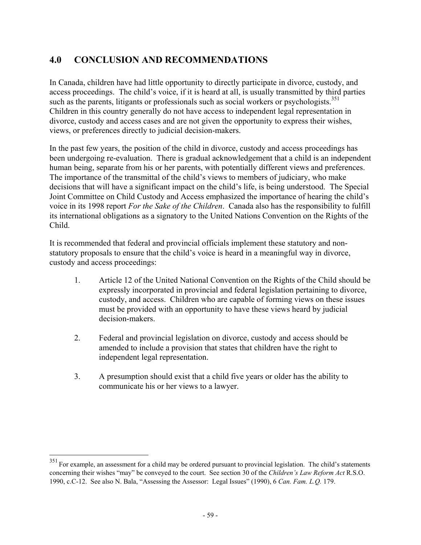# **4.0 CONCLUSION AND RECOMMENDATIONS**

In Canada, children have had little opportunity to directly participate in divorce, custody, and access proceedings. The child's voice, if it is heard at all, is usually transmitted by third parties such as the parents, litigants or professionals such as social workers or psychologists.<sup>351</sup> Children in this country generally do not have access to independent legal representation in divorce, custody and access cases and are not given the opportunity to express their wishes, views, or preferences directly to judicial decision-makers.

In the past few years, the position of the child in divorce, custody and access proceedings has been undergoing re-evaluation. There is gradual acknowledgement that a child is an independent human being, separate from his or her parents, with potentially different views and preferences. The importance of the transmittal of the child's views to members of judiciary, who make decisions that will have a significant impact on the child's life, is being understood. The Special Joint Committee on Child Custody and Access emphasized the importance of hearing the child's voice in its 1998 report *For the Sake of the Children*. Canada also has the responsibility to fulfill its international obligations as a signatory to the United Nations Convention on the Rights of the Child.

It is recommended that federal and provincial officials implement these statutory and nonstatutory proposals to ensure that the child's voice is heard in a meaningful way in divorce, custody and access proceedings:

- 1. Article 12 of the United National Convention on the Rights of the Child should be expressly incorporated in provincial and federal legislation pertaining to divorce, custody, and access. Children who are capable of forming views on these issues must be provided with an opportunity to have these views heard by judicial decision-makers.
- 2. Federal and provincial legislation on divorce, custody and access should be amended to include a provision that states that children have the right to independent legal representation.
- 3. A presumption should exist that a child five years or older has the ability to communicate his or her views to a lawyer.

 $351$  For example, an assessment for a child may be ordered pursuant to provincial legislation. The child's statements concerning their wishes "may" be conveyed to the court. See section 30 of the *Children's Law Reform Act* R.S.O. 1990, c.C-12. See also N. Bala, "Assessing the Assessor: Legal Issues" (1990), 6 *Can. Fam. L.Q.* 179.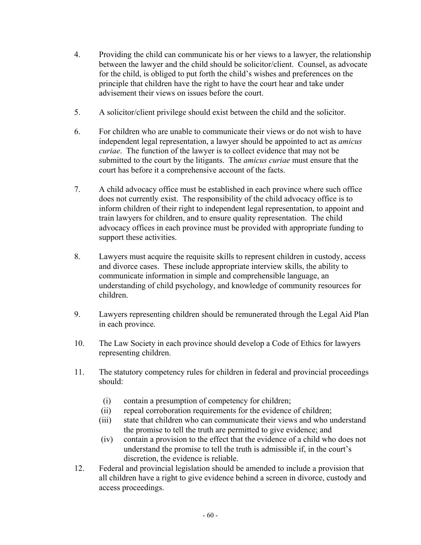- 4. Providing the child can communicate his or her views to a lawyer, the relationship between the lawyer and the child should be solicitor/client. Counsel, as advocate for the child, is obliged to put forth the child's wishes and preferences on the principle that children have the right to have the court hear and take under advisement their views on issues before the court.
- 5. A solicitor/client privilege should exist between the child and the solicitor.
- 6. For children who are unable to communicate their views or do not wish to have independent legal representation, a lawyer should be appointed to act as *amicus curiae*. The function of the lawyer is to collect evidence that may not be submitted to the court by the litigants. The *amicus curiae* must ensure that the court has before it a comprehensive account of the facts.
- 7. A child advocacy office must be established in each province where such office does not currently exist. The responsibility of the child advocacy office is to inform children of their right to independent legal representation, to appoint and train lawyers for children, and to ensure quality representation. The child advocacy offices in each province must be provided with appropriate funding to support these activities.
- 8. Lawyers must acquire the requisite skills to represent children in custody, access and divorce cases. These include appropriate interview skills, the ability to communicate information in simple and comprehensible language, an understanding of child psychology, and knowledge of community resources for children.
- 9. Lawyers representing children should be remunerated through the Legal Aid Plan in each province.
- 10. The Law Society in each province should develop a Code of Ethics for lawyers representing children.
- 11. The statutory competency rules for children in federal and provincial proceedings should:
	- (i) contain a presumption of competency for children;
	- (ii) repeal corroboration requirements for the evidence of children;
	- (iii) state that children who can communicate their views and who understand the promise to tell the truth are permitted to give evidence; and
	- (iv) contain a provision to the effect that the evidence of a child who does not understand the promise to tell the truth is admissible if, in the court's discretion, the evidence is reliable.
- 12. Federal and provincial legislation should be amended to include a provision that all children have a right to give evidence behind a screen in divorce, custody and access proceedings.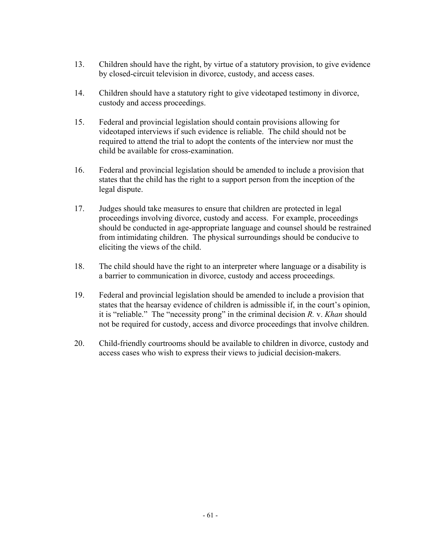- 13. Children should have the right, by virtue of a statutory provision, to give evidence by closed-circuit television in divorce, custody, and access cases.
- 14. Children should have a statutory right to give videotaped testimony in divorce, custody and access proceedings.
- 15. Federal and provincial legislation should contain provisions allowing for videotaped interviews if such evidence is reliable. The child should not be required to attend the trial to adopt the contents of the interview nor must the child be available for cross-examination.
- 16. Federal and provincial legislation should be amended to include a provision that states that the child has the right to a support person from the inception of the legal dispute.
- 17. Judges should take measures to ensure that children are protected in legal proceedings involving divorce, custody and access. For example, proceedings should be conducted in age-appropriate language and counsel should be restrained from intimidating children. The physical surroundings should be conducive to eliciting the views of the child.
- 18. The child should have the right to an interpreter where language or a disability is a barrier to communication in divorce, custody and access proceedings.
- 19. Federal and provincial legislation should be amended to include a provision that states that the hearsay evidence of children is admissible if, in the court's opinion, it is "reliable." The "necessity prong" in the criminal decision *R.* v. *Khan* should not be required for custody, access and divorce proceedings that involve children.
- 20. Child-friendly courtrooms should be available to children in divorce, custody and access cases who wish to express their views to judicial decision-makers.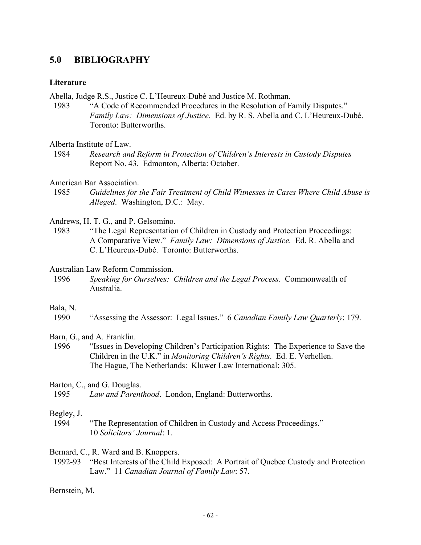# **5.0 BIBLIOGRAPHY**

## **Literature**

Abella, Judge R.S., Justice C. L'Heureux-Dubé and Justice M. Rothman.

- 1983 "A Code of Recommended Procedures in the Resolution of Family Disputes." *Family Law: Dimensions of Justice.* Ed. by R. S. Abella and C. L'Heureux-Dubé. Toronto: Butterworths.
- Alberta Institute of Law.
- 1984 *Research and Reform in Protection of Children's Interests in Custody Disputes* Report No. 43. Edmonton, Alberta: October.
- American Bar Association.
- 1985 *Guidelines for the Fair Treatment of Child Witnesses in Cases Where Child Abuse is Alleged*. Washington, D.C.: May.

Andrews, H. T. G., and P. Gelsomino.

- 1983 "The Legal Representation of Children in Custody and Protection Proceedings: A Comparative View." *Family Law: Dimensions of Justice.* Ed. R. Abella and C. L'Heureux-Dubé. Toronto: Butterworths.
- Australian Law Reform Commission.
- 1996 *Speaking for Ourselves: Children and the Legal Process.* Commonwealth of Australia.

### Bala, N.

1990 "Assessing the Assessor: Legal Issues." 6 *Canadian Family Law Quarterly*: 179.

Barn, G., and A. Franklin.

 1996 "Issues in Developing Children's Participation Rights: The Experience to Save the Children in the U.K." in *Monitoring Children's Rights*. Ed. E. Verhellen. The Hague, The Netherlands: Kluwer Law International: 305.

Barton, C., and G. Douglas.

## Begley, J.

 1994 "The Representation of Children in Custody and Access Proceedings." 10 *Solicitors' Journal*: 1.

Bernard, C., R. Ward and B. Knoppers.

 1992-93 "Best Interests of the Child Exposed: A Portrait of Quebec Custody and Protection Law." 11 *Canadian Journal of Family Law*: 57.

Bernstein, M.

 <sup>1995</sup> *Law and Parenthood*. London, England: Butterworths.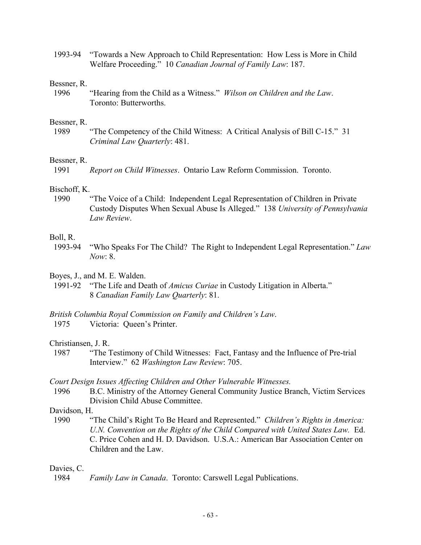1993-94 "Towards a New Approach to Child Representation: How Less is More in Child Welfare Proceeding." 10 *Canadian Journal of Family Law*: 187.

### Bessner, R.

 1996 "Hearing from the Child as a Witness." *Wilson on Children and the Law*. Toronto: Butterworths.

### Bessner, R.

 1989 "The Competency of the Child Witness: A Critical Analysis of Bill C-15." 31 *Criminal Law Quarterly*: 481.

## Bessner, R.

1991 *Report on Child Witnesses*. Ontario Law Reform Commission. Toronto.

## Bischoff, K.

 1990 "The Voice of a Child: Independent Legal Representation of Children in Private Custody Disputes When Sexual Abuse Is Alleged." 138 *University of Pennsylvania Law Review*.

## Boll, R.

 1993-94 "Who Speaks For The Child? The Right to Independent Legal Representation." *Law Now*: 8.

## Boyes, J., and M. E. Walden.

 1991-92 "The Life and Death of *Amicus Curiae* in Custody Litigation in Alberta." 8 *Canadian Family Law Quarterly*: 81.

## *British Columbia Royal Commission on Family and Children's Law*.

1975 Victoria: Queen's Printer.

### Christiansen, J. R.

 1987 "The Testimony of Child Witnesses: Fact, Fantasy and the Influence of Pre-trial Interview." 62 *Washington Law Review*: 705.

## *Court Design Issues Affecting Children and Other Vulnerable Witnesses.*

 1996 B.C. Ministry of the Attorney General Community Justice Branch, Victim Services Division Child Abuse Committee.

## Davidson, H.

 1990 "The Child's Right To Be Heard and Represented." *Children's Rights in America: U.N. Convention on the Rights of the Child Compared with United States Law.* Ed. C. Price Cohen and H. D. Davidson. U.S.A.: American Bar Association Center on Children and the Law.

## Davies, C.

1984 *Family Law in Canada*. Toronto: Carswell Legal Publications.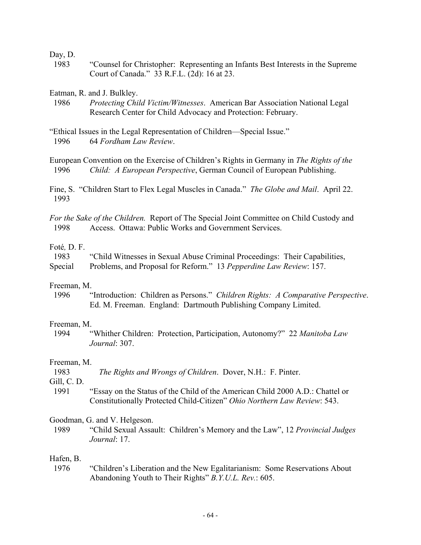Day, D.

 1983 "Counsel for Christopher: Representing an Infants Best Interests in the Supreme Court of Canada." 33 R.F.L. (2d): 16 at 23.

Eatman, R. and J. Bulkley.

 1986 *Protecting Child Victim/Witnesses*. American Bar Association National Legal Research Center for Child Advocacy and Protection: February.

European Convention on the Exercise of Children's Rights in Germany in *The Rights of the* 1996 *Child: A European Perspective*, German Council of European Publishing.

Fine, S. "Children Start to Flex Legal Muscles in Canada." *The Globe and Mail*. April 22. 1993

*For the Sake of the Children.* Report of The Special Joint Committee on Child Custody and 1998 Access. Ottawa: Public Works and Government Services.

# Foté*,* D. F.

 1983 "Child Witnesses in Sexual Abuse Criminal Proceedings: Their Capabilities, Special Problems, and Proposal for Reform." 13 *Pepperdine Law Review*: 157.

#### Freeman, M.

 1996 "Introduction: Children as Persons." *Children Rights: A Comparative Perspective*. Ed. M. Freeman. England: Dartmouth Publishing Company Limited.

### Freeman, M.

 1994 "Whither Children: Protection, Participation, Autonomy?" 22 *Manitoba Law Journal*: 307.

### Freeman, M.

1983 *The Rights and Wrongs of Children*. Dover, N.H.: F. Pinter.

Gill, C. D.

 1991 "Essay on the Status of the Child of the American Child 2000 A.D.: Chattel or Constitutionally Protected Child-Citizen" *Ohio Northern Law Review*: 543.

Goodman, G. and V. Helgeson.

 1989 "Child Sexual Assault: Children's Memory and the Law", 12 *Provincial Judges Journal*: 17.

#### Hafen, B.

 1976 "Children's Liberation and the New Egalitarianism: Some Reservations About Abandoning Youth to Their Rights" *B.Y.U.L. Rev.*: 605.

<sup>&</sup>quot;Ethical Issues in the Legal Representation of Children—Special Issue." 1996 64 *Fordham Law Review*.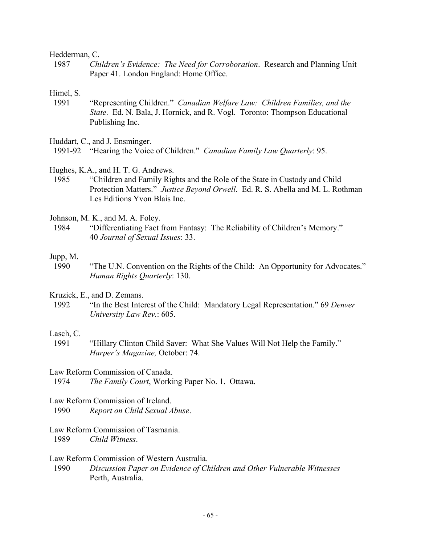#### Hedderman, C.

 1987 *Children's Evidence: The Need for Corroboration*. Research and Planning Unit Paper 41. London England: Home Office.

#### Himel, S.

 1991 "Representing Children." *Canadian Welfare Law: Children Families, and the State*. Ed. N. Bala, J. Hornick, and R. Vogl. Toronto: Thompson Educational Publishing Inc.

Huddart, C., and J. Ensminger.

- Hughes, K.A., and H. T. G. Andrews.
- 1985 "Children and Family Rights and the Role of the State in Custody and Child Protection Matters." *Justice Beyond Orwell*. Ed. R. S. Abella and M. L. Rothman Les Editions Yvon Blais Inc.

Johnson, M. K., and M. A. Foley.

 1984 "Differentiating Fact from Fantasy: The Reliability of Children's Memory." 40 *Journal of Sexual Issues*: 33.

#### Jupp, M.

 1990 "The U.N. Convention on the Rights of the Child: An Opportunity for Advocates." *Human Rights Quarterly*: 130.

Kruzick, E., and D. Zemans.

 1992 "In the Best Interest of the Child: Mandatory Legal Representation." 69 *Denver University Law Rev.*: 605.

## Lasch, C.

 1991 "Hillary Clinton Child Saver: What She Values Will Not Help the Family." *Harper's Magazine,* October: 74.

#### Law Reform Commission of Canada.

1974 *The Family Court*, Working Paper No. 1. Ottawa.

### Law Reform Commission of Ireland.

1990 *Report on Child Sexual Abuse*.

## Law Reform Commission of Tasmania.

1989 *Child Witness*.

### Law Reform Commission of Western Australia.

 1990 *Discussion Paper on Evidence of Children and Other Vulnerable Witnesses* Perth, Australia.

 <sup>1991-92 &</sup>quot;Hearing the Voice of Children." *Canadian Family Law Quarterly*: 95.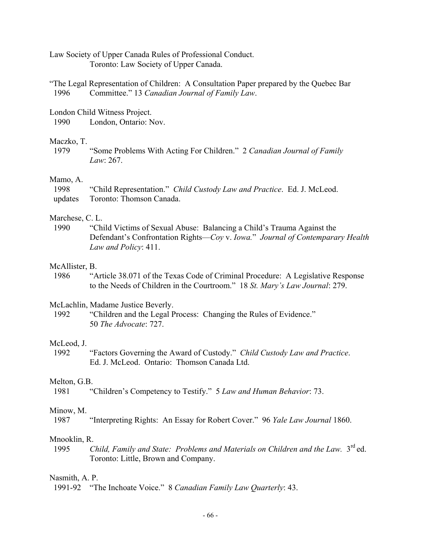Law Society of Upper Canada Rules of Professional Conduct. Toronto: Law Society of Upper Canada.

"The Legal Representation of Children: A Consultation Paper prepared by the Quebec Bar 1996 Committee." 13 *Canadian Journal of Family Law*.

London Child Witness Project.

1990 London, Ontario: Nov.

#### Maczko, T.

 1979 "Some Problems With Acting For Children." 2 *Canadian Journal of Family Law*: 267.

### Mamo, A.

| -1998 | "Child Representation." Child Custody Law and Practice. Ed. J. McLeod. |  |
|-------|------------------------------------------------------------------------|--|
|       | updates Toronto: Thomson Canada.                                       |  |

#### Marchese, C. L.

 1990 "Child Victims of Sexual Abuse: Balancing a Child's Trauma Against the Defendant's Confrontation Rights—*Coy* v. *Iowa.*" *Journal of Contemparary Health Law and Policy*: 411.

### McAllister, B.

 1986 "Article 38.071 of the Texas Code of Criminal Procedure: A Legislative Response to the Needs of Children in the Courtroom." 18 *St. Mary's Law Journal*: 279.

McLachlin, Madame Justice Beverly.

 1992 "Children and the Legal Process: Changing the Rules of Evidence." 50 *The Advocate*: 727.

#### McLeod, J.

 1992 "Factors Governing the Award of Custody." *Child Custody Law and Practice*. Ed. J. McLeod. Ontario: Thomson Canada Ltd.

#### Melton, G.B.

1981 "Children's Competency to Testify." 5 *Law and Human Behavior*: 73.

## Minow, M.

1987 "Interpreting Rights: An Essay for Robert Cover." 96 *Yale Law Journal* 1860.

### Mnooklin, R.

1995 *Child, Family and State: Problems and Materials on Children and the Law.* 3<sup>rd</sup> ed. Toronto: Little, Brown and Company.

#### Nasmith, A. P.

1991-92 "The Inchoate Voice." 8 *Canadian Family Law Quarterly*: 43.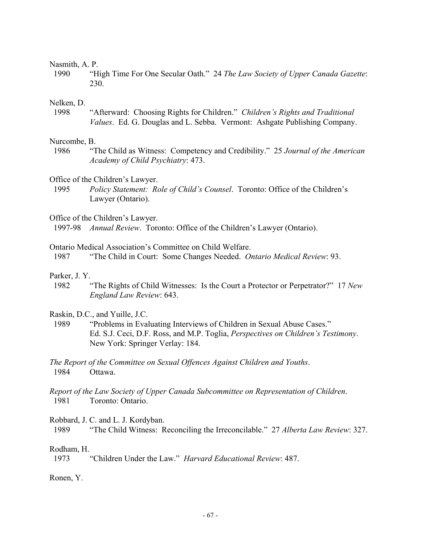#### Nasmith, A. P.

 1990 "High Time For One Secular Oath." 24 *The Law Society of Upper Canada Gazette*: 230.

#### Nelken, D.

 1998 "Afterward: Choosing Rights for Children." *Children's Rights and Traditional Values*. Ed. G. Douglas and L. Sebba. Vermont: Ashgate Publishing Company.

#### Nurcombe, B.

 1986 "The Child as Witness: Competency and Credibility." 25 *Journal of the American Academy of Child Psychiatry*: 473.

#### Office of the Children's Lawyer.

1995 *Policy Statement: Role of Child's Counsel*. Toronto: Office of the Children's Lawyer (Ontario).

Office of the Children's Lawyer.

1997-98 *Annual Review*. Toronto: Office of the Children's Lawyer (Ontario).

Ontario Medical Association's Committee on Child Welfare.

1987 "The Child in Court: Some Changes Needed. *Ontario Medical Review*: 93.

#### Parker, J. Y.

 1982 "The Rights of Child Witnesses: Is the Court a Protector or Perpetrator?" 17 *New England Law Review*: 643.

#### Raskin, D.C., and Yuille, J.C.

- 1989 "Problems in Evaluating Interviews of Children in Sexual Abuse Cases." Ed. S.J. Ceci, D.F. Ross, and M.P. Toglia, *Perspectives on Children's Testimony*. New York: Springer Verlay: 184.
- *The Report of the Committee on Sexual Offences Against Children and Youths*. 1984 Ottawa.

# *Report of the Law Society of Upper Canada Subcommittee on Representation of Children*. 1981 Toronto: Ontario.

Robbard, J. C. and L. J. Kordyban.

1989 "The Child Witness: Reconciling the Irreconcilable." 27 *Alberta Law Review*: 327.

#### Rodham, H.

1973 "Children Under the Law." *Harvard Educational Review*: 487.

#### Ronen, Y.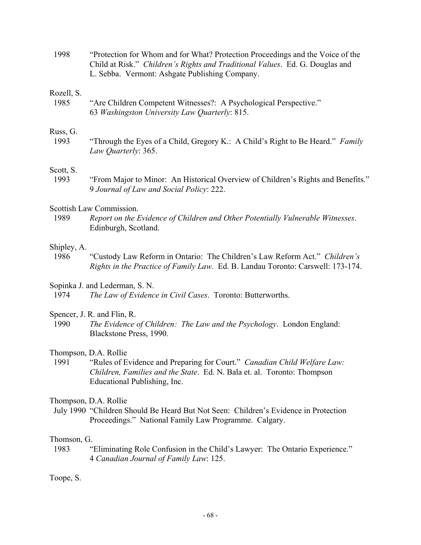1998 "Protection for Whom and for What? Protection Proceedings and the Voice of the Child at Risk." *Children's Rights and Traditional Values*. Ed. G. Douglas and L. Sebba. Vermont: Ashgate Publishing Company.

#### Rozell, S.

 1985 "Are Children Competent Witnesses?: A Psychological Perspective." 63 *Washingston University Law Quarterly*: 815.

#### Russ, G.

 1993 "Through the Eyes of a Child, Gregory K.: A Child's Right to Be Heard." *Family Law Quarterly*: 365.

# Scott, S.

 1993 "From Major to Minor: An Historical Overview of Children's Rights and Benefits." 9 *Journal of Law and Social Policy*: 222.

# Scottish Law Commission.

 1989 *Report on the Evidence of Children and Other Potentially Vulnerable Witnesses*. Edinburgh, Scotland.

# Shipley, A.

 1986 "Custody Law Reform in Ontario: The Children's Law Reform Act." *Children's Rights in the Practice of Family Law*. Ed. B. Landau Toronto: Carswell: 173-174.

# Sopinka J. and Lederman, S. N.

1974 *The Law of Evidence in Civil Cases*. Toronto: Butterworths.

# Spencer, J. R. and Flin, R.

 1990 *The Evidence of Children: The Law and the Psychology*. London England: Blackstone Press, 1990.

# Thompson, D.A. Rollie

 1991 "Rules of Evidence and Preparing for Court." *Canadian Child Welfare Law: Children, Families and the State*. Ed. N. Bala et. al. Toronto: Thompson Educational Publishing, Inc.

# Thompson, D.A. Rollie

 July 1990 "Children Should Be Heard But Not Seen: Children's Evidence in Protection Proceedings." National Family Law Programme. Calgary.

# Thomson, G.

 1983 "Eliminating Role Confusion in the Child's Lawyer: The Ontario Experience." 4 *Canadian Journal of Family Law*: 125.

Toope, S.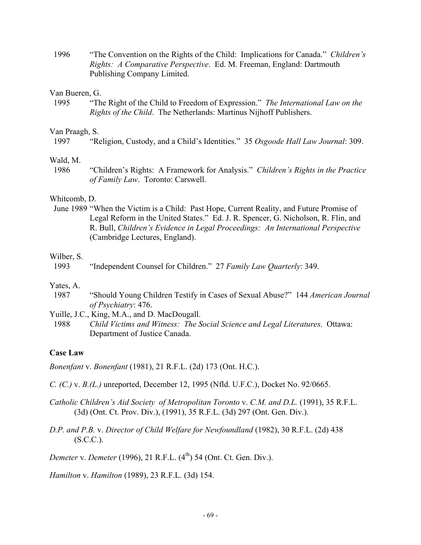1996 "The Convention on the Rights of the Child: Implications for Canada." *Children's Rights: A Comparative Perspective*. Ed. M. Freeman, England: Dartmouth Publishing Company Limited.

#### Van Bueren, G.

 1995 "The Right of the Child to Freedom of Expression." *The International Law on the Rights of the Child*. The Netherlands: Martinus Nijhoff Publishers.

# Van Praagh, S.

#### Wald, M.

 1986 "Children's Rights: A Framework for Analysis." *Children's Rights in the Practice of Family Law*. Toronto: Carswell.

# Whitcomb, D.

 June 1989 "When the Victim is a Child: Past Hope, Current Reality, and Future Promise of Legal Reform in the United States." Ed. J. R. Spencer, G. Nicholson, R. Flin, and R. Bull, *Children's Evidence in Legal Proceedings: An International Perspective* (Cambridge Lectures, England).

#### Wilber, S.

1993 "Independent Counsel for Children." 27 *Family Law Quarterly*: 349.

# Yates, A.

- 1987 "Should Young Children Testify in Cases of Sexual Abuse?" 144 *American Journal of Psychiatry*: 476.
- Yuille, J.C., King, M.A., and D. MacDougall.
- 1988 *Child Victims and Witness: The Social Science and Legal Literatures*.Ottawa: Department of Justice Canada.

# **Case Law**

*Bonenfant* v. *Bonenfant* (1981), 21 R.F.L. (2d) 173 (Ont. H.C.).

- *C. (C.)* v. *B.(L.)* unreported, December 12, 1995 (Nfld. U.F.C.), Docket No. 92/0665.
- *Catholic Children's Aid Society of Metropolitan Toronto* v. *C.M. and D.L.* (1991), 35 R.F.L. (3d) (Ont. Ct. Prov. Div.), (1991), 35 R.F.L. (3d) 297 (Ont. Gen. Div.).
- *D.P. and P.B.* v. *Director of Child Welfare for Newfoundland* (1982), 30 R.F.L. (2d) 438  $(S.C.C.).$

*Demeter v. Demeter* (1996), 21 R.F.L. (4<sup>th</sup>) 54 (Ont. Ct. Gen. Div.).

*Hamilton* v. *Hamilton* (1989), 23 R.F.L. (3d) 154.

 <sup>1997 &</sup>quot;Religion, Custody, and a Child's Identities." 35 *Osgoode Hall Law Journal*: 309.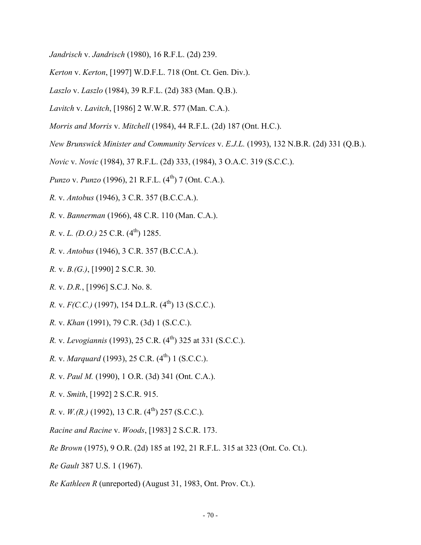- *Jandrisch* v. *Jandrisch* (1980), 16 R.F.L. (2d) 239.
- *Kerton* v. *Kerton*, [1997] W.D.F.L. 718 (Ont. Ct. Gen. Div.).
- *Laszlo* v. *Laszlo* (1984), 39 R.F.L. (2d) 383 (Man. Q.B.).
- *Lavitch* v. *Lavitch*, [1986] 2 W.W.R. 577 (Man. C.A.).
- *Morris and Morris* v. *Mitchell* (1984), 44 R.F.L. (2d) 187 (Ont. H.C.).
- *New Brunswick Minister and Community Services* v. *E.J.L.* (1993), 132 N.B.R. (2d) 331 (Q.B.).
- *Novic* v. *Novic* (1984), 37 R.F.L. (2d) 333, (1984), 3 O.A.C. 319 (S.C.C.).
- *Punzo* v. *Punzo* (1996), 21 R.F.L. (4<sup>th</sup>) 7 (Ont. C.A.).
- *R.* v. *Antobus* (1946), 3 C.R. 357 (B.C.C.A.).
- *R.* v. *Bannerman* (1966), 48 C.R. 110 (Man. C.A.).
- *R. v. L. (D.O.)* 25 C.R.  $(4^{th})$  1285.
- *R.* v. *Antobus* (1946), 3 C.R. 357 (B.C.C.A.).
- *R.* v. *B.(G.)*, [1990] 2 S.C.R. 30.
- *R.* v. *D.R.*, [1996] S.C.J. No. 8.
- *R. v. F(C.C.)* (1997), 154 D.L.R. (4<sup>th</sup>) 13 (S.C.C.).
- *R.* v. *Khan* (1991), 79 C.R. (3d) 1 (S.C.C.).
- *R.* v. *Levogiannis* (1993), 25 C.R. (4<sup>th</sup>) 325 at 331 (S.C.C.).
- *R. v. Marquard* (1993), 25 C.R. (4<sup>th</sup>) 1 (S.C.C.).
- *R.* v. *Paul M.* (1990), 1 O.R. (3d) 341 (Ont. C.A.).
- *R.* v. *Smith*, [1992] 2 S.C.R. 915.
- *R. v. W.(R.)* (1992), 13 C.R. (4<sup>th</sup>) 257 (S.C.C.).
- *Racine and Racine* v. *Woods*, [1983] 2 S.C.R. 173.
- *Re Brown* (1975), 9 O.R. (2d) 185 at 192, 21 R.F.L. 315 at 323 (Ont. Co. Ct.).
- *Re Gault* 387 U.S. 1 (1967).
- *Re Kathleen R* (unreported) (August 31, 1983, Ont. Prov. Ct.).